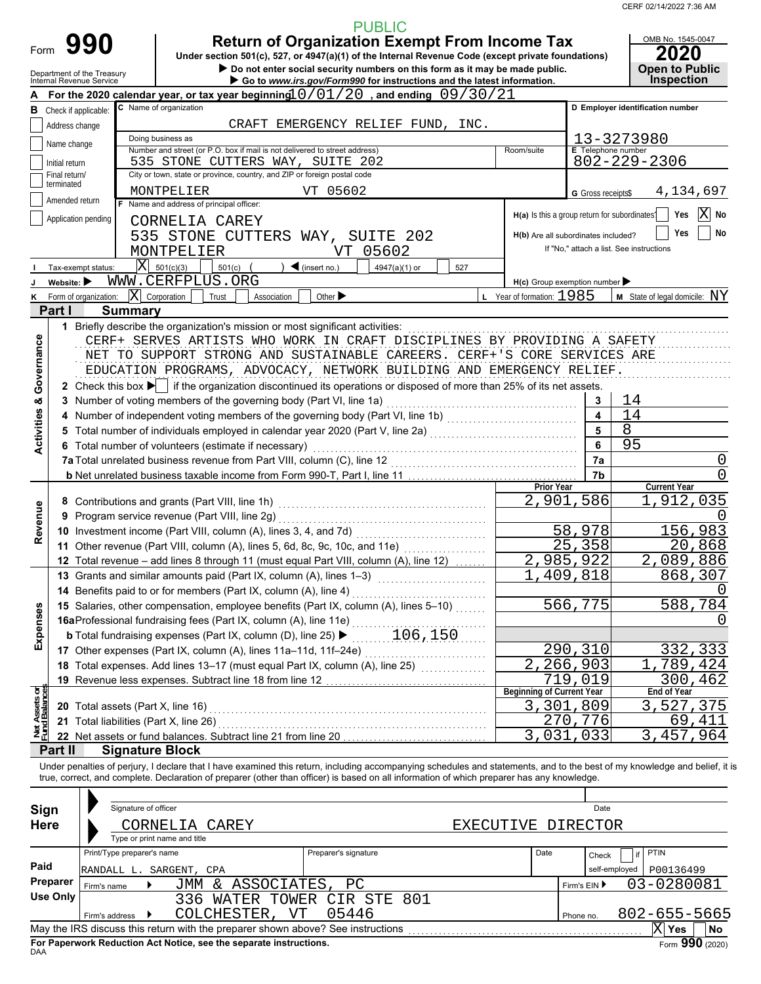CERF 02/14/2022 7:36 AM

| <b>PUBLIC</b><br><b>Return of Organization Exempt From Income Tax</b><br>990<br>Form<br>Under section 501(c), 527, or 4947(a)(1) of the Internal Revenue Code (except private foundations)<br>Do not enter social security numbers on this form as it may be made public.<br>Department of the Treasury<br>Internal Revenue Service<br>Go to www.irs.gov/Form990 for instructions and the latest information.<br>For the 2020 calendar year, or tax year beginning $0/01/20$ , and ending $09/30/21$<br>C Name of organization<br><b>B</b> Check if applicable:<br>CRAFT EMERGENCY RELIEF FUND, INC.<br>Address change<br>Doing business as<br>Name change<br>Number and street (or P.O. box if mail is not delivered to street address)<br><b>E</b> Telephone number<br>Room/suite<br>535 STONE CUTTERS WAY, SUITE 202<br>$802 - 229 - 2306$<br>Initial return<br>City or town, state or province, country, and ZIP or foreign postal code<br>Final return/<br>terminated<br>MONTPELIER<br>VT 05602<br>G Gross receipts\$<br>Amended return<br>F Name and address of principal officer:<br>H(a) Is this a group return for subordinates <sup>1</sup><br>Application pending<br>CORNELIA CAREY<br>535 STONE CUTTERS WAY, SUITE 202<br>If "No," attach a list. See instructions<br>MONTPELIER<br>05602<br>VT<br>$ \mathbf{X} $ 501(c)(3)<br>$501(c)$ (<br>$\triangleleft$ (insert no.)<br>4947(a)(1) or<br>Tax-exempt status:<br>527<br>WWW.CERFPLUS.ORG<br>Website: $\blacktriangleright$<br>$H(c)$ Group exemption number<br>$ \mathbf{X} $ Corporation<br>$L$ Year of formation: $1985$<br>Trust<br>Association<br>Other $\blacktriangleright$<br>K Form of organization:<br>Part I<br><b>Summary</b><br>1 Briefly describe the organization's mission or most significant activities:<br>Governance<br>CERF+ SERVES ARTISTS WHO WORK IN CRAFT DISCIPLINES BY PROVIDING A SAFETY<br>NET TO SUPPORT STRONG AND SUSTAINABLE CAREERS. CERF+'S CORE SERVICES ARE<br>EDUCATION PROGRAMS, ADVOCACY, NETWORK BUILDING AND EMERGENCY RELIEF.<br>2 Check this box $\blacktriangleright$ if the organization discontinued its operations or disposed of more than 25% of its net assets.<br>$\mathbf{3}$<br><b>Activities &amp;</b><br>$\overline{\mathbf{4}}$<br>4 Number of independent voting members of the governing body (Part VI, line 1b) [[[[[[[[[[[[[[[[[[[[[[[[[[[[[<br>$5\phantom{a}$<br>Total number of individuals employed in calendar year 2020 (Part V, line 2a)<br>Total number of individuals employed in calendar year 2020 (Part V, line 2a)<br>6<br>Total number of volunteers (estimate if necessary)<br>7a<br>7b<br>Prior Year<br>2,901,586<br>Revenue<br>9 Program service revenue (Part VIII, line 2g)<br>58,978<br>25,358<br>11 Other revenue (Part VIII, column (A), lines 5, 6d, 8c, 9c, 10c, and 11e)<br>.<br>2,985,922<br>12 Total revenue - add lines 8 through 11 (must equal Part VIII, column (A), line 12)<br>1,409,818<br>13 Grants and similar amounts paid (Part IX, column (A), lines 1-3)<br>14 Benefits paid to or for members (Part IX, column (A), line 4)<br>566,775<br>15 Salaries, other compensation, employee benefits (Part IX, column (A), lines 5-10)<br>Expenses<br>16aProfessional fundraising fees (Part IX, column (A), line 11e)<br><b>b</b> Total fundraising expenses (Part IX, column (D), line 25) $\blacktriangleright$ 106, 150<br>290,310 | OMB No. 1545-0047<br><b>2020</b><br><b>Open to Public</b> |                                     |  |  |  |  |  |  |  |  |  |  |  |  |  |  |
|---------------------------------------------------------------------------------------------------------------------------------------------------------------------------------------------------------------------------------------------------------------------------------------------------------------------------------------------------------------------------------------------------------------------------------------------------------------------------------------------------------------------------------------------------------------------------------------------------------------------------------------------------------------------------------------------------------------------------------------------------------------------------------------------------------------------------------------------------------------------------------------------------------------------------------------------------------------------------------------------------------------------------------------------------------------------------------------------------------------------------------------------------------------------------------------------------------------------------------------------------------------------------------------------------------------------------------------------------------------------------------------------------------------------------------------------------------------------------------------------------------------------------------------------------------------------------------------------------------------------------------------------------------------------------------------------------------------------------------------------------------------------------------------------------------------------------------------------------------------------------------------------------------------------------------------------------------------------------------------------------------------------------------------------------------------------------------------------------------------------------------------------------------------------------------------------------------------------------------------------------------------------------------------------------------------------------------------------------------------------------------------------------------------------------------------------------------------------------------------------------------------------------------------------------------------------------------------------------------------------------------------------------------------------------------------------------------------------------------------------------------------------------------------------------------------------------------------------------------------------------------------------------------------------------------------------------------------------------------------------------------------------------------------------------------------------------------------------------------------------------------------------------------------------------------------------------------------------------------------------------------------------------------------------------------------------------------------------------------------------------------------------------|-----------------------------------------------------------|-------------------------------------|--|--|--|--|--|--|--|--|--|--|--|--|--|--|
|                                                                                                                                                                                                                                                                                                                                                                                                                                                                                                                                                                                                                                                                                                                                                                                                                                                                                                                                                                                                                                                                                                                                                                                                                                                                                                                                                                                                                                                                                                                                                                                                                                                                                                                                                                                                                                                                                                                                                                                                                                                                                                                                                                                                                                                                                                                                                                                                                                                                                                                                                                                                                                                                                                                                                                                                                                                                                                                                                                                                                                                                                                                                                                                                                                                                                                                                                                                                   |                                                           |                                     |  |  |  |  |  |  |  |  |  |  |  |  |  |  |
|                                                                                                                                                                                                                                                                                                                                                                                                                                                                                                                                                                                                                                                                                                                                                                                                                                                                                                                                                                                                                                                                                                                                                                                                                                                                                                                                                                                                                                                                                                                                                                                                                                                                                                                                                                                                                                                                                                                                                                                                                                                                                                                                                                                                                                                                                                                                                                                                                                                                                                                                                                                                                                                                                                                                                                                                                                                                                                                                                                                                                                                                                                                                                                                                                                                                                                                                                                                                   |                                                           |                                     |  |  |  |  |  |  |  |  |  |  |  |  |  |  |
|                                                                                                                                                                                                                                                                                                                                                                                                                                                                                                                                                                                                                                                                                                                                                                                                                                                                                                                                                                                                                                                                                                                                                                                                                                                                                                                                                                                                                                                                                                                                                                                                                                                                                                                                                                                                                                                                                                                                                                                                                                                                                                                                                                                                                                                                                                                                                                                                                                                                                                                                                                                                                                                                                                                                                                                                                                                                                                                                                                                                                                                                                                                                                                                                                                                                                                                                                                                                   | <b>Inspection</b>                                         |                                     |  |  |  |  |  |  |  |  |  |  |  |  |  |  |
|                                                                                                                                                                                                                                                                                                                                                                                                                                                                                                                                                                                                                                                                                                                                                                                                                                                                                                                                                                                                                                                                                                                                                                                                                                                                                                                                                                                                                                                                                                                                                                                                                                                                                                                                                                                                                                                                                                                                                                                                                                                                                                                                                                                                                                                                                                                                                                                                                                                                                                                                                                                                                                                                                                                                                                                                                                                                                                                                                                                                                                                                                                                                                                                                                                                                                                                                                                                                   |                                                           |                                     |  |  |  |  |  |  |  |  |  |  |  |  |  |  |
|                                                                                                                                                                                                                                                                                                                                                                                                                                                                                                                                                                                                                                                                                                                                                                                                                                                                                                                                                                                                                                                                                                                                                                                                                                                                                                                                                                                                                                                                                                                                                                                                                                                                                                                                                                                                                                                                                                                                                                                                                                                                                                                                                                                                                                                                                                                                                                                                                                                                                                                                                                                                                                                                                                                                                                                                                                                                                                                                                                                                                                                                                                                                                                                                                                                                                                                                                                                                   | D Employer identification number                          |                                     |  |  |  |  |  |  |  |  |  |  |  |  |  |  |
|                                                                                                                                                                                                                                                                                                                                                                                                                                                                                                                                                                                                                                                                                                                                                                                                                                                                                                                                                                                                                                                                                                                                                                                                                                                                                                                                                                                                                                                                                                                                                                                                                                                                                                                                                                                                                                                                                                                                                                                                                                                                                                                                                                                                                                                                                                                                                                                                                                                                                                                                                                                                                                                                                                                                                                                                                                                                                                                                                                                                                                                                                                                                                                                                                                                                                                                                                                                                   |                                                           |                                     |  |  |  |  |  |  |  |  |  |  |  |  |  |  |
|                                                                                                                                                                                                                                                                                                                                                                                                                                                                                                                                                                                                                                                                                                                                                                                                                                                                                                                                                                                                                                                                                                                                                                                                                                                                                                                                                                                                                                                                                                                                                                                                                                                                                                                                                                                                                                                                                                                                                                                                                                                                                                                                                                                                                                                                                                                                                                                                                                                                                                                                                                                                                                                                                                                                                                                                                                                                                                                                                                                                                                                                                                                                                                                                                                                                                                                                                                                                   |                                                           | 13-3273980                          |  |  |  |  |  |  |  |  |  |  |  |  |  |  |
|                                                                                                                                                                                                                                                                                                                                                                                                                                                                                                                                                                                                                                                                                                                                                                                                                                                                                                                                                                                                                                                                                                                                                                                                                                                                                                                                                                                                                                                                                                                                                                                                                                                                                                                                                                                                                                                                                                                                                                                                                                                                                                                                                                                                                                                                                                                                                                                                                                                                                                                                                                                                                                                                                                                                                                                                                                                                                                                                                                                                                                                                                                                                                                                                                                                                                                                                                                                                   |                                                           |                                     |  |  |  |  |  |  |  |  |  |  |  |  |  |  |
|                                                                                                                                                                                                                                                                                                                                                                                                                                                                                                                                                                                                                                                                                                                                                                                                                                                                                                                                                                                                                                                                                                                                                                                                                                                                                                                                                                                                                                                                                                                                                                                                                                                                                                                                                                                                                                                                                                                                                                                                                                                                                                                                                                                                                                                                                                                                                                                                                                                                                                                                                                                                                                                                                                                                                                                                                                                                                                                                                                                                                                                                                                                                                                                                                                                                                                                                                                                                   |                                                           |                                     |  |  |  |  |  |  |  |  |  |  |  |  |  |  |
|                                                                                                                                                                                                                                                                                                                                                                                                                                                                                                                                                                                                                                                                                                                                                                                                                                                                                                                                                                                                                                                                                                                                                                                                                                                                                                                                                                                                                                                                                                                                                                                                                                                                                                                                                                                                                                                                                                                                                                                                                                                                                                                                                                                                                                                                                                                                                                                                                                                                                                                                                                                                                                                                                                                                                                                                                                                                                                                                                                                                                                                                                                                                                                                                                                                                                                                                                                                                   | 4,134,697                                                 |                                     |  |  |  |  |  |  |  |  |  |  |  |  |  |  |
|                                                                                                                                                                                                                                                                                                                                                                                                                                                                                                                                                                                                                                                                                                                                                                                                                                                                                                                                                                                                                                                                                                                                                                                                                                                                                                                                                                                                                                                                                                                                                                                                                                                                                                                                                                                                                                                                                                                                                                                                                                                                                                                                                                                                                                                                                                                                                                                                                                                                                                                                                                                                                                                                                                                                                                                                                                                                                                                                                                                                                                                                                                                                                                                                                                                                                                                                                                                                   |                                                           |                                     |  |  |  |  |  |  |  |  |  |  |  |  |  |  |
|                                                                                                                                                                                                                                                                                                                                                                                                                                                                                                                                                                                                                                                                                                                                                                                                                                                                                                                                                                                                                                                                                                                                                                                                                                                                                                                                                                                                                                                                                                                                                                                                                                                                                                                                                                                                                                                                                                                                                                                                                                                                                                                                                                                                                                                                                                                                                                                                                                                                                                                                                                                                                                                                                                                                                                                                                                                                                                                                                                                                                                                                                                                                                                                                                                                                                                                                                                                                   | X <br>Yes<br>No                                           |                                     |  |  |  |  |  |  |  |  |  |  |  |  |  |  |
|                                                                                                                                                                                                                                                                                                                                                                                                                                                                                                                                                                                                                                                                                                                                                                                                                                                                                                                                                                                                                                                                                                                                                                                                                                                                                                                                                                                                                                                                                                                                                                                                                                                                                                                                                                                                                                                                                                                                                                                                                                                                                                                                                                                                                                                                                                                                                                                                                                                                                                                                                                                                                                                                                                                                                                                                                                                                                                                                                                                                                                                                                                                                                                                                                                                                                                                                                                                                   | No<br>Yes                                                 | H(b) Are all subordinates included? |  |  |  |  |  |  |  |  |  |  |  |  |  |  |
|                                                                                                                                                                                                                                                                                                                                                                                                                                                                                                                                                                                                                                                                                                                                                                                                                                                                                                                                                                                                                                                                                                                                                                                                                                                                                                                                                                                                                                                                                                                                                                                                                                                                                                                                                                                                                                                                                                                                                                                                                                                                                                                                                                                                                                                                                                                                                                                                                                                                                                                                                                                                                                                                                                                                                                                                                                                                                                                                                                                                                                                                                                                                                                                                                                                                                                                                                                                                   |                                                           |                                     |  |  |  |  |  |  |  |  |  |  |  |  |  |  |
|                                                                                                                                                                                                                                                                                                                                                                                                                                                                                                                                                                                                                                                                                                                                                                                                                                                                                                                                                                                                                                                                                                                                                                                                                                                                                                                                                                                                                                                                                                                                                                                                                                                                                                                                                                                                                                                                                                                                                                                                                                                                                                                                                                                                                                                                                                                                                                                                                                                                                                                                                                                                                                                                                                                                                                                                                                                                                                                                                                                                                                                                                                                                                                                                                                                                                                                                                                                                   |                                                           |                                     |  |  |  |  |  |  |  |  |  |  |  |  |  |  |
|                                                                                                                                                                                                                                                                                                                                                                                                                                                                                                                                                                                                                                                                                                                                                                                                                                                                                                                                                                                                                                                                                                                                                                                                                                                                                                                                                                                                                                                                                                                                                                                                                                                                                                                                                                                                                                                                                                                                                                                                                                                                                                                                                                                                                                                                                                                                                                                                                                                                                                                                                                                                                                                                                                                                                                                                                                                                                                                                                                                                                                                                                                                                                                                                                                                                                                                                                                                                   |                                                           |                                     |  |  |  |  |  |  |  |  |  |  |  |  |  |  |
|                                                                                                                                                                                                                                                                                                                                                                                                                                                                                                                                                                                                                                                                                                                                                                                                                                                                                                                                                                                                                                                                                                                                                                                                                                                                                                                                                                                                                                                                                                                                                                                                                                                                                                                                                                                                                                                                                                                                                                                                                                                                                                                                                                                                                                                                                                                                                                                                                                                                                                                                                                                                                                                                                                                                                                                                                                                                                                                                                                                                                                                                                                                                                                                                                                                                                                                                                                                                   | $M$ State of legal domicile: $NY$                         |                                     |  |  |  |  |  |  |  |  |  |  |  |  |  |  |
|                                                                                                                                                                                                                                                                                                                                                                                                                                                                                                                                                                                                                                                                                                                                                                                                                                                                                                                                                                                                                                                                                                                                                                                                                                                                                                                                                                                                                                                                                                                                                                                                                                                                                                                                                                                                                                                                                                                                                                                                                                                                                                                                                                                                                                                                                                                                                                                                                                                                                                                                                                                                                                                                                                                                                                                                                                                                                                                                                                                                                                                                                                                                                                                                                                                                                                                                                                                                   |                                                           |                                     |  |  |  |  |  |  |  |  |  |  |  |  |  |  |
|                                                                                                                                                                                                                                                                                                                                                                                                                                                                                                                                                                                                                                                                                                                                                                                                                                                                                                                                                                                                                                                                                                                                                                                                                                                                                                                                                                                                                                                                                                                                                                                                                                                                                                                                                                                                                                                                                                                                                                                                                                                                                                                                                                                                                                                                                                                                                                                                                                                                                                                                                                                                                                                                                                                                                                                                                                                                                                                                                                                                                                                                                                                                                                                                                                                                                                                                                                                                   |                                                           |                                     |  |  |  |  |  |  |  |  |  |  |  |  |  |  |
|                                                                                                                                                                                                                                                                                                                                                                                                                                                                                                                                                                                                                                                                                                                                                                                                                                                                                                                                                                                                                                                                                                                                                                                                                                                                                                                                                                                                                                                                                                                                                                                                                                                                                                                                                                                                                                                                                                                                                                                                                                                                                                                                                                                                                                                                                                                                                                                                                                                                                                                                                                                                                                                                                                                                                                                                                                                                                                                                                                                                                                                                                                                                                                                                                                                                                                                                                                                                   |                                                           |                                     |  |  |  |  |  |  |  |  |  |  |  |  |  |  |
|                                                                                                                                                                                                                                                                                                                                                                                                                                                                                                                                                                                                                                                                                                                                                                                                                                                                                                                                                                                                                                                                                                                                                                                                                                                                                                                                                                                                                                                                                                                                                                                                                                                                                                                                                                                                                                                                                                                                                                                                                                                                                                                                                                                                                                                                                                                                                                                                                                                                                                                                                                                                                                                                                                                                                                                                                                                                                                                                                                                                                                                                                                                                                                                                                                                                                                                                                                                                   |                                                           |                                     |  |  |  |  |  |  |  |  |  |  |  |  |  |  |
|                                                                                                                                                                                                                                                                                                                                                                                                                                                                                                                                                                                                                                                                                                                                                                                                                                                                                                                                                                                                                                                                                                                                                                                                                                                                                                                                                                                                                                                                                                                                                                                                                                                                                                                                                                                                                                                                                                                                                                                                                                                                                                                                                                                                                                                                                                                                                                                                                                                                                                                                                                                                                                                                                                                                                                                                                                                                                                                                                                                                                                                                                                                                                                                                                                                                                                                                                                                                   |                                                           |                                     |  |  |  |  |  |  |  |  |  |  |  |  |  |  |
|                                                                                                                                                                                                                                                                                                                                                                                                                                                                                                                                                                                                                                                                                                                                                                                                                                                                                                                                                                                                                                                                                                                                                                                                                                                                                                                                                                                                                                                                                                                                                                                                                                                                                                                                                                                                                                                                                                                                                                                                                                                                                                                                                                                                                                                                                                                                                                                                                                                                                                                                                                                                                                                                                                                                                                                                                                                                                                                                                                                                                                                                                                                                                                                                                                                                                                                                                                                                   |                                                           |                                     |  |  |  |  |  |  |  |  |  |  |  |  |  |  |
|                                                                                                                                                                                                                                                                                                                                                                                                                                                                                                                                                                                                                                                                                                                                                                                                                                                                                                                                                                                                                                                                                                                                                                                                                                                                                                                                                                                                                                                                                                                                                                                                                                                                                                                                                                                                                                                                                                                                                                                                                                                                                                                                                                                                                                                                                                                                                                                                                                                                                                                                                                                                                                                                                                                                                                                                                                                                                                                                                                                                                                                                                                                                                                                                                                                                                                                                                                                                   | 14                                                        |                                     |  |  |  |  |  |  |  |  |  |  |  |  |  |  |
|                                                                                                                                                                                                                                                                                                                                                                                                                                                                                                                                                                                                                                                                                                                                                                                                                                                                                                                                                                                                                                                                                                                                                                                                                                                                                                                                                                                                                                                                                                                                                                                                                                                                                                                                                                                                                                                                                                                                                                                                                                                                                                                                                                                                                                                                                                                                                                                                                                                                                                                                                                                                                                                                                                                                                                                                                                                                                                                                                                                                                                                                                                                                                                                                                                                                                                                                                                                                   | 14                                                        |                                     |  |  |  |  |  |  |  |  |  |  |  |  |  |  |
|                                                                                                                                                                                                                                                                                                                                                                                                                                                                                                                                                                                                                                                                                                                                                                                                                                                                                                                                                                                                                                                                                                                                                                                                                                                                                                                                                                                                                                                                                                                                                                                                                                                                                                                                                                                                                                                                                                                                                                                                                                                                                                                                                                                                                                                                                                                                                                                                                                                                                                                                                                                                                                                                                                                                                                                                                                                                                                                                                                                                                                                                                                                                                                                                                                                                                                                                                                                                   | $\overline{8}$<br>95                                      |                                     |  |  |  |  |  |  |  |  |  |  |  |  |  |  |
|                                                                                                                                                                                                                                                                                                                                                                                                                                                                                                                                                                                                                                                                                                                                                                                                                                                                                                                                                                                                                                                                                                                                                                                                                                                                                                                                                                                                                                                                                                                                                                                                                                                                                                                                                                                                                                                                                                                                                                                                                                                                                                                                                                                                                                                                                                                                                                                                                                                                                                                                                                                                                                                                                                                                                                                                                                                                                                                                                                                                                                                                                                                                                                                                                                                                                                                                                                                                   |                                                           |                                     |  |  |  |  |  |  |  |  |  |  |  |  |  |  |
|                                                                                                                                                                                                                                                                                                                                                                                                                                                                                                                                                                                                                                                                                                                                                                                                                                                                                                                                                                                                                                                                                                                                                                                                                                                                                                                                                                                                                                                                                                                                                                                                                                                                                                                                                                                                                                                                                                                                                                                                                                                                                                                                                                                                                                                                                                                                                                                                                                                                                                                                                                                                                                                                                                                                                                                                                                                                                                                                                                                                                                                                                                                                                                                                                                                                                                                                                                                                   | 0<br>0                                                    |                                     |  |  |  |  |  |  |  |  |  |  |  |  |  |  |
|                                                                                                                                                                                                                                                                                                                                                                                                                                                                                                                                                                                                                                                                                                                                                                                                                                                                                                                                                                                                                                                                                                                                                                                                                                                                                                                                                                                                                                                                                                                                                                                                                                                                                                                                                                                                                                                                                                                                                                                                                                                                                                                                                                                                                                                                                                                                                                                                                                                                                                                                                                                                                                                                                                                                                                                                                                                                                                                                                                                                                                                                                                                                                                                                                                                                                                                                                                                                   | <b>Current Year</b>                                       |                                     |  |  |  |  |  |  |  |  |  |  |  |  |  |  |
|                                                                                                                                                                                                                                                                                                                                                                                                                                                                                                                                                                                                                                                                                                                                                                                                                                                                                                                                                                                                                                                                                                                                                                                                                                                                                                                                                                                                                                                                                                                                                                                                                                                                                                                                                                                                                                                                                                                                                                                                                                                                                                                                                                                                                                                                                                                                                                                                                                                                                                                                                                                                                                                                                                                                                                                                                                                                                                                                                                                                                                                                                                                                                                                                                                                                                                                                                                                                   | 1,912,035                                                 |                                     |  |  |  |  |  |  |  |  |  |  |  |  |  |  |
|                                                                                                                                                                                                                                                                                                                                                                                                                                                                                                                                                                                                                                                                                                                                                                                                                                                                                                                                                                                                                                                                                                                                                                                                                                                                                                                                                                                                                                                                                                                                                                                                                                                                                                                                                                                                                                                                                                                                                                                                                                                                                                                                                                                                                                                                                                                                                                                                                                                                                                                                                                                                                                                                                                                                                                                                                                                                                                                                                                                                                                                                                                                                                                                                                                                                                                                                                                                                   |                                                           |                                     |  |  |  |  |  |  |  |  |  |  |  |  |  |  |
|                                                                                                                                                                                                                                                                                                                                                                                                                                                                                                                                                                                                                                                                                                                                                                                                                                                                                                                                                                                                                                                                                                                                                                                                                                                                                                                                                                                                                                                                                                                                                                                                                                                                                                                                                                                                                                                                                                                                                                                                                                                                                                                                                                                                                                                                                                                                                                                                                                                                                                                                                                                                                                                                                                                                                                                                                                                                                                                                                                                                                                                                                                                                                                                                                                                                                                                                                                                                   | 156,983                                                   |                                     |  |  |  |  |  |  |  |  |  |  |  |  |  |  |
|                                                                                                                                                                                                                                                                                                                                                                                                                                                                                                                                                                                                                                                                                                                                                                                                                                                                                                                                                                                                                                                                                                                                                                                                                                                                                                                                                                                                                                                                                                                                                                                                                                                                                                                                                                                                                                                                                                                                                                                                                                                                                                                                                                                                                                                                                                                                                                                                                                                                                                                                                                                                                                                                                                                                                                                                                                                                                                                                                                                                                                                                                                                                                                                                                                                                                                                                                                                                   | 20,868                                                    |                                     |  |  |  |  |  |  |  |  |  |  |  |  |  |  |
|                                                                                                                                                                                                                                                                                                                                                                                                                                                                                                                                                                                                                                                                                                                                                                                                                                                                                                                                                                                                                                                                                                                                                                                                                                                                                                                                                                                                                                                                                                                                                                                                                                                                                                                                                                                                                                                                                                                                                                                                                                                                                                                                                                                                                                                                                                                                                                                                                                                                                                                                                                                                                                                                                                                                                                                                                                                                                                                                                                                                                                                                                                                                                                                                                                                                                                                                                                                                   | 2,089,886                                                 |                                     |  |  |  |  |  |  |  |  |  |  |  |  |  |  |
|                                                                                                                                                                                                                                                                                                                                                                                                                                                                                                                                                                                                                                                                                                                                                                                                                                                                                                                                                                                                                                                                                                                                                                                                                                                                                                                                                                                                                                                                                                                                                                                                                                                                                                                                                                                                                                                                                                                                                                                                                                                                                                                                                                                                                                                                                                                                                                                                                                                                                                                                                                                                                                                                                                                                                                                                                                                                                                                                                                                                                                                                                                                                                                                                                                                                                                                                                                                                   | 868,307                                                   |                                     |  |  |  |  |  |  |  |  |  |  |  |  |  |  |
|                                                                                                                                                                                                                                                                                                                                                                                                                                                                                                                                                                                                                                                                                                                                                                                                                                                                                                                                                                                                                                                                                                                                                                                                                                                                                                                                                                                                                                                                                                                                                                                                                                                                                                                                                                                                                                                                                                                                                                                                                                                                                                                                                                                                                                                                                                                                                                                                                                                                                                                                                                                                                                                                                                                                                                                                                                                                                                                                                                                                                                                                                                                                                                                                                                                                                                                                                                                                   |                                                           |                                     |  |  |  |  |  |  |  |  |  |  |  |  |  |  |
|                                                                                                                                                                                                                                                                                                                                                                                                                                                                                                                                                                                                                                                                                                                                                                                                                                                                                                                                                                                                                                                                                                                                                                                                                                                                                                                                                                                                                                                                                                                                                                                                                                                                                                                                                                                                                                                                                                                                                                                                                                                                                                                                                                                                                                                                                                                                                                                                                                                                                                                                                                                                                                                                                                                                                                                                                                                                                                                                                                                                                                                                                                                                                                                                                                                                                                                                                                                                   | 588,784                                                   |                                     |  |  |  |  |  |  |  |  |  |  |  |  |  |  |
|                                                                                                                                                                                                                                                                                                                                                                                                                                                                                                                                                                                                                                                                                                                                                                                                                                                                                                                                                                                                                                                                                                                                                                                                                                                                                                                                                                                                                                                                                                                                                                                                                                                                                                                                                                                                                                                                                                                                                                                                                                                                                                                                                                                                                                                                                                                                                                                                                                                                                                                                                                                                                                                                                                                                                                                                                                                                                                                                                                                                                                                                                                                                                                                                                                                                                                                                                                                                   | $\left( \right)$                                          |                                     |  |  |  |  |  |  |  |  |  |  |  |  |  |  |
|                                                                                                                                                                                                                                                                                                                                                                                                                                                                                                                                                                                                                                                                                                                                                                                                                                                                                                                                                                                                                                                                                                                                                                                                                                                                                                                                                                                                                                                                                                                                                                                                                                                                                                                                                                                                                                                                                                                                                                                                                                                                                                                                                                                                                                                                                                                                                                                                                                                                                                                                                                                                                                                                                                                                                                                                                                                                                                                                                                                                                                                                                                                                                                                                                                                                                                                                                                                                   |                                                           |                                     |  |  |  |  |  |  |  |  |  |  |  |  |  |  |
|                                                                                                                                                                                                                                                                                                                                                                                                                                                                                                                                                                                                                                                                                                                                                                                                                                                                                                                                                                                                                                                                                                                                                                                                                                                                                                                                                                                                                                                                                                                                                                                                                                                                                                                                                                                                                                                                                                                                                                                                                                                                                                                                                                                                                                                                                                                                                                                                                                                                                                                                                                                                                                                                                                                                                                                                                                                                                                                                                                                                                                                                                                                                                                                                                                                                                                                                                                                                   | 332,333                                                   |                                     |  |  |  |  |  |  |  |  |  |  |  |  |  |  |
|                                                                                                                                                                                                                                                                                                                                                                                                                                                                                                                                                                                                                                                                                                                                                                                                                                                                                                                                                                                                                                                                                                                                                                                                                                                                                                                                                                                                                                                                                                                                                                                                                                                                                                                                                                                                                                                                                                                                                                                                                                                                                                                                                                                                                                                                                                                                                                                                                                                                                                                                                                                                                                                                                                                                                                                                                                                                                                                                                                                                                                                                                                                                                                                                                                                                                                                                                                                                   | 1,789,424                                                 |                                     |  |  |  |  |  |  |  |  |  |  |  |  |  |  |
|                                                                                                                                                                                                                                                                                                                                                                                                                                                                                                                                                                                                                                                                                                                                                                                                                                                                                                                                                                                                                                                                                                                                                                                                                                                                                                                                                                                                                                                                                                                                                                                                                                                                                                                                                                                                                                                                                                                                                                                                                                                                                                                                                                                                                                                                                                                                                                                                                                                                                                                                                                                                                                                                                                                                                                                                                                                                                                                                                                                                                                                                                                                                                                                                                                                                                                                                                                                                   | 300, 462                                                  |                                     |  |  |  |  |  |  |  |  |  |  |  |  |  |  |
|                                                                                                                                                                                                                                                                                                                                                                                                                                                                                                                                                                                                                                                                                                                                                                                                                                                                                                                                                                                                                                                                                                                                                                                                                                                                                                                                                                                                                                                                                                                                                                                                                                                                                                                                                                                                                                                                                                                                                                                                                                                                                                                                                                                                                                                                                                                                                                                                                                                                                                                                                                                                                                                                                                                                                                                                                                                                                                                                                                                                                                                                                                                                                                                                                                                                                                                                                                                                   | 3,527,375                                                 |                                     |  |  |  |  |  |  |  |  |  |  |  |  |  |  |
|                                                                                                                                                                                                                                                                                                                                                                                                                                                                                                                                                                                                                                                                                                                                                                                                                                                                                                                                                                                                                                                                                                                                                                                                                                                                                                                                                                                                                                                                                                                                                                                                                                                                                                                                                                                                                                                                                                                                                                                                                                                                                                                                                                                                                                                                                                                                                                                                                                                                                                                                                                                                                                                                                                                                                                                                                                                                                                                                                                                                                                                                                                                                                                                                                                                                                                                                                                                                   | 69,411                                                    |                                     |  |  |  |  |  |  |  |  |  |  |  |  |  |  |
|                                                                                                                                                                                                                                                                                                                                                                                                                                                                                                                                                                                                                                                                                                                                                                                                                                                                                                                                                                                                                                                                                                                                                                                                                                                                                                                                                                                                                                                                                                                                                                                                                                                                                                                                                                                                                                                                                                                                                                                                                                                                                                                                                                                                                                                                                                                                                                                                                                                                                                                                                                                                                                                                                                                                                                                                                                                                                                                                                                                                                                                                                                                                                                                                                                                                                                                                                                                                   | 3,457,964                                                 |                                     |  |  |  |  |  |  |  |  |  |  |  |  |  |  |
|                                                                                                                                                                                                                                                                                                                                                                                                                                                                                                                                                                                                                                                                                                                                                                                                                                                                                                                                                                                                                                                                                                                                                                                                                                                                                                                                                                                                                                                                                                                                                                                                                                                                                                                                                                                                                                                                                                                                                                                                                                                                                                                                                                                                                                                                                                                                                                                                                                                                                                                                                                                                                                                                                                                                                                                                                                                                                                                                                                                                                                                                                                                                                                                                                                                                                                                                                                                                   |                                                           |                                     |  |  |  |  |  |  |  |  |  |  |  |  |  |  |
| Part II<br><b>Signature Block</b><br>Under penalties of perjury, I declare that I have examined this return, including accompanying schedules and statements, and to the best of my knowledge and belief, it is                                                                                                                                                                                                                                                                                                                                                                                                                                                                                                                                                                                                                                                                                                                                                                                                                                                                                                                                                                                                                                                                                                                                                                                                                                                                                                                                                                                                                                                                                                                                                                                                                                                                                                                                                                                                                                                                                                                                                                                                                                                                                                                                                                                                                                                                                                                                                                                                                                                                                                                                                                                                                                                                                                                                                                                                                                                                                                                                                                                                                                                                                                                                                                                   |                                                           |                                     |  |  |  |  |  |  |  |  |  |  |  |  |  |  |
| $\overline{2,266,903}$<br>719,019<br>19 Revenue less expenses. Subtract line 18 from line 12<br>Net Assets or<br>Fund Balances<br>Beginning of Current Year<br>3,301,809<br>20 Total assets (Part X, line 16)<br>270,776<br>21 Total liabilities (Part X, line 26)<br>3,031,033<br>22 Net assets or fund balances. Subtract line 21 from line 20<br>true, correct, and complete. Declaration of preparer (other than officer) is based on all information of which preparer has any knowledge.                                                                                                                                                                                                                                                                                                                                                                                                                                                                                                                                                                                                                                                                                                                                                                                                                                                                                                                                                                                                                                                                                                                                                                                                                                                                                                                                                                                                                                                                                                                                                                                                                                                                                                                                                                                                                                                                                                                                                                                                                                                                                                                                                                                                                                                                                                                                                                                                                                                                                                                                                                                                                                                                                                                                                                                                                                                                                                    | End of Year                                               |                                     |  |  |  |  |  |  |  |  |  |  |  |  |  |  |

| Sign<br><b>Here</b>         | Signature of officer<br>Type or print name and title | CORNELIA CAREY                                                                                                                                           |                                      | EXECUTIVE DIRECTOR |           | Date                   |                            |                      |
|-----------------------------|------------------------------------------------------|----------------------------------------------------------------------------------------------------------------------------------------------------------|--------------------------------------|--------------------|-----------|------------------------|----------------------------|----------------------|
| Paid                        | Print/Type preparer's name<br>RANDALL L.             | SARGENT, CPA                                                                                                                                             | Preparer's signature                 |                    | Date      | Check<br>self-employed | <b>PTIN</b><br>P00136499   |                      |
| Preparer<br><b>Use Only</b> | Firm's name<br>Firm's address                        | JMM & ASSOCIATES, PC<br>COLCHESTER, VT                                                                                                                   | 336 WATER TOWER CIR STE 801<br>05446 |                    | Phone no. | Firm's $EIN$           | 03-0280081<br>802-655-5665 |                      |
|                             |                                                      | May the IRS discuss this return with the preparer shown above? See instructions<br>Fig. Books, and Bodiestics Ast Mother are the concerte to characters. |                                      |                    |           |                        | Χ<br><b>Yes</b>            | No<br>$\overline{a}$ |

**For Paperwork Reduction Act Notice, see the separate instructions.**<br><sub>DAA</sub>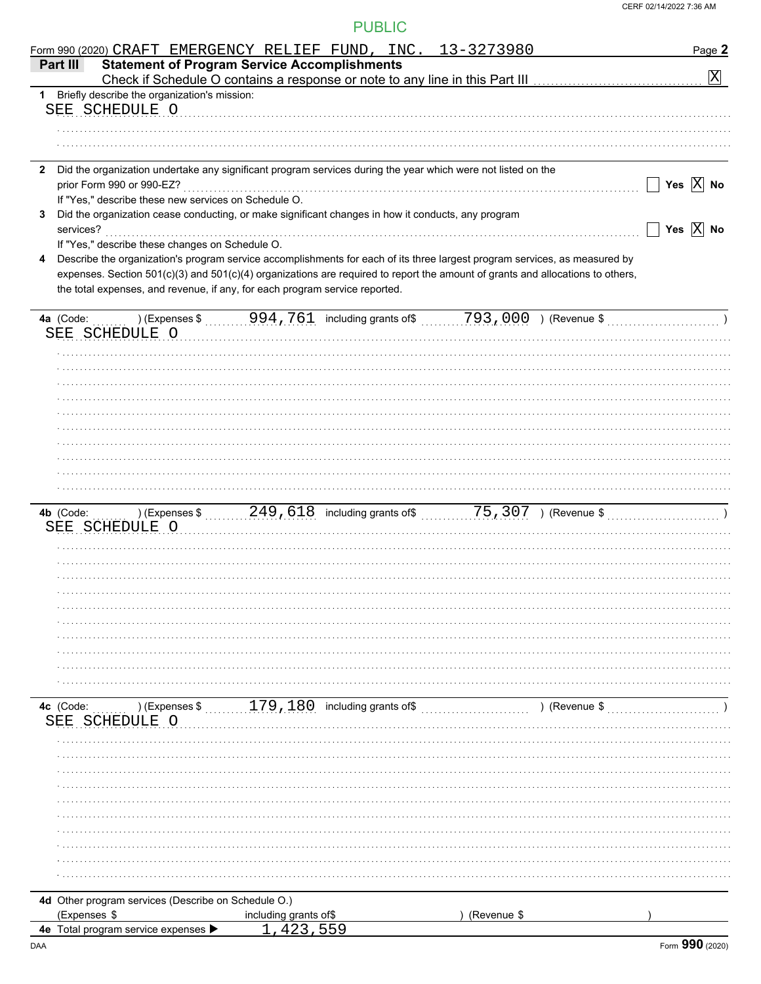|              | Form 990 (2020) CRAFT EMERGENCY RELIEF FUND, INC. 13-3273980                                                                              |                       |     |             |               | Page 2                    |
|--------------|-------------------------------------------------------------------------------------------------------------------------------------------|-----------------------|-----|-------------|---------------|---------------------------|
| Part III     | <b>Statement of Program Service Accomplishments</b>                                                                                       |                       |     |             |               | $\boxed{\text{X}}$        |
|              | 1 Briefly describe the organization's mission:                                                                                            |                       |     |             |               |                           |
|              | SEE SCHEDULE O                                                                                                                            |                       |     |             |               |                           |
|              |                                                                                                                                           |                       |     |             |               |                           |
|              |                                                                                                                                           |                       |     |             |               |                           |
|              |                                                                                                                                           |                       |     |             |               |                           |
| $\mathbf{2}$ | Did the organization undertake any significant program services during the year which were not listed on the<br>prior Form 990 or 990-EZ? |                       |     |             |               | Yes $\overline{X}$ No     |
|              | If "Yes," describe these new services on Schedule O.                                                                                      |                       |     |             |               |                           |
| 3            | Did the organization cease conducting, or make significant changes in how it conducts, any program                                        |                       |     |             |               |                           |
| services?    |                                                                                                                                           |                       |     |             |               | Yes $\boxed{\text{X}}$ No |
|              | If "Yes," describe these changes on Schedule O.                                                                                           |                       |     |             |               |                           |
|              | Describe the organization's program service accomplishments for each of its three largest program services, as measured by                |                       |     |             |               |                           |
|              | expenses. Section 501(c)(3) and 501(c)(4) organizations are required to report the amount of grants and allocations to others,            |                       |     |             |               |                           |
|              | the total expenses, and revenue, if any, for each program service reported.                                                               |                       |     |             |               |                           |
|              |                                                                                                                                           |                       |     |             |               |                           |
|              | SEE SCHEDULE O                                                                                                                            |                       |     |             |               |                           |
|              |                                                                                                                                           |                       |     |             |               |                           |
|              |                                                                                                                                           |                       |     |             |               |                           |
|              |                                                                                                                                           |                       |     |             |               |                           |
|              |                                                                                                                                           |                       |     |             |               |                           |
|              |                                                                                                                                           |                       |     |             |               |                           |
|              |                                                                                                                                           |                       |     |             |               |                           |
|              |                                                                                                                                           |                       |     |             |               |                           |
|              |                                                                                                                                           |                       |     |             |               |                           |
|              |                                                                                                                                           |                       |     |             |               |                           |
|              |                                                                                                                                           |                       |     |             |               |                           |
|              | SEE SCHEDULE O                                                                                                                            |                       |     |             |               |                           |
|              |                                                                                                                                           |                       |     |             |               |                           |
|              |                                                                                                                                           |                       |     |             |               |                           |
|              |                                                                                                                                           |                       |     |             |               |                           |
|              |                                                                                                                                           |                       |     |             |               |                           |
|              |                                                                                                                                           |                       |     |             |               |                           |
|              |                                                                                                                                           |                       |     |             |               |                           |
|              |                                                                                                                                           |                       |     |             |               |                           |
|              |                                                                                                                                           |                       |     |             |               |                           |
|              |                                                                                                                                           |                       |     |             |               |                           |
|              |                                                                                                                                           |                       |     |             |               |                           |
| 4c (Code:    | $\ldots$ ) (Expenses \$ $\ldots$ , 179, 180 including grants of \$ $\ldots$                                                               |                       |     |             | ) (Revenue \$ |                           |
| SEE          | SCHEDULE O                                                                                                                                |                       |     |             |               |                           |
|              |                                                                                                                                           |                       |     |             |               |                           |
|              |                                                                                                                                           |                       |     |             |               |                           |
|              |                                                                                                                                           |                       |     |             |               |                           |
|              |                                                                                                                                           |                       |     |             |               |                           |
|              |                                                                                                                                           |                       |     |             |               |                           |
|              |                                                                                                                                           |                       |     |             |               |                           |
|              |                                                                                                                                           |                       |     |             |               |                           |
|              |                                                                                                                                           |                       |     |             |               |                           |
|              |                                                                                                                                           |                       |     |             |               |                           |
|              | 4d Other program services (Describe on Schedule O.)                                                                                       |                       |     |             |               |                           |
| (Expenses \$ |                                                                                                                                           | including grants of\$ |     | (Revenue \$ |               |                           |
|              | 4e Total program service expenses >                                                                                                       |                       | 559 |             |               |                           |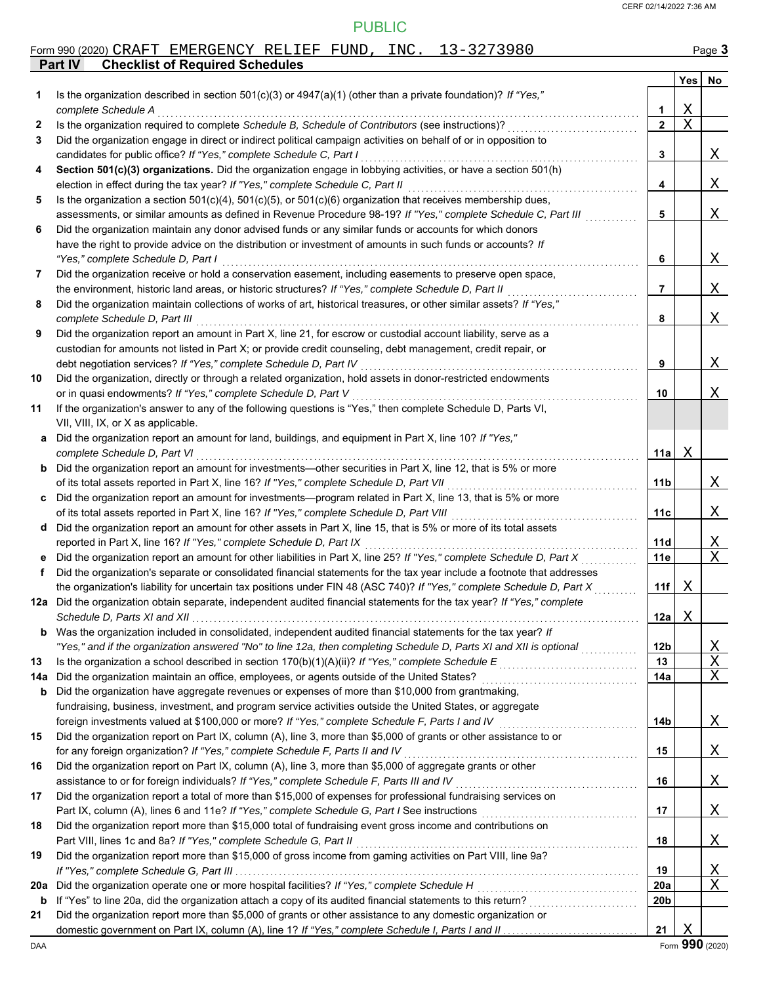|     | Form 990 (2020) CRAFT EMERGENCY RELIEF FUND, INC. 13-3273980                                                                                                                                                                                     |                 |                  | Page 3                  |
|-----|--------------------------------------------------------------------------------------------------------------------------------------------------------------------------------------------------------------------------------------------------|-----------------|------------------|-------------------------|
|     | <b>Checklist of Required Schedules</b><br><b>Part IV</b>                                                                                                                                                                                         |                 |                  |                         |
|     |                                                                                                                                                                                                                                                  |                 | Yes <sub>l</sub> | No                      |
| 1   | Is the organization described in section $501(c)(3)$ or $4947(a)(1)$ (other than a private foundation)? If "Yes,"                                                                                                                                |                 |                  |                         |
|     | complete Schedule A                                                                                                                                                                                                                              | 1               | Χ                |                         |
| 2   | Is the organization required to complete Schedule B, Schedule of Contributors (see instructions)?                                                                                                                                                | $\mathbf{2}$    | $\rm X$          |                         |
| 3   | Did the organization engage in direct or indirect political campaign activities on behalf of or in opposition to                                                                                                                                 |                 |                  |                         |
| 4   | candidates for public office? If "Yes," complete Schedule C, Part I<br>Section 501(c)(3) organizations. Did the organization engage in lobbying activities, or have a section 501(h)                                                             | 3               |                  | Χ                       |
|     | election in effect during the tax year? If "Yes," complete Schedule C, Part II                                                                                                                                                                   | 4               |                  | Χ                       |
| 5   | Is the organization a section $501(c)(4)$ , $501(c)(5)$ , or $501(c)(6)$ organization that receives membership dues,                                                                                                                             |                 |                  |                         |
|     | assessments, or similar amounts as defined in Revenue Procedure 98-19? If "Yes," complete Schedule C, Part III                                                                                                                                   | 5               |                  | Χ                       |
| 6   | Did the organization maintain any donor advised funds or any similar funds or accounts for which donors                                                                                                                                          |                 |                  |                         |
|     | have the right to provide advice on the distribution or investment of amounts in such funds or accounts? If                                                                                                                                      |                 |                  |                         |
|     | "Yes," complete Schedule D, Part I                                                                                                                                                                                                               | 6               |                  | Χ                       |
| 7   | Did the organization receive or hold a conservation easement, including easements to preserve open space,                                                                                                                                        |                 |                  |                         |
|     | the environment, historic land areas, or historic structures? If "Yes," complete Schedule D, Part II                                                                                                                                             | 7               |                  | Χ                       |
| 8   | Did the organization maintain collections of works of art, historical treasures, or other similar assets? If "Yes,"                                                                                                                              |                 |                  |                         |
|     | complete Schedule D, Part III                                                                                                                                                                                                                    | 8               |                  | Χ                       |
| 9   | Did the organization report an amount in Part X, line 21, for escrow or custodial account liability, serve as a                                                                                                                                  |                 |                  |                         |
|     | custodian for amounts not listed in Part X; or provide credit counseling, debt management, credit repair, or                                                                                                                                     |                 |                  |                         |
|     | debt negotiation services? If "Yes," complete Schedule D, Part IV                                                                                                                                                                                | 9               |                  | Χ                       |
| 10  | Did the organization, directly or through a related organization, hold assets in donor-restricted endowments                                                                                                                                     |                 |                  |                         |
|     | or in quasi endowments? If "Yes," complete Schedule D, Part V                                                                                                                                                                                    | 10              |                  | Χ                       |
| 11  | If the organization's answer to any of the following questions is "Yes," then complete Schedule D, Parts VI,                                                                                                                                     |                 |                  |                         |
|     | VII, VIII, IX, or X as applicable.                                                                                                                                                                                                               |                 |                  |                         |
| а   | Did the organization report an amount for land, buildings, and equipment in Part X, line 10? If "Yes,"                                                                                                                                           |                 |                  |                         |
|     | complete Schedule D, Part VI                                                                                                                                                                                                                     | 11a             | Χ                |                         |
| b   | Did the organization report an amount for investments—other securities in Part X, line 12, that is 5% or more                                                                                                                                    |                 |                  |                         |
|     | of its total assets reported in Part X, line 16? If "Yes," complete Schedule D, Part VII                                                                                                                                                         | 11b             |                  | Χ                       |
| c   | Did the organization report an amount for investments—program related in Part X, line 13, that is 5% or more                                                                                                                                     |                 |                  |                         |
|     | of its total assets reported in Part X, line 16? If "Yes," complete Schedule D, Part VIII                                                                                                                                                        | 11c             |                  | Χ                       |
| d   | Did the organization report an amount for other assets in Part X, line 15, that is 5% or more of its total assets                                                                                                                                |                 |                  |                         |
|     | reported in Part X, line 16? If "Yes," complete Schedule D, Part IX                                                                                                                                                                              | 11d             |                  | <u>X</u><br>$\mathbf X$ |
| f   | Did the organization report an amount for other liabilities in Part X, line 25? If "Yes," complete Schedule D, Part X<br>Did the organization's separate or consolidated financial statements for the tax year include a footnote that addresses | 11e             |                  |                         |
|     | the organization's liability for uncertain tax positions under FIN 48 (ASC 740)? If "Yes," complete Schedule D, Part X                                                                                                                           | 11f             | Χ                |                         |
|     | 12a Did the organization obtain separate, independent audited financial statements for the tax year? If "Yes," complete                                                                                                                          |                 |                  |                         |
|     | Schedule D, Parts XI and XII                                                                                                                                                                                                                     | 12a             | Χ                |                         |
|     | <b>b</b> Was the organization included in consolidated, independent audited financial statements for the tax year? If                                                                                                                            |                 |                  |                         |
|     | "Yes," and if the organization answered "No" to line 12a, then completing Schedule D, Parts XI and XII is optional                                                                                                                               | 12 <sub>b</sub> |                  | <u>X</u>                |
| 13  | Is the organization a school described in section $170(b)(1)(A)(ii)?$ If "Yes," complete Schedule E                                                                                                                                              | 13              |                  | $\mathbf X$             |
| 14a | Did the organization maintain an office, employees, or agents outside of the United States?                                                                                                                                                      | 14a             |                  | Χ                       |
| b   | Did the organization have aggregate revenues or expenses of more than \$10,000 from grantmaking,                                                                                                                                                 |                 |                  |                         |
|     | fundraising, business, investment, and program service activities outside the United States, or aggregate                                                                                                                                        |                 |                  |                         |
|     | foreign investments valued at \$100,000 or more? If "Yes," complete Schedule F, Parts I and IV                                                                                                                                                   | 14b             |                  | Χ                       |
| 15  | Did the organization report on Part IX, column (A), line 3, more than \$5,000 of grants or other assistance to or                                                                                                                                |                 |                  |                         |
|     | for any foreign organization? If "Yes," complete Schedule F, Parts II and IV                                                                                                                                                                     | 15              |                  | Χ                       |
| 16  | Did the organization report on Part IX, column (A), line 3, more than \$5,000 of aggregate grants or other                                                                                                                                       |                 |                  |                         |
|     | assistance to or for foreign individuals? If "Yes," complete Schedule F, Parts III and IV                                                                                                                                                        | 16              |                  | Χ                       |
| 17  | Did the organization report a total of more than \$15,000 of expenses for professional fundraising services on                                                                                                                                   |                 |                  |                         |
|     | Part IX, column (A), lines 6 and 11e? If "Yes," complete Schedule G, Part I See instructions                                                                                                                                                     | 17              |                  | Χ                       |
| 18  | Did the organization report more than \$15,000 total of fundraising event gross income and contributions on                                                                                                                                      |                 |                  |                         |
|     | Part VIII, lines 1c and 8a? If "Yes," complete Schedule G, Part II                                                                                                                                                                               | 18              |                  | Χ                       |
| 19  | Did the organization report more than \$15,000 of gross income from gaming activities on Part VIII, line 9a?                                                                                                                                     |                 |                  |                         |
|     |                                                                                                                                                                                                                                                  | 19              |                  | <u>X</u>                |
| 20a | Did the organization operate one or more hospital facilities? If "Yes," complete Schedule H                                                                                                                                                      | 20a             |                  | Χ                       |
| b   | If "Yes" to line 20a, did the organization attach a copy of its audited financial statements to this return?                                                                                                                                     | 20 <sub>b</sub> |                  |                         |
| 21  | Did the organization report more than \$5,000 of grants or other assistance to any domestic organization or                                                                                                                                      |                 | Χ                |                         |
|     |                                                                                                                                                                                                                                                  | 21              |                  |                         |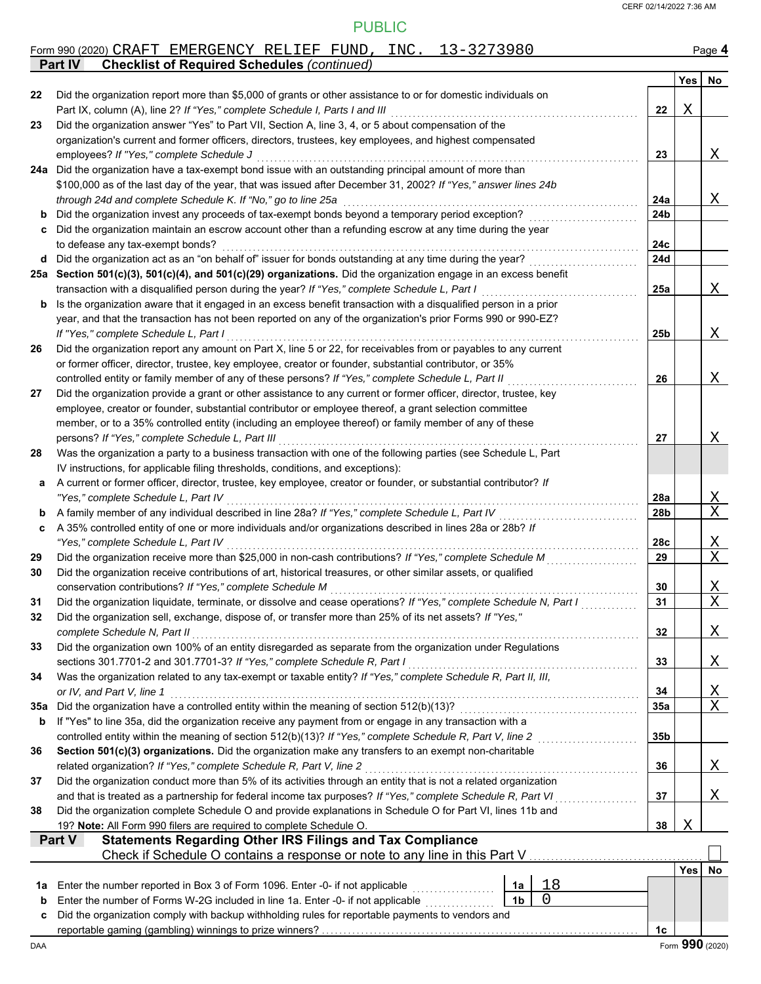|     | Form 990 (2020) CRAFT EMERGENCY RELIEF FUND, INC. 13-3273980                                                                                                                                                                     |                        |     | Page 4                     |
|-----|----------------------------------------------------------------------------------------------------------------------------------------------------------------------------------------------------------------------------------|------------------------|-----|----------------------------|
|     | <b>Checklist of Required Schedules (continued)</b><br><b>Part IV</b>                                                                                                                                                             |                        |     |                            |
| 22  | Did the organization report more than \$5,000 of grants or other assistance to or for domestic individuals on                                                                                                                    |                        | Yes | No                         |
|     | Part IX, column (A), line 2? If "Yes," complete Schedule I, Parts I and III                                                                                                                                                      | 22                     | Χ   |                            |
| 23  | Did the organization answer "Yes" to Part VII, Section A, line 3, 4, or 5 about compensation of the                                                                                                                              |                        |     |                            |
|     | organization's current and former officers, directors, trustees, key employees, and highest compensated                                                                                                                          |                        |     |                            |
|     | employees? If "Yes," complete Schedule J                                                                                                                                                                                         | 23                     |     | X                          |
|     | 24a Did the organization have a tax-exempt bond issue with an outstanding principal amount of more than                                                                                                                          |                        |     |                            |
|     | \$100,000 as of the last day of the year, that was issued after December 31, 2002? If "Yes," answer lines 24b                                                                                                                    |                        |     |                            |
| b   | through 24d and complete Schedule K. If "No," go to line 25a<br>Did the organization invest any proceeds of tax-exempt bonds beyond a temporary period exception?                                                                | 24a<br>24 <sub>b</sub> |     | X                          |
| c   | Did the organization maintain an escrow account other than a refunding escrow at any time during the year                                                                                                                        |                        |     |                            |
|     | to defease any tax-exempt bonds?                                                                                                                                                                                                 | 24c                    |     |                            |
| d   | Did the organization act as an "on behalf of" issuer for bonds outstanding at any time during the year?                                                                                                                          | 24d                    |     |                            |
|     | 25a Section 501(c)(3), 501(c)(4), and 501(c)(29) organizations. Did the organization engage in an excess benefit                                                                                                                 |                        |     |                            |
|     | transaction with a disqualified person during the year? If "Yes," complete Schedule L, Part I                                                                                                                                    | 25a                    |     | X                          |
| b   | Is the organization aware that it engaged in an excess benefit transaction with a disqualified person in a prior                                                                                                                 |                        |     |                            |
|     | year, and that the transaction has not been reported on any of the organization's prior Forms 990 or 990-EZ?                                                                                                                     |                        |     |                            |
|     | If "Yes," complete Schedule L, Part I                                                                                                                                                                                            | 25 <sub>b</sub>        |     | X                          |
| 26  | Did the organization report any amount on Part X, line 5 or 22, for receivables from or payables to any current<br>or former officer, director, trustee, key employee, creator or founder, substantial contributor, or 35%       |                        |     |                            |
|     | controlled entity or family member of any of these persons? If "Yes," complete Schedule L, Part II                                                                                                                               | 26                     |     | X                          |
| 27  | Did the organization provide a grant or other assistance to any current or former officer, director, trustee, key                                                                                                                |                        |     |                            |
|     | employee, creator or founder, substantial contributor or employee thereof, a grant selection committee                                                                                                                           |                        |     |                            |
|     | member, or to a 35% controlled entity (including an employee thereof) or family member of any of these                                                                                                                           |                        |     |                            |
|     | persons? If "Yes," complete Schedule L, Part III                                                                                                                                                                                 | 27                     |     | Χ                          |
| 28  | Was the organization a party to a business transaction with one of the following parties (see Schedule L, Part                                                                                                                   |                        |     |                            |
|     | IV instructions, for applicable filing thresholds, conditions, and exceptions):                                                                                                                                                  |                        |     |                            |
| а   | A current or former officer, director, trustee, key employee, creator or founder, or substantial contributor? If<br>"Yes," complete Schedule L, Part IV                                                                          | 28a                    |     |                            |
| b   | A family member of any individual described in line 28a? If "Yes," complete Schedule L, Part IV                                                                                                                                  | 28b                    |     | <u>X</u><br>$\overline{X}$ |
| c   | A 35% controlled entity of one or more individuals and/or organizations described in lines 28a or 28b? If                                                                                                                        |                        |     |                            |
|     | "Yes," complete Schedule L, Part IV                                                                                                                                                                                              | 28c                    |     | <u>X</u>                   |
| 29  | Did the organization receive more than \$25,000 in non-cash contributions? If "Yes," complete Schedule M                                                                                                                         | 29                     |     | $\overline{\text{X}}$      |
| 30  | Did the organization receive contributions of art, historical treasures, or other similar assets, or qualified                                                                                                                   |                        |     |                            |
|     | conservation contributions? If "Yes," complete Schedule M                                                                                                                                                                        | 30                     |     | Χ                          |
| 31  | Did the organization liquidate, terminate, or dissolve and cease operations? If "Yes," complete Schedule N, Part I                                                                                                               | 31                     |     | $\overline{\text{X}}$      |
| 32  | Did the organization sell, exchange, dispose of, or transfer more than 25% of its net assets? If "Yes,"                                                                                                                          |                        |     |                            |
| 33  | complete Schedule N, Part II<br>Did the organization own 100% of an entity disregarded as separate from the organization under Regulations                                                                                       | 32                     |     | X                          |
|     | sections 301.7701-2 and 301.7701-3? If "Yes," complete Schedule R, Part I                                                                                                                                                        | 33                     |     | Χ                          |
| 34  | Was the organization related to any tax-exempt or taxable entity? If "Yes," complete Schedule R, Part II, III,                                                                                                                   |                        |     |                            |
|     | or IV, and Part V, line 1                                                                                                                                                                                                        | 34                     |     |                            |
| 35а | Did the organization have a controlled entity within the meaning of section 512(b)(13)?                                                                                                                                          | 35a                    |     | $\frac{X}{X}$              |
| b   | If "Yes" to line 35a, did the organization receive any payment from or engage in any transaction with a                                                                                                                          |                        |     |                            |
|     | controlled entity within the meaning of section 512(b)(13)? If "Yes," complete Schedule R, Part V, line 2                                                                                                                        | 35b                    |     |                            |
| 36  | Section 501(c)(3) organizations. Did the organization make any transfers to an exempt non-charitable                                                                                                                             |                        |     |                            |
|     | related organization? If "Yes," complete Schedule R, Part V, line 2                                                                                                                                                              | 36                     |     | Χ                          |
| 37  | Did the organization conduct more than 5% of its activities through an entity that is not a related organization<br>and that is treated as a partnership for federal income tax purposes? If "Yes," complete Schedule R, Part VI | 37                     |     | Χ                          |
| 38  | Did the organization complete Schedule O and provide explanations in Schedule O for Part VI, lines 11b and                                                                                                                       |                        |     |                            |
|     | 19? Note: All Form 990 filers are required to complete Schedule O.                                                                                                                                                               | 38                     | Χ   |                            |
|     | <b>Statements Regarding Other IRS Filings and Tax Compliance</b><br>Part V                                                                                                                                                       |                        |     |                            |
|     | Check if Schedule O contains a response or note to any line in this Part V                                                                                                                                                       |                        |     |                            |
|     |                                                                                                                                                                                                                                  |                        | Yes | No                         |
| 1a  | 18<br>Enter the number reported in Box 3 of Form 1096. Enter -0- if not applicable<br>1a                                                                                                                                         |                        |     |                            |
| b   | 0<br>1 <sub>b</sub><br>Enter the number of Forms W-2G included in line 1a. Enter -0- if not applicable                                                                                                                           |                        |     |                            |
| c   | Did the organization comply with backup withholding rules for reportable payments to vendors and                                                                                                                                 | 1c                     |     |                            |
|     |                                                                                                                                                                                                                                  |                        |     |                            |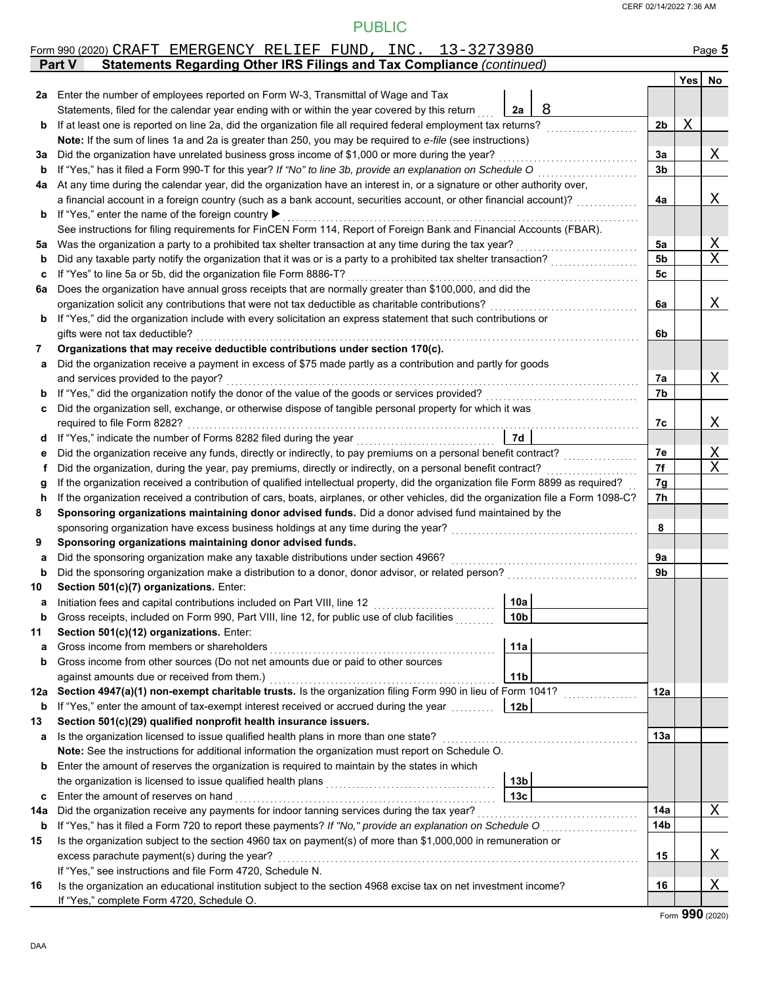|         | Form 990 (2020) CRAFT EMERGENCY RELIEF FUND, INC. 13-3273980                                                                                                                                                                 |                 |                |        | Page 5      |
|---------|------------------------------------------------------------------------------------------------------------------------------------------------------------------------------------------------------------------------------|-----------------|----------------|--------|-------------|
|         | Statements Regarding Other IRS Filings and Tax Compliance (continued)<br><b>Part V</b>                                                                                                                                       |                 |                |        |             |
|         |                                                                                                                                                                                                                              |                 |                | Yes No |             |
|         | 2a Enter the number of employees reported on Form W-3, Transmittal of Wage and Tax                                                                                                                                           |                 |                |        |             |
|         | Statements, filed for the calendar year ending with or within the year covered by this return                                                                                                                                | 8<br>2a         |                |        |             |
| b       | If at least one is reported on line 2a, did the organization file all required federal employment tax returns?                                                                                                               |                 | 2 <sub>b</sub> | Χ      |             |
|         | Note: If the sum of lines 1a and 2a is greater than 250, you may be required to e-file (see instructions)                                                                                                                    |                 |                |        |             |
| За      | Did the organization have unrelated business gross income of \$1,000 or more during the year?                                                                                                                                |                 | 3a             |        | Χ           |
| b       | If "Yes," has it filed a Form 990-T for this year? If "No" to line 3b, provide an explanation on Schedule O                                                                                                                  |                 | 3b             |        |             |
| 4a      | At any time during the calendar year, did the organization have an interest in, or a signature or other authority over,                                                                                                      |                 |                |        |             |
|         | a financial account in a foreign country (such as a bank account, securities account, or other financial account)?                                                                                                           |                 | 4a             |        | Χ           |
| b       | If "Yes," enter the name of the foreign country ▶                                                                                                                                                                            |                 |                |        |             |
|         | See instructions for filing requirements for FinCEN Form 114, Report of Foreign Bank and Financial Accounts (FBAR).<br>Was the organization a party to a prohibited tax shelter transaction at any time during the tax year? |                 | 5a             |        | Χ           |
| 5a<br>b | Did any taxable party notify the organization that it was or is a party to a prohibited tax shelter transaction?                                                                                                             |                 | 5b             |        | $\mathbf X$ |
| c       | If "Yes" to line 5a or 5b, did the organization file Form 8886-T?                                                                                                                                                            |                 | 5c             |        |             |
| 6a      | Does the organization have annual gross receipts that are normally greater than \$100,000, and did the                                                                                                                       |                 |                |        |             |
|         | organization solicit any contributions that were not tax deductible as charitable contributions?                                                                                                                             |                 | 6a             |        | Χ           |
| b       | If "Yes," did the organization include with every solicitation an express statement that such contributions or                                                                                                               |                 |                |        |             |
|         | gifts were not tax deductible?                                                                                                                                                                                               |                 | 6b             |        |             |
| 7       | Organizations that may receive deductible contributions under section 170(c).                                                                                                                                                |                 |                |        |             |
| a       | Did the organization receive a payment in excess of \$75 made partly as a contribution and partly for goods                                                                                                                  |                 |                |        |             |
|         | and services provided to the payor?                                                                                                                                                                                          |                 | 7a             |        | Χ           |
| b       | If "Yes," did the organization notify the donor of the value of the goods or services provided?                                                                                                                              |                 | 7b             |        |             |
| c       | Did the organization sell, exchange, or otherwise dispose of tangible personal property for which it was                                                                                                                     |                 |                |        |             |
|         | required to file Form 8282?                                                                                                                                                                                                  |                 | 7c             |        | Χ           |
| d       | If "Yes," indicate the number of Forms 8282 filed during the year                                                                                                                                                            | <b>7d</b>       |                |        |             |
| е       | Did the organization receive any funds, directly or indirectly, to pay premiums on a personal benefit contract?                                                                                                              |                 | 7e             |        | Χ           |
| f       | Did the organization, during the year, pay premiums, directly or indirectly, on a personal benefit contract?                                                                                                                 |                 | 7f             |        | X           |
| g       | If the organization received a contribution of qualified intellectual property, did the organization file Form 8899 as required?                                                                                             |                 | 7g             |        |             |
| h       | If the organization received a contribution of cars, boats, airplanes, or other vehicles, did the organization file a Form 1098-C?                                                                                           |                 | 7h             |        |             |
| 8       | Sponsoring organizations maintaining donor advised funds. Did a donor advised fund maintained by the                                                                                                                         |                 |                |        |             |
|         | sponsoring organization have excess business holdings at any time during the year?                                                                                                                                           |                 | 8              |        |             |
| 9       | Sponsoring organizations maintaining donor advised funds.                                                                                                                                                                    |                 |                |        |             |
| a       | Did the sponsoring organization make any taxable distributions under section 4966?                                                                                                                                           |                 | 9a             |        |             |
| b       | Did the sponsoring organization make a distribution to a donor, donor advisor, or related person?                                                                                                                            |                 | 9b             |        |             |
| 10      | Section 501(c)(7) organizations. Enter:                                                                                                                                                                                      |                 |                |        |             |
|         |                                                                                                                                                                                                                              | 10a             |                |        |             |
| b       | Gross receipts, included on Form 990, Part VIII, line 12, for public use of club facilities                                                                                                                                  | 10 <sub>b</sub> |                |        |             |
| 11      | Section 501(c)(12) organizations. Enter:                                                                                                                                                                                     |                 |                |        |             |
| a       | Gross income from members or shareholders                                                                                                                                                                                    | 11a             |                |        |             |
| b       | Gross income from other sources (Do not net amounts due or paid to other sources<br>against amounts due or received from them.)                                                                                              | 11 <sub>b</sub> |                |        |             |
| 12a     | Section 4947(a)(1) non-exempt charitable trusts. Is the organization filing Form 990 in lieu of Form 1041?                                                                                                                   |                 | 12a            |        |             |
|         | <b>b</b> If "Yes," enter the amount of tax-exempt interest received or accrued during the year <i>minimal</i>                                                                                                                | 12 <sub>b</sub> |                |        |             |
| 13      | Section 501(c)(29) qualified nonprofit health insurance issuers.                                                                                                                                                             |                 |                |        |             |
| a       | Is the organization licensed to issue qualified health plans in more than one state?                                                                                                                                         |                 | 13a            |        |             |
|         | Note: See the instructions for additional information the organization must report on Schedule O.                                                                                                                            |                 |                |        |             |
| b       | Enter the amount of reserves the organization is required to maintain by the states in which                                                                                                                                 |                 |                |        |             |
|         |                                                                                                                                                                                                                              | 13 <sub>b</sub> |                |        |             |
| c       | Enter the amount of reserves on hand                                                                                                                                                                                         | 13 <sub>c</sub> |                |        |             |
| 14a     | Did the organization receive any payments for indoor tanning services during the tax year?                                                                                                                                   |                 | 14a            |        | Χ           |
| b       | If "Yes," has it filed a Form 720 to report these payments? If "No," provide an explanation on Schedule O                                                                                                                    |                 | 14b            |        |             |
| 15      | Is the organization subject to the section 4960 tax on payment(s) of more than \$1,000,000 in remuneration or                                                                                                                |                 |                |        |             |
|         | excess parachute payment(s) during the year?                                                                                                                                                                                 |                 | 15             |        | Χ           |
|         | If "Yes," see instructions and file Form 4720, Schedule N.                                                                                                                                                                   |                 |                |        |             |
| 16      | Is the organization an educational institution subject to the section 4968 excise tax on net investment income?                                                                                                              |                 | 16             |        | Χ           |
|         | If "Yes," complete Form 4720, Schedule O.                                                                                                                                                                                    |                 |                |        |             |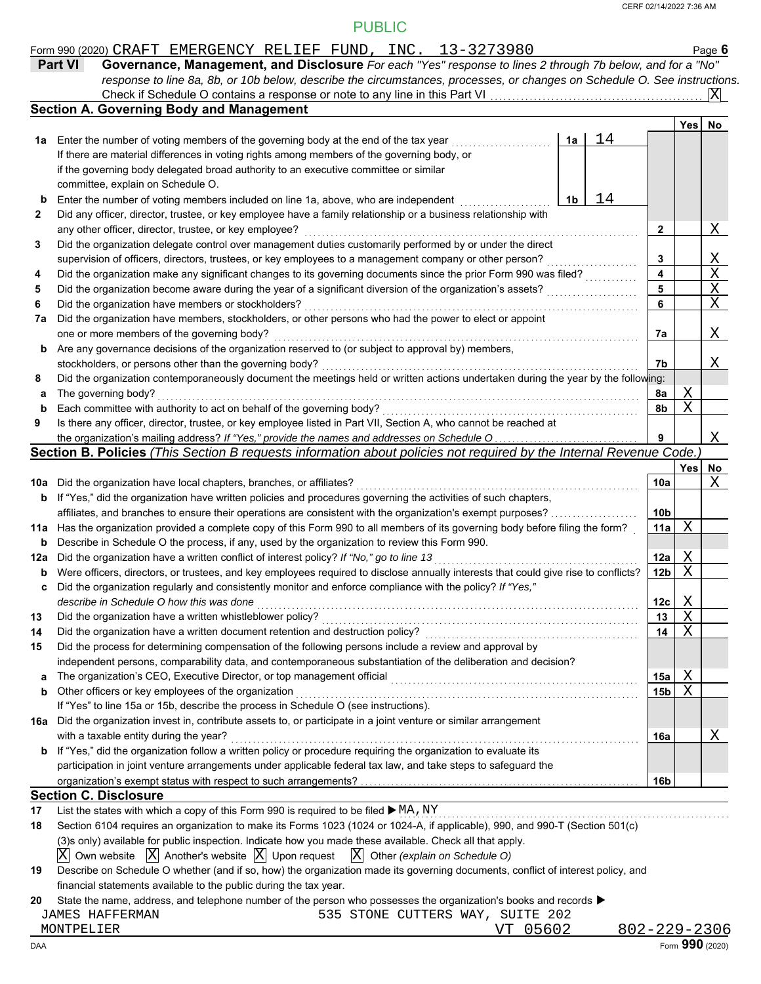#### Form 990 (2020) Page **6** CRAFT EMERGENCY RELIEF FUND, INC. 13-3273980

| <b>Part VI</b> | Governance, Management, and Disclosure For each "Yes" response to lines 2 through 7b below, and for a "No"                |
|----------------|---------------------------------------------------------------------------------------------------------------------------|
|                | response to line 8a, 8b, or 10b below, describe the circumstances, processes, or changes on Schedule O. See instructions. |
|                |                                                                                                                           |
|                | <b>Covering Body and Management</b>                                                                                       |

|     | <b>Section A. Governing Body and Management</b>                                                                                     |    |    |                 |     |     |
|-----|-------------------------------------------------------------------------------------------------------------------------------------|----|----|-----------------|-----|-----|
|     |                                                                                                                                     |    |    |                 | Yes | No. |
| 1а  | Enter the number of voting members of the governing body at the end of the tax year                                                 | 1a | 14 |                 |     |     |
|     | If there are material differences in voting rights among members of the governing body, or                                          |    |    |                 |     |     |
|     | if the governing body delegated broad authority to an executive committee or similar                                                |    |    |                 |     |     |
|     | committee, explain on Schedule O.                                                                                                   |    |    |                 |     |     |
| b   | Enter the number of voting members included on line 1a, above, who are independent                                                  | 1b | 14 |                 |     |     |
| 2   | Did any officer, director, trustee, or key employee have a family relationship or a business relationship with                      |    |    |                 |     |     |
|     | any other officer, director, trustee, or key employee?                                                                              |    |    | 2               |     | Χ   |
| 3   | Did the organization delegate control over management duties customarily performed by or under the direct                           |    |    |                 |     |     |
|     | supervision of officers, directors, trustees, or key employees to a management company or other person?                             |    |    | 3               |     | Χ   |
| 4   | Did the organization make any significant changes to its governing documents since the prior Form 990 was filed?                    |    |    | 4               |     | Χ   |
| 5   | Did the organization become aware during the year of a significant diversion of the organization's assets?                          |    |    | 5               |     | Χ   |
| 6   | Did the organization have members or stockholders?                                                                                  |    |    | 6               |     | Χ   |
| 7a  | Did the organization have members, stockholders, or other persons who had the power to elect or appoint                             |    |    |                 |     |     |
|     | one or more members of the governing body?                                                                                          |    |    | 7а              |     | Χ   |
| b   | Are any governance decisions of the organization reserved to (or subject to approval by) members,                                   |    |    |                 |     |     |
|     | stockholders, or persons other than the governing body?                                                                             |    |    | 7b              |     | Χ   |
| 8   | Did the organization contemporaneously document the meetings held or written actions undertaken during the year by the following:   |    |    |                 |     |     |
| а   | The governing body?                                                                                                                 |    |    | 8a              | Χ   |     |
| b   | Each committee with authority to act on behalf of the governing body?                                                               |    |    | 8b              | X   |     |
| 9   | Is there any officer, director, trustee, or key employee listed in Part VII, Section A, who cannot be reached at                    |    |    |                 |     |     |
|     | the organization's mailing address? If "Yes," provide the names and addresses on Schedule O                                         |    |    | 9               |     | Χ   |
|     | Section B. Policies (This Section B requests information about policies not required by the Internal Revenue Code.)                 |    |    |                 |     |     |
|     |                                                                                                                                     |    |    |                 | Yes | No  |
| 10a | Did the organization have local chapters, branches, or affiliates?                                                                  |    |    | 10a             |     | Χ   |
| b   | If "Yes," did the organization have written policies and procedures governing the activities of such chapters,                      |    |    |                 |     |     |
|     | affiliates, and branches to ensure their operations are consistent with the organization's exempt purposes?                         |    |    | 10 <sub>b</sub> |     |     |
| 11a | Has the organization provided a complete copy of this Form 990 to all members of its governing body before filing the form?         |    |    | 11a             | X   |     |
| b   | Describe in Schedule O the process, if any, used by the organization to review this Form 990.                                       |    |    |                 |     |     |
| 12a | Did the organization have a written conflict of interest policy? If "No," go to line 13                                             |    |    | 12a             | Χ   |     |
| b   | Were officers, directors, or trustees, and key employees required to disclose annually interests that could give rise to conflicts? |    |    | 12b             | X   |     |
| c   | Did the organization regularly and consistently monitor and enforce compliance with the policy? If "Yes,"                           |    |    |                 |     |     |
|     | describe in Schedule O how this was done                                                                                            |    |    | 12c             | Χ   |     |
| 13  | Did the organization have a written whistleblower policy?                                                                           |    |    | 13              | X   |     |
| 14  | Did the organization have a written document retention and destruction policy?                                                      |    |    | 14              | Χ   |     |
| 15  | Did the process for determining compensation of the following persons include a review and approval by                              |    |    |                 |     |     |
|     | independent persons, comparability data, and contemporaneous substantiation of the deliberation and decision?                       |    |    |                 |     |     |
| a   | The organization's CEO, Executive Director, or top management official                                                              |    |    | 15a             | Χ   |     |
| b   | Other officers or key employees of the organization                                                                                 |    |    | 15b             | X   |     |
|     | If "Yes" to line 15a or 15b, describe the process in Schedule O (see instructions).                                                 |    |    |                 |     |     |
| 16a | Did the organization invest in, contribute assets to, or participate in a joint venture or similar arrangement                      |    |    |                 |     |     |
|     | with a taxable entity during the year?                                                                                              |    |    | 16a             |     | Χ   |
| b   | If "Yes," did the organization follow a written policy or procedure requiring the organization to evaluate its                      |    |    |                 |     |     |
|     | participation in joint venture arrangements under applicable federal tax law, and take steps to safeguard the                       |    |    |                 |     |     |
|     |                                                                                                                                     |    |    | 16b             |     |     |
|     | <b>Section C. Disclosure</b>                                                                                                        |    |    |                 |     |     |
| 17  | List the states with which a copy of this Form 990 is required to be filed ▶ MA, NY                                                 |    |    |                 |     |     |
| 18  | Section 6104 requires an organization to make its Forms 1023 (1024 or 1024-A, if applicable), 990, and 990-T (Section 501(c)        |    |    |                 |     |     |
|     | (3)s only) available for public inspection. Indicate how you made these available. Check all that apply.                            |    |    |                 |     |     |
|     |                                                                                                                                     |    |    |                 |     |     |

 $\overline{\mathrm{X}}$  Own website  $\overline{\mathrm{X}}$  Another's website  $\overline{\mathrm{X}}$  Upon request  $\overline{\mathrm{X}}$  Other *(explain on Schedule O)* 

| 19 Describe on Schedule O whether (and if so, how) the organization made its governing documents, conflict of interest policy, and |
|------------------------------------------------------------------------------------------------------------------------------------|
| financial statements available to the public during the tax year.                                                                  |

**20** State the name, address, and telephone number of the person who possesses the organization's books and records ▶

JAMES HAFFERMAN 535 STONE CUTTERS WAY, SUITE 202

MONTPELIER VT 05602 802-229-2306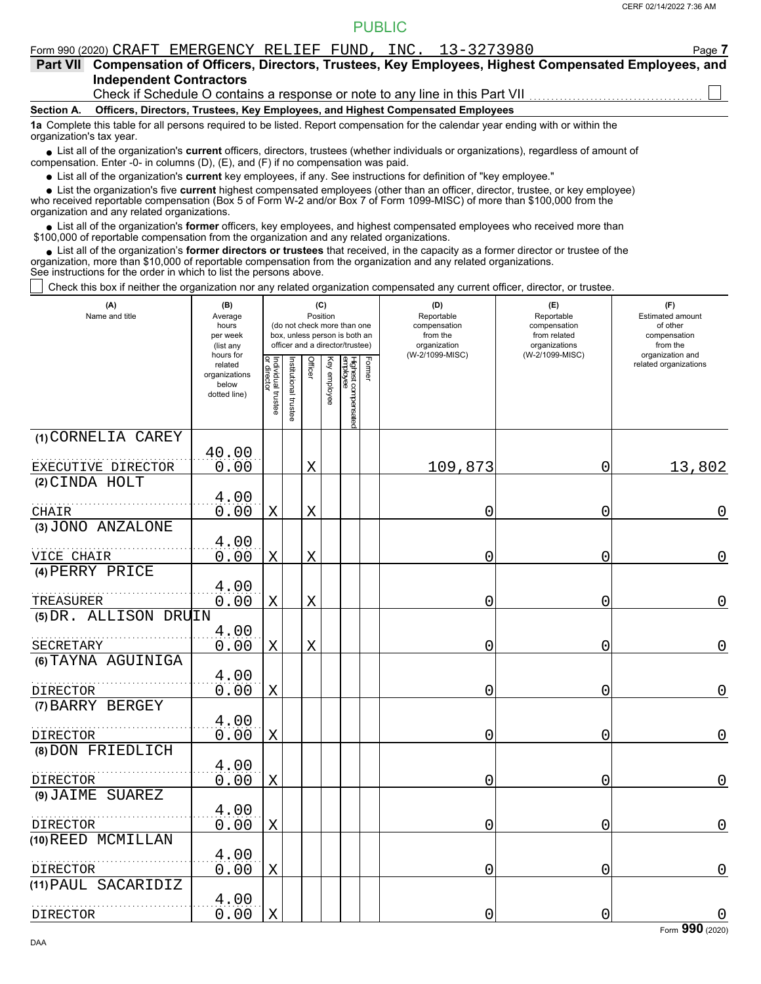|                 | Form 990 (2020) CRAFT EMERGENCY RELIEF FUND, INC. 13-3273980                                                                                                                                                                                                | Page 7 |
|-----------------|-------------------------------------------------------------------------------------------------------------------------------------------------------------------------------------------------------------------------------------------------------------|--------|
| <b>Part VII</b> | Compensation of Officers, Directors, Trustees, Key Employees, Highest Compensated Employees, and                                                                                                                                                            |        |
|                 | <b>Independent Contractors</b>                                                                                                                                                                                                                              |        |
|                 | Check if Schedule O contains a response or note to any line in this Part VII                                                                                                                                                                                |        |
| Section A.      | Officers, Directors, Trustees, Key Employees, and Highest Compensated Employees                                                                                                                                                                             |        |
|                 | 1a Complete this table for all persons required to be listed. Report compensation for the calendar year ending with or within the<br>organization's tax year.                                                                                               |        |
|                 | • List all of the organization's current officers, directors, trustees (whether individuals or organizations), regardless of amount of<br>compensation. Enter -0- in columns (D), (E), and (F) if no compensation was paid.                                 |        |
|                 | • List all of the organization's current key employees, if any. See instructions for definition of "key employee."                                                                                                                                          |        |
|                 | • List the organization's five current highest compensated employees (other than an officer, director, trustee, or key employee)<br>upo received reportable companeation (Rey 5 of Ferm W 2 and/or Rey 7 of Ferm 1000 MICC) of mero than \$100,000 from the |        |

who received reportable compensation (Box 5 of Form W-2 and/or Box 7 of Form 1099-MISC) of more than \$100,000 from the organization and any related organizations.

List all of the organization's **former** officers, key employees, and highest compensated employees who received more than • List all of the organization's **former** officers, key employees, and highest compensate \$100,000 of reportable compensation from the organization and any related organizations.

List all of the organization's **former directors or trustees** that received, in the capacity as a former director or trustee of the organization, more than \$10,000 of reportable compensation from the organization and any related organizations. See instructions for the order in which to list the persons above. **•**

Check this box if neither the organization nor any related organization compensated any current officer, director, or trustee.

| (A)<br>Name and title         | (B)<br>Average<br>hours<br>per week<br>(list any               | (C)<br>Position<br>(do not check more than one<br>box, unless person is both an<br>officer and a director/trustee) |                       |             |              |                                 |        | (D)<br>Reportable<br>compensation<br>from the<br>organization | (E)<br>Reportable<br>compensation<br>from related<br>organizations | (F)<br>Estimated amount<br>of other<br>compensation<br>from the |
|-------------------------------|----------------------------------------------------------------|--------------------------------------------------------------------------------------------------------------------|-----------------------|-------------|--------------|---------------------------------|--------|---------------------------------------------------------------|--------------------------------------------------------------------|-----------------------------------------------------------------|
|                               | hours for<br>related<br>organizations<br>below<br>dotted line) | Individual trustee<br>or director                                                                                  | Institutional trustee | Officer     | Key employee | Highest compensated<br>employee | Former | (W-2/1099-MISC)                                               | (W-2/1099-MISC)                                                    | organization and<br>related organizations                       |
| (1) CORNELIA CAREY            |                                                                |                                                                                                                    |                       |             |              |                                 |        |                                                               |                                                                    |                                                                 |
| EXECUTIVE DIRECTOR            | 40.00<br>0.00                                                  |                                                                                                                    |                       | X           |              |                                 |        | 109,873                                                       | 0                                                                  | 13,802                                                          |
| (2) CINDA HOLT                |                                                                |                                                                                                                    |                       |             |              |                                 |        |                                                               |                                                                    |                                                                 |
|                               | 4.00                                                           |                                                                                                                    |                       |             |              |                                 |        |                                                               |                                                                    |                                                                 |
| CHAIR<br>(3) JONO ANZALONE    | 0.00                                                           | $\mathbf X$                                                                                                        |                       | $\mathbf X$ |              |                                 |        | 0                                                             | 0                                                                  | $\mathbf 0$                                                     |
|                               | 4.00                                                           |                                                                                                                    |                       |             |              |                                 |        |                                                               |                                                                    |                                                                 |
| VICE CHAIR<br>(4) PERRY PRICE | 0.00                                                           | $\mathbf X$                                                                                                        |                       | X           |              |                                 |        | 0                                                             | 0                                                                  | $\overline{0}$                                                  |
| TREASURER                     | 4.00<br>0.00                                                   | $\mathbf X$                                                                                                        |                       | X           |              |                                 |        | 0                                                             | 0                                                                  | 0                                                               |
| (5) DR. ALLISON DRUIN         |                                                                |                                                                                                                    |                       |             |              |                                 |        |                                                               |                                                                    |                                                                 |
| SECRETARY                     | 4.00<br>0.00                                                   | $\mathbf X$                                                                                                        |                       | $\mathbf X$ |              |                                 |        | 0                                                             | 0                                                                  | $\mathbf 0$                                                     |
| (6) TAYNA AGUINIGA            |                                                                |                                                                                                                    |                       |             |              |                                 |        |                                                               |                                                                    |                                                                 |
| DIRECTOR                      | 4.00<br>0.00                                                   | $\mathbf X$                                                                                                        |                       |             |              |                                 |        | 0                                                             | 0                                                                  | $\mathbf 0$                                                     |
| (7) BARRY BERGEY              |                                                                |                                                                                                                    |                       |             |              |                                 |        |                                                               |                                                                    |                                                                 |
| DIRECTOR                      | 4.00<br>0.00                                                   | $\mathbf X$                                                                                                        |                       |             |              |                                 |        | 0                                                             | 0                                                                  | $\overline{0}$                                                  |
| (8) DON FRIEDLICH             |                                                                |                                                                                                                    |                       |             |              |                                 |        |                                                               |                                                                    |                                                                 |
| <b>DIRECTOR</b>               | 4.00<br>0.00                                                   | $\mathbf X$                                                                                                        |                       |             |              |                                 |        | 0                                                             | 0                                                                  | $\mathbf 0$                                                     |
| (9) JAIME SUAREZ              |                                                                |                                                                                                                    |                       |             |              |                                 |        |                                                               |                                                                    |                                                                 |
| DIRECTOR                      | 4.00<br>0.00                                                   | X                                                                                                                  |                       |             |              |                                 |        | 0                                                             | 0                                                                  | $\mathbf 0$                                                     |
| (10) REED MCMILLAN            |                                                                |                                                                                                                    |                       |             |              |                                 |        |                                                               |                                                                    |                                                                 |
| DIRECTOR                      | 4.00<br>0.00                                                   | Χ                                                                                                                  |                       |             |              |                                 |        | 0                                                             | 0                                                                  | $\overline{0}$                                                  |
| (11) PAUL SACARIDIZ           |                                                                |                                                                                                                    |                       |             |              |                                 |        |                                                               |                                                                    |                                                                 |
| DIRECTOR                      | 4.00<br>0.00                                                   | $\mathbf X$                                                                                                        |                       |             |              |                                 |        | 0                                                             | 0                                                                  | $\mathbf 0$                                                     |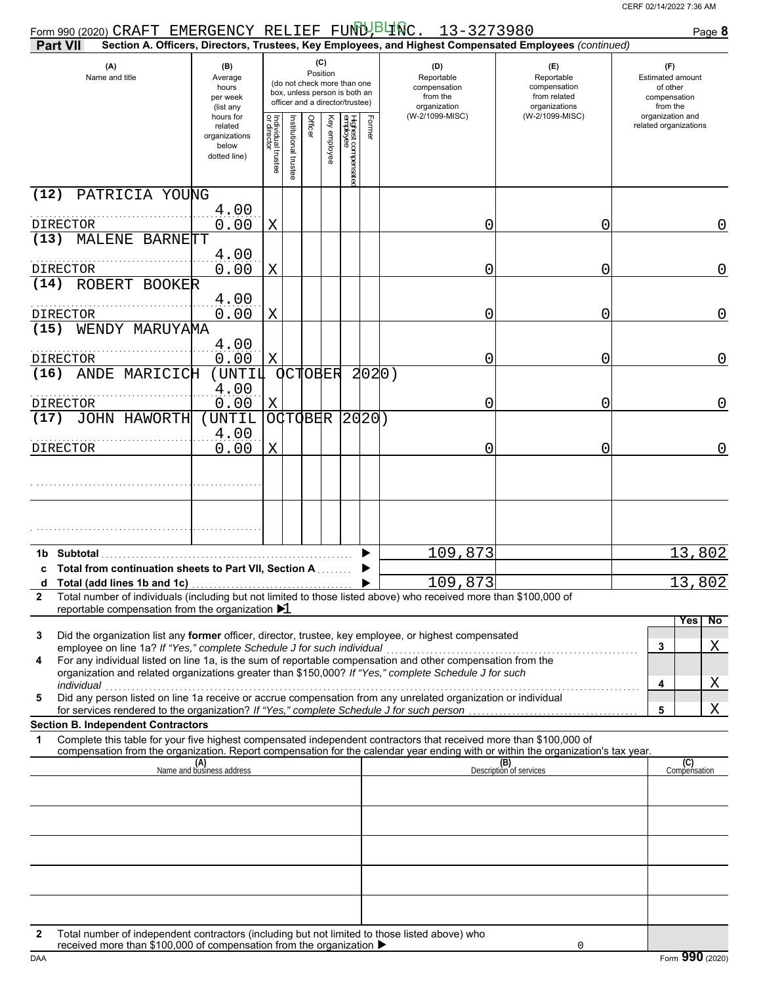| Form 990 (2020) CRAFT EMERGENCY RELIEF FUND BURC. $13-3273980$<br><b>Part VII</b>                                                                                                                                                                                                                                                                                                                                                                                                                                                                     |                                                                                                                                                                        |                         |                      |                |              |                                 |        |                                                               | Section A. Officers, Directors, Trustees, Key Employees, and Highest Compensated Employees (continued) |   | Page 8                                                                 |
|-------------------------------------------------------------------------------------------------------------------------------------------------------------------------------------------------------------------------------------------------------------------------------------------------------------------------------------------------------------------------------------------------------------------------------------------------------------------------------------------------------------------------------------------------------|------------------------------------------------------------------------------------------------------------------------------------------------------------------------|-------------------------|----------------------|----------------|--------------|---------------------------------|--------|---------------------------------------------------------------|--------------------------------------------------------------------------------------------------------|---|------------------------------------------------------------------------|
| (A)<br>Name and title                                                                                                                                                                                                                                                                                                                                                                                                                                                                                                                                 | (C)<br>(B)<br>Position<br>Average<br>(do not check more than one<br>hours<br>box, unless person is both an<br>per week<br>officer and a director/trustee)<br>(list any |                         |                      |                |              |                                 |        | (D)<br>Reportable<br>compensation<br>from the<br>organization | (E)<br>Reportable<br>compensation<br>from related<br>organizations                                     |   | (F)<br><b>Estimated amount</b><br>of other<br>compensation<br>from the |
|                                                                                                                                                                                                                                                                                                                                                                                                                                                                                                                                                       | hours for<br>related<br>organizations<br>below<br>dotted line)                                                                                                         | Individual 1<br>Itustee | nstitutional trustee | Officer        | Key employee | Highest compensatec<br>employee | Former | (W-2/1099-MISC)                                               | (W-2/1099-MISC)                                                                                        |   | organization and<br>related organizations                              |
| (12)<br>PATRICIA YOUNG                                                                                                                                                                                                                                                                                                                                                                                                                                                                                                                                |                                                                                                                                                                        |                         |                      |                |              |                                 |        |                                                               |                                                                                                        |   |                                                                        |
| DIRECTOR<br>(13)<br>MALENE BARNETT                                                                                                                                                                                                                                                                                                                                                                                                                                                                                                                    | 4.00<br>0.00                                                                                                                                                           | Χ                       |                      |                |              |                                 |        | 0                                                             |                                                                                                        | 0 | 0                                                                      |
| DIRECTOR                                                                                                                                                                                                                                                                                                                                                                                                                                                                                                                                              | 4.00<br>0.00                                                                                                                                                           | Χ                       |                      |                |              |                                 |        | 0                                                             |                                                                                                        | 0 | 0                                                                      |
| ROBERT BOOKER<br>(14)                                                                                                                                                                                                                                                                                                                                                                                                                                                                                                                                 | 4.00                                                                                                                                                                   |                         |                      |                |              |                                 |        |                                                               |                                                                                                        |   |                                                                        |
| DIRECTOR<br>(15)<br>WENDY MARUYAMA                                                                                                                                                                                                                                                                                                                                                                                                                                                                                                                    | 0.00                                                                                                                                                                   | Χ                       |                      |                |              |                                 |        | 0                                                             |                                                                                                        | 0 | 0                                                                      |
| DIRECTOR                                                                                                                                                                                                                                                                                                                                                                                                                                                                                                                                              | 4.00<br>0.00                                                                                                                                                           | Χ                       |                      |                |              |                                 |        | 0                                                             |                                                                                                        | 0 | 0                                                                      |
| (16)<br>ANDE MARICICH                                                                                                                                                                                                                                                                                                                                                                                                                                                                                                                                 | (UNTIL<br>4.00                                                                                                                                                         |                         |                      | OCTOBER        |              |                                 | 2020)  |                                                               |                                                                                                        |   |                                                                        |
| DIRECTOR                                                                                                                                                                                                                                                                                                                                                                                                                                                                                                                                              | 0.00                                                                                                                                                                   | Χ                       |                      |                |              |                                 |        | 0                                                             |                                                                                                        | 0 | 0                                                                      |
| JOHN HAWORTH<br>(17)                                                                                                                                                                                                                                                                                                                                                                                                                                                                                                                                  | (UNTIL<br>4.00                                                                                                                                                         |                         |                      | <b>OCTOBER</b> |              | 2020)                           |        |                                                               |                                                                                                        |   |                                                                        |
| DIRECTOR                                                                                                                                                                                                                                                                                                                                                                                                                                                                                                                                              | 0.00                                                                                                                                                                   | X                       |                      |                |              |                                 |        | 0                                                             |                                                                                                        | 0 | 0                                                                      |
|                                                                                                                                                                                                                                                                                                                                                                                                                                                                                                                                                       |                                                                                                                                                                        |                         |                      |                |              |                                 |        |                                                               |                                                                                                        |   |                                                                        |
|                                                                                                                                                                                                                                                                                                                                                                                                                                                                                                                                                       |                                                                                                                                                                        |                         |                      |                |              |                                 |        |                                                               |                                                                                                        |   |                                                                        |
| 1b Subtotal                                                                                                                                                                                                                                                                                                                                                                                                                                                                                                                                           |                                                                                                                                                                        |                         |                      |                |              |                                 |        | 109,873                                                       |                                                                                                        |   | 13,802                                                                 |
| c Total from continuation sheets to Part VII, Section A<br>Total (add lines 1b and 1c)<br>d                                                                                                                                                                                                                                                                                                                                                                                                                                                           |                                                                                                                                                                        |                         |                      |                |              |                                 |        | 109,873                                                       |                                                                                                        |   | 13,802                                                                 |
| Total number of individuals (including but not limited to those listed above) who received more than \$100,000 of<br>2<br>reportable compensation from the organization ▶1                                                                                                                                                                                                                                                                                                                                                                            |                                                                                                                                                                        |                         |                      |                |              |                                 |        |                                                               |                                                                                                        |   |                                                                        |
| Did the organization list any former officer, director, trustee, key employee, or highest compensated<br>3<br>employee on line 1a? If "Yes," complete Schedule J for such individual<br>For any individual listed on line 1a, is the sum of reportable compensation and other compensation from the<br>4<br>organization and related organizations greater than \$150,000? If "Yes," complete Schedule J for such<br>individual<br>Did any person listed on line 1a receive or accrue compensation from any unrelated organization or individual<br>5 |                                                                                                                                                                        |                         |                      |                |              |                                 |        |                                                               |                                                                                                        |   | No<br><b>Yes</b><br>3<br>Χ<br>Χ<br>4                                   |
| for services rendered to the organization? If "Yes," complete Schedule J for such person                                                                                                                                                                                                                                                                                                                                                                                                                                                              |                                                                                                                                                                        |                         |                      |                |              |                                 |        |                                                               |                                                                                                        |   | 5<br>Χ                                                                 |
| <b>Section B. Independent Contractors</b><br>Complete this table for your five highest compensated independent contractors that received more than \$100,000 of<br>1<br>compensation from the organization. Report compensation for the calendar year ending with or within the organization's tax year.                                                                                                                                                                                                                                              |                                                                                                                                                                        |                         |                      |                |              |                                 |        |                                                               |                                                                                                        |   |                                                                        |
|                                                                                                                                                                                                                                                                                                                                                                                                                                                                                                                                                       | (A)<br>Name and business address                                                                                                                                       |                         |                      |                |              |                                 |        |                                                               | (B)<br>Description of services                                                                         |   | (C)<br>Compensation                                                    |
|                                                                                                                                                                                                                                                                                                                                                                                                                                                                                                                                                       |                                                                                                                                                                        |                         |                      |                |              |                                 |        |                                                               |                                                                                                        |   |                                                                        |
|                                                                                                                                                                                                                                                                                                                                                                                                                                                                                                                                                       |                                                                                                                                                                        |                         |                      |                |              |                                 |        |                                                               |                                                                                                        |   |                                                                        |
|                                                                                                                                                                                                                                                                                                                                                                                                                                                                                                                                                       |                                                                                                                                                                        |                         |                      |                |              |                                 |        |                                                               |                                                                                                        |   |                                                                        |
|                                                                                                                                                                                                                                                                                                                                                                                                                                                                                                                                                       |                                                                                                                                                                        |                         |                      |                |              |                                 |        |                                                               |                                                                                                        |   |                                                                        |
|                                                                                                                                                                                                                                                                                                                                                                                                                                                                                                                                                       |                                                                                                                                                                        |                         |                      |                |              |                                 |        |                                                               |                                                                                                        |   |                                                                        |
| Total number of independent contractors (including but not limited to those listed above) who<br>2<br>received more than \$100,000 of compensation from the organization ▶                                                                                                                                                                                                                                                                                                                                                                            |                                                                                                                                                                        |                         |                      |                |              |                                 |        |                                                               | 0                                                                                                      |   |                                                                        |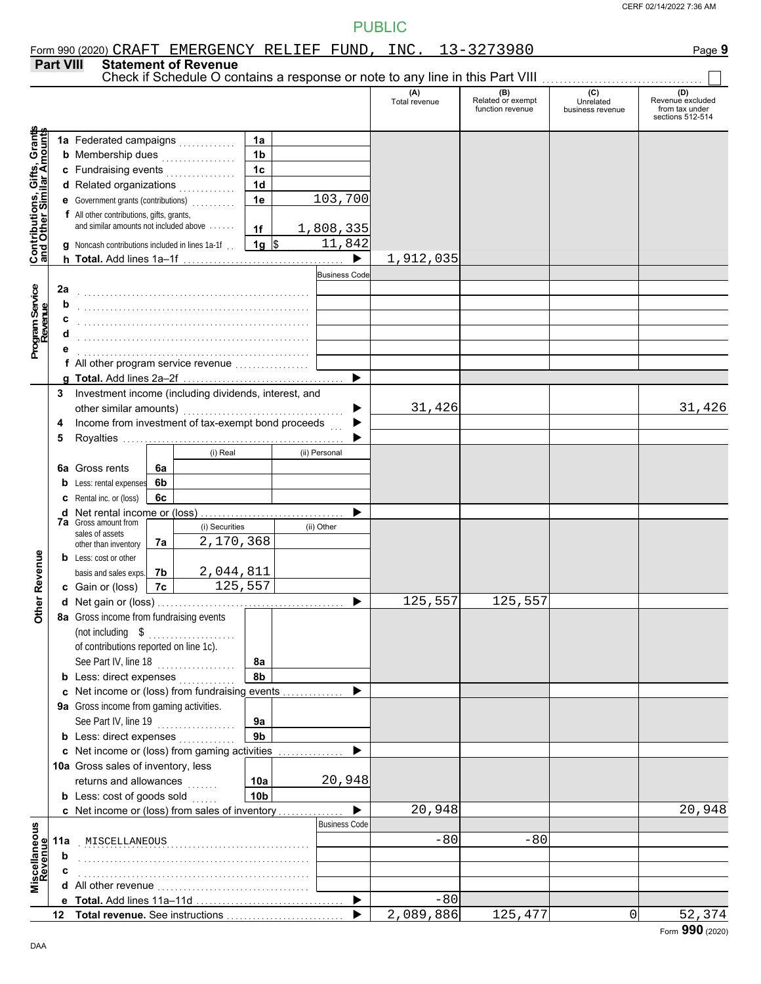|                                                           |                  |                                                              |          |                                                                                                                                                                                                                                 |                        | Form 990 (2020) CRAFT EMERGENCY RELIEF FUND, INC. 13-3273980 |                      |                                              |                               | Page 9                                                 |
|-----------------------------------------------------------|------------------|--------------------------------------------------------------|----------|---------------------------------------------------------------------------------------------------------------------------------------------------------------------------------------------------------------------------------|------------------------|--------------------------------------------------------------|----------------------|----------------------------------------------|-------------------------------|--------------------------------------------------------|
|                                                           | <b>Part VIII</b> |                                                              |          | <b>Statement of Revenue</b>                                                                                                                                                                                                     |                        |                                                              |                      |                                              |                               |                                                        |
|                                                           |                  |                                                              |          |                                                                                                                                                                                                                                 |                        |                                                              |                      |                                              | $\overline{c}$                | (D)                                                    |
|                                                           |                  |                                                              |          |                                                                                                                                                                                                                                 |                        |                                                              | (A)<br>Total revenue | (B)<br>Related or exempt<br>function revenue | Unrelated<br>business revenue | Revenue excluded<br>from tax under<br>sections 512-514 |
|                                                           |                  | 1a Federated campaigns                                       |          |                                                                                                                                                                                                                                 | 1a                     |                                                              |                      |                                              |                               |                                                        |
| Contributions, Gifts, Grants<br>and Other Similar Amounts |                  | <b>b</b> Membership dues <i>manufacturers</i>                |          |                                                                                                                                                                                                                                 | 1 <sub>b</sub>         |                                                              |                      |                                              |                               |                                                        |
|                                                           |                  | c Fundraising events                                         |          |                                                                                                                                                                                                                                 | 1 <sub>c</sub>         |                                                              |                      |                                              |                               |                                                        |
|                                                           |                  | d Related organizations                                      |          |                                                                                                                                                                                                                                 | 1 <sub>d</sub>         |                                                              |                      |                                              |                               |                                                        |
|                                                           |                  | e Government grants (contributions)<br>                      |          |                                                                                                                                                                                                                                 | 1e                     | 103,700                                                      |                      |                                              |                               |                                                        |
|                                                           |                  | f All other contributions, gifts, grants,                    |          |                                                                                                                                                                                                                                 |                        |                                                              |                      |                                              |                               |                                                        |
|                                                           |                  | and similar amounts not included above                       |          |                                                                                                                                                                                                                                 | 1f                     | 1,808,335                                                    |                      |                                              |                               |                                                        |
|                                                           |                  | <b>q</b> Noncash contributions included in lines 1a-1f       |          |                                                                                                                                                                                                                                 | $1g$ \$                | 11,842                                                       |                      |                                              |                               |                                                        |
|                                                           |                  |                                                              |          |                                                                                                                                                                                                                                 |                        | $\blacktriangleright$                                        | 1,912,035            |                                              |                               |                                                        |
|                                                           |                  |                                                              |          |                                                                                                                                                                                                                                 |                        | <b>Business Code</b>                                         |                      |                                              |                               |                                                        |
|                                                           | 2a               |                                                              |          |                                                                                                                                                                                                                                 |                        |                                                              |                      |                                              |                               |                                                        |
| Program Service<br>Revenue                                | b                |                                                              |          |                                                                                                                                                                                                                                 |                        |                                                              |                      |                                              |                               |                                                        |
|                                                           | c                |                                                              |          | a sa kabilang sa kalawang sa kalawang sa kalawang sa kalawang sa kalawang sa kalawang sa kalawang sa kalawang<br>Kabilang sa kalawang sa kalawang sa kalawang sa kalawang sa kalawang sa kalawang sa kalawang sa kalawang sa ka |                        |                                                              |                      |                                              |                               |                                                        |
|                                                           | d                |                                                              |          |                                                                                                                                                                                                                                 |                        |                                                              |                      |                                              |                               |                                                        |
|                                                           |                  | f All other program service revenue                          |          |                                                                                                                                                                                                                                 |                        |                                                              |                      |                                              |                               |                                                        |
|                                                           | a                |                                                              |          |                                                                                                                                                                                                                                 |                        |                                                              |                      |                                              |                               |                                                        |
|                                                           | 3                | Investment income (including dividends, interest, and        |          |                                                                                                                                                                                                                                 |                        |                                                              |                      |                                              |                               |                                                        |
|                                                           |                  | other similar amounts)                                       |          |                                                                                                                                                                                                                                 |                        |                                                              | 31,426               |                                              |                               | 31,426                                                 |
|                                                           | 4                | Income from investment of tax-exempt bond proceeds           |          |                                                                                                                                                                                                                                 |                        |                                                              |                      |                                              |                               |                                                        |
|                                                           | 5                |                                                              |          |                                                                                                                                                                                                                                 |                        |                                                              |                      |                                              |                               |                                                        |
|                                                           |                  |                                                              |          | (i) Real                                                                                                                                                                                                                        |                        | (ii) Personal                                                |                      |                                              |                               |                                                        |
|                                                           | 6а               | Gross rents                                                  | 6a       |                                                                                                                                                                                                                                 |                        |                                                              |                      |                                              |                               |                                                        |
|                                                           |                  | Less: rental expenses                                        | 6b       |                                                                                                                                                                                                                                 |                        |                                                              |                      |                                              |                               |                                                        |
|                                                           |                  | Rental inc. or (loss)                                        | 6c       |                                                                                                                                                                                                                                 |                        |                                                              |                      |                                              |                               |                                                        |
|                                                           |                  | <b>7a</b> Gross amount from                                  |          |                                                                                                                                                                                                                                 |                        |                                                              |                      |                                              |                               |                                                        |
|                                                           |                  | sales of assets                                              |          | (i) Securities                                                                                                                                                                                                                  |                        | (ii) Other                                                   |                      |                                              |                               |                                                        |
|                                                           |                  | other than inventory                                         | 7a       | 2,170,368                                                                                                                                                                                                                       |                        |                                                              |                      |                                              |                               |                                                        |
|                                                           |                  | <b>b</b> Less: cost or other                                 |          |                                                                                                                                                                                                                                 |                        |                                                              |                      |                                              |                               |                                                        |
| Revenue                                                   |                  | basis and sales exps.<br>c Gain or (loss)                    | 7b<br>7c | 2,044,811<br>125,557                                                                                                                                                                                                            |                        |                                                              |                      |                                              |                               |                                                        |
|                                                           |                  |                                                              |          |                                                                                                                                                                                                                                 |                        |                                                              | 125,557              | 125,557                                      |                               |                                                        |
| <b>Other</b>                                              |                  | 8a Gross income from fundraising events                      |          |                                                                                                                                                                                                                                 |                        |                                                              |                      |                                              |                               |                                                        |
|                                                           |                  | (not including \$                                            |          | .                                                                                                                                                                                                                               |                        |                                                              |                      |                                              |                               |                                                        |
|                                                           |                  | of contributions reported on line 1c).                       |          |                                                                                                                                                                                                                                 |                        |                                                              |                      |                                              |                               |                                                        |
|                                                           |                  | See Part IV, line 18                                         |          | . <b>.</b> .                                                                                                                                                                                                                    | 8a                     |                                                              |                      |                                              |                               |                                                        |
|                                                           |                  | <b>b</b> Less: direct expenses                               |          |                                                                                                                                                                                                                                 | 8b                     |                                                              |                      |                                              |                               |                                                        |
|                                                           |                  | c Net income or (loss) from fundraising events               |          |                                                                                                                                                                                                                                 |                        |                                                              |                      |                                              |                               |                                                        |
|                                                           |                  | 9a Gross income from gaming activities.                      |          |                                                                                                                                                                                                                                 |                        |                                                              |                      |                                              |                               |                                                        |
|                                                           |                  | See Part IV, line 19                                         |          | .                                                                                                                                                                                                                               | 9a                     |                                                              |                      |                                              |                               |                                                        |
|                                                           |                  | <b>b</b> Less: direct expenses <i>minimum</i>                |          |                                                                                                                                                                                                                                 | 9 <sub>b</sub>         |                                                              |                      |                                              |                               |                                                        |
|                                                           |                  | c Net income or (loss) from gaming activities                |          |                                                                                                                                                                                                                                 |                        |                                                              |                      |                                              |                               |                                                        |
|                                                           |                  | 10a Gross sales of inventory, less<br>returns and allowances |          |                                                                                                                                                                                                                                 |                        | 20,948                                                       |                      |                                              |                               |                                                        |
|                                                           |                  | <b>b</b> Less: cost of goods sold                            |          | .                                                                                                                                                                                                                               | 10a<br>10 <sub>b</sub> |                                                              |                      |                                              |                               |                                                        |
|                                                           |                  | c Net income or (loss) from sales of inventory               |          | .                                                                                                                                                                                                                               |                        |                                                              | 20,948               |                                              |                               | 20,948                                                 |
|                                                           |                  |                                                              |          |                                                                                                                                                                                                                                 |                        | <b>Business Code</b>                                         |                      |                                              |                               |                                                        |
| Miscellaneous<br>Revenue                                  | 11a              | MISCELLANEOUS                                                |          |                                                                                                                                                                                                                                 |                        |                                                              | $-80$                | $-80$                                        |                               |                                                        |
|                                                           | b                |                                                              |          |                                                                                                                                                                                                                                 |                        |                                                              |                      |                                              |                               |                                                        |
|                                                           |                  |                                                              |          |                                                                                                                                                                                                                                 |                        |                                                              |                      |                                              |                               |                                                        |
|                                                           |                  |                                                              |          |                                                                                                                                                                                                                                 |                        |                                                              |                      |                                              |                               |                                                        |
|                                                           |                  |                                                              |          |                                                                                                                                                                                                                                 |                        |                                                              | $-80$                |                                              |                               |                                                        |
|                                                           |                  |                                                              |          |                                                                                                                                                                                                                                 |                        |                                                              | 2,089,886            | 125,477                                      | 0                             | 52,374                                                 |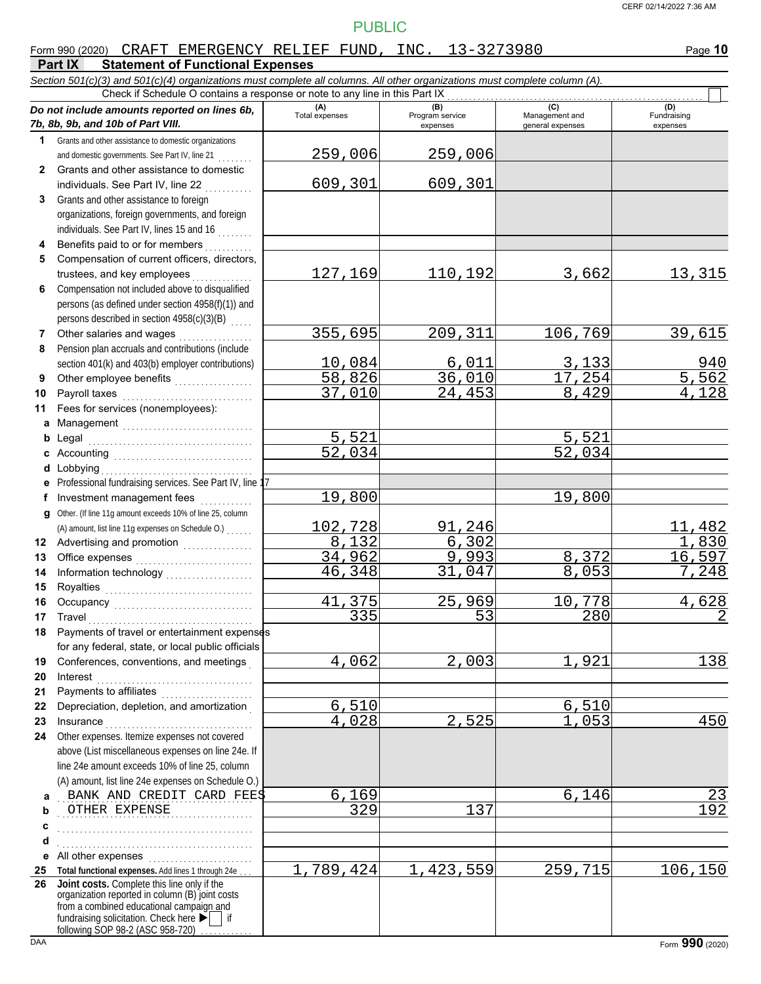$\Box$ 

# PUBLIC

#### Form 990 (2020) Page **10** CRAFT EMERGENCY RELIEF FUND, INC. 13-3273980

#### **Part IX Statement of Functional Expenses**

*Section 501(c)(3) and 501(c)(4) organizations must complete all columns. All other organizations must complete column (A).* Check if Schedule O contains a response or note to any line in this Part IX

|              | Do not include amounts reported on lines 6b,<br>7b, 8b, 9b, and 10b of Part VIII.                    | (A)<br>Total expenses | (B)<br>Program service<br>expenses | (C)<br>Management and<br>general expenses | (D)<br>Fundraising<br>expenses |
|--------------|------------------------------------------------------------------------------------------------------|-----------------------|------------------------------------|-------------------------------------------|--------------------------------|
| $\mathbf 1$  | Grants and other assistance to domestic organizations                                                |                       |                                    |                                           |                                |
|              | and domestic governments. See Part IV, line 21                                                       | 259,006               | 259,006                            |                                           |                                |
| $\mathbf{2}$ | Grants and other assistance to domestic                                                              |                       |                                    |                                           |                                |
|              | individuals. See Part IV, line 22                                                                    | 609,301               | 609,301                            |                                           |                                |
| 3            | Grants and other assistance to foreign                                                               |                       |                                    |                                           |                                |
|              | organizations, foreign governments, and foreign                                                      |                       |                                    |                                           |                                |
|              | individuals. See Part IV, lines 15 and 16                                                            |                       |                                    |                                           |                                |
| 4            | Benefits paid to or for members                                                                      |                       |                                    |                                           |                                |
| 5            | Compensation of current officers, directors,                                                         |                       |                                    |                                           |                                |
|              | trustees, and key employees                                                                          | 127,169               | 110,192                            | 3,662                                     | 13,315                         |
| 6            | Compensation not included above to disqualified                                                      |                       |                                    |                                           |                                |
|              | persons (as defined under section 4958(f)(1)) and                                                    |                       |                                    |                                           |                                |
|              | persons described in section 4958(c)(3)(B)                                                           |                       |                                    |                                           |                                |
| 7            | Other salaries and wages                                                                             | 355,695               | 209,311                            | 106,769                                   | 39,615                         |
| 8            | Pension plan accruals and contributions (include                                                     |                       |                                    |                                           |                                |
|              | section 401(k) and 403(b) employer contributions)                                                    | 10,084                | 6,011                              | 3,133                                     | $\frac{940}{5,562}$            |
| 9            | Other employee benefits                                                                              | 58,826                | 36,010                             | 17,254                                    |                                |
| 10           | Payroll taxes                                                                                        | 37,010                | 24,453                             | 8,429                                     | 4,128                          |
| 11           | Fees for services (nonemployees):                                                                    |                       |                                    |                                           |                                |
|              | a Management                                                                                         | 5,521                 |                                    | 5,521                                     |                                |
| b            |                                                                                                      | $\overline{52,034}$   |                                    | 52,034                                    |                                |
| c            |                                                                                                      |                       |                                    |                                           |                                |
| d<br>е       | Lobbying<br>Professional fundraising services. See Part IV, line 17                                  |                       |                                    |                                           |                                |
| f            | Investment management fees                                                                           | 19,800                |                                    | 19,800                                    |                                |
| g            | Other. (If line 11g amount exceeds 10% of line 25, column                                            |                       |                                    |                                           |                                |
|              | (A) amount, list line 11g expenses on Schedule O.)                                                   | 102,728               | 91,246                             |                                           | 11,482                         |
| 12           | Advertising and promotion<br>                                                                        | 8,132                 | 6, 302                             |                                           | 1,830                          |
| 13           |                                                                                                      | 34,962                | 9,993                              | 8,372                                     | 16,597                         |
| 14           |                                                                                                      | 46,348                | 31,047                             | 8,053                                     | 7,248                          |
| 15           |                                                                                                      |                       |                                    |                                           |                                |
| 16           |                                                                                                      | 41,375                | 25,969                             | 10,778                                    | 4,628                          |
| 17           | Travel                                                                                               | $\overline{335}$      | 53                                 | 280                                       | $\overline{2}$                 |
| 18           | Payments of travel or entertainment expenses                                                         |                       |                                    |                                           |                                |
|              | for any federal, state, or local public officials                                                    |                       |                                    |                                           |                                |
| 19           | Conferences, conventions, and meetings                                                               | 4,062                 | 2,003                              | 1,921                                     | 138                            |
| 20           | Interest                                                                                             |                       |                                    |                                           |                                |
| 21           | Payments to affiliates                                                                               |                       |                                    |                                           |                                |
| 22           | Depreciation, depletion, and amortization                                                            | 6,510                 |                                    | 6,510                                     |                                |
| 23           | Insurance                                                                                            | 4,028                 | 2,525                              | 1,053                                     | 450                            |
| 24           | Other expenses. Itemize expenses not covered                                                         |                       |                                    |                                           |                                |
|              | above (List miscellaneous expenses on line 24e. If<br>line 24e amount exceeds 10% of line 25, column |                       |                                    |                                           |                                |
|              | (A) amount, list line 24e expenses on Schedule O.)                                                   |                       |                                    |                                           |                                |
| a            | BANK AND CREDIT CARD FEES                                                                            | 6,169                 |                                    | 6,146                                     | 23                             |
| b            | OTHER EXPENSE                                                                                        | $\overline{329}$      | 137                                |                                           | 192                            |
| c            |                                                                                                      |                       |                                    |                                           |                                |
| d            |                                                                                                      |                       |                                    |                                           |                                |
| е            | All other expenses                                                                                   |                       |                                    |                                           |                                |
| 25           | Total functional expenses. Add lines 1 through 24e                                                   | 1,789,424             | 1,423,559                          | 259,715                                   | 106, 150                       |
| 26           | Joint costs. Complete this line only if the                                                          |                       |                                    |                                           |                                |
|              | organization reported in column (B) joint costs<br>from a combined educational campaign and          |                       |                                    |                                           |                                |
|              | fundraising solicitation. Check here ▶                                                               |                       |                                    |                                           |                                |
|              | following SOP 98-2 (ASC 958-720)                                                                     |                       |                                    |                                           |                                |
| DAA          |                                                                                                      |                       |                                    |                                           | Form 990 (2020)                |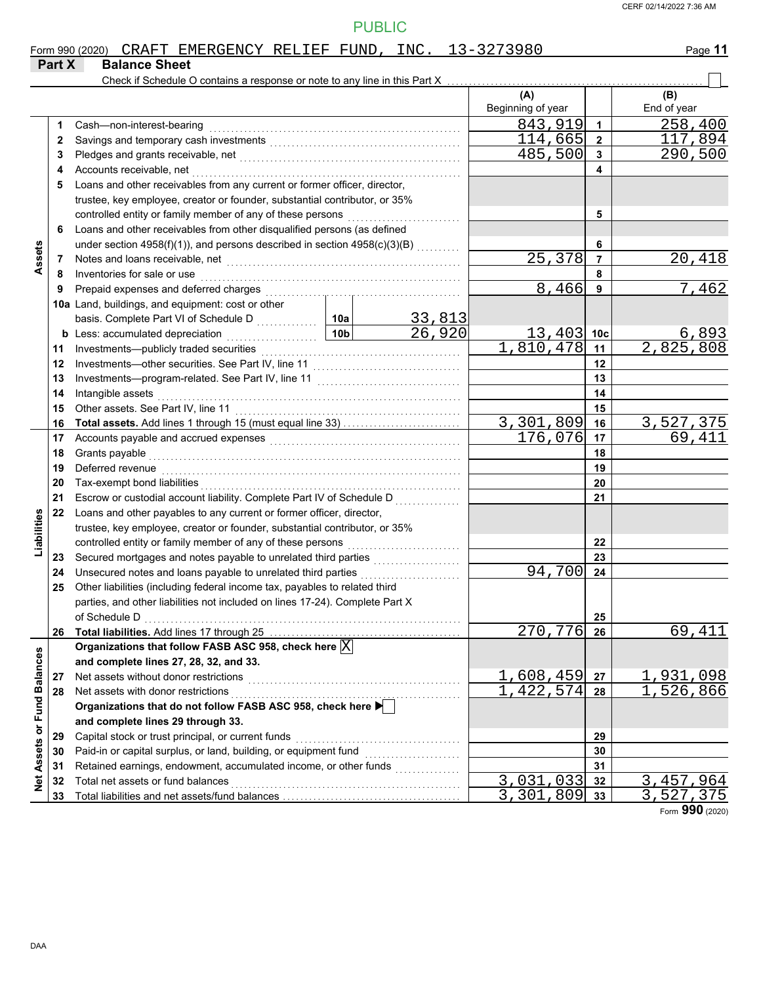|                             |        | Form 990 (2020) CRAFT EMERGENCY RELIEF FUND, INC. 13-3273980                    |                 |         |                   |                         | Page 11     |
|-----------------------------|--------|---------------------------------------------------------------------------------|-----------------|---------|-------------------|-------------------------|-------------|
|                             | Part X | <b>Balance Sheet</b>                                                            |                 |         |                   |                         |             |
|                             |        | Check if Schedule O contains a response or note to any line in this Part X      |                 |         |                   |                         |             |
|                             |        |                                                                                 |                 |         | (A)               |                         | (B)         |
|                             |        |                                                                                 |                 |         | Beginning of year |                         | End of year |
|                             | 1      | Cash-non-interest-bearing                                                       |                 |         | 843,919           | $\mathbf{1}$            | 258,400     |
|                             | 2      |                                                                                 |                 |         | 114,665           | $\overline{\mathbf{2}}$ | 117,894     |
|                             | 3      |                                                                                 |                 |         | 485,500           | $\mathbf{3}$            | 290,500     |
|                             | 4      | Accounts receivable, net                                                        |                 |         |                   | 4                       |             |
|                             | 5      | Loans and other receivables from any current or former officer, director,       |                 |         |                   |                         |             |
|                             |        | trustee, key employee, creator or founder, substantial contributor, or 35%      |                 |         |                   |                         |             |
|                             |        | controlled entity or family member of any of these persons                      |                 |         |                   | 5                       |             |
|                             | 6      | Loans and other receivables from other disqualified persons (as defined         |                 |         |                   |                         |             |
| Assets                      |        | under section 4958(f)(1)), and persons described in section 4958(c)(3)(B)       |                 |         | 6                 |                         |             |
|                             | 7      |                                                                                 |                 | 25,378  | $\overline{7}$    | 20,418                  |             |
|                             | 8      | Inventories for sale or use                                                     |                 |         |                   | 8                       |             |
|                             | 9      |                                                                                 |                 |         | 8,466             | 9                       | 7,462       |
|                             |        | 10a Land, buildings, and equipment: cost or other                               |                 |         |                   |                         |             |
|                             |        |                                                                                 |                 | 33,813  |                   |                         |             |
|                             |        | <b>b</b> Less: accumulated depreciation<br>.                                    | 10 <sub>b</sub> | 26,920  | 13,403            | 10 <sub>c</sub>         | 6,893       |
|                             | 11     |                                                                                 |                 |         | 1,810,478         | 11                      | 2,825,808   |
|                             | 12     |                                                                                 |                 |         | 12                |                         |             |
|                             | 13     |                                                                                 |                 | 13      |                   |                         |             |
|                             | 14     | Intangible assets                                                               |                 |         | 14                |                         |             |
|                             | 15     | Other assets. See Part IV, line 11                                              |                 | 15      |                   |                         |             |
|                             | 16     |                                                                                 |                 |         | 3,301,809         | 16                      | 3,527,375   |
|                             | 17     |                                                                                 |                 | 176,076 | 17                | 69,411                  |             |
|                             | 18     | Grants payable                                                                  |                 |         |                   | 18                      |             |
|                             | 19     | Deferred revenue                                                                |                 |         |                   | 19                      |             |
|                             | 20     | Tax-exempt bond liabilities                                                     |                 |         |                   | 20                      |             |
|                             | 21     | Escrow or custodial account liability. Complete Part IV of Schedule D           |                 |         |                   | 21                      |             |
|                             | 22     | Loans and other payables to any current or former officer, director,            |                 |         |                   |                         |             |
|                             |        | trustee, key employee, creator or founder, substantial contributor, or 35%      |                 |         |                   |                         |             |
| Liabilities                 |        | controlled entity or family member of any of these persons                      |                 |         |                   | 22                      |             |
|                             | 23     |                                                                                 |                 |         |                   | 23                      |             |
|                             | 24     | Unsecured notes and loans payable to unrelated third parties                    |                 |         | 94,700            | 24                      |             |
|                             | 25     | Other liabilities (including federal income tax, payables to related third      |                 |         |                   |                         |             |
|                             |        | parties, and other liabilities not included on lines 17-24). Complete Part X    |                 |         |                   |                         |             |
|                             |        | of Schedule D                                                                   |                 |         |                   | 25                      |             |
|                             | 26     |                                                                                 |                 |         | 270, 776          | 26                      | 69,411      |
|                             |        | Organizations that follow FASB ASC 958, check here $\overline{\mathbb{X}}$      |                 |         |                   |                         |             |
|                             |        | and complete lines 27, 28, 32, and 33.                                          |                 |         |                   |                         |             |
|                             | 27     | Net assets without donor restrictions                                           |                 |         | 1,608,459         | 27                      | 1,931,098   |
|                             | 28     | Net assets with donor restrictions                                              |                 |         | 1,422,574         | 28                      | 526,866     |
|                             |        | Organizations that do not follow FASB ASC 958, check here $\blacktriangleright$ |                 |         |                   |                         |             |
|                             |        | and complete lines 29 through 33.                                               |                 |         |                   |                         |             |
|                             | 29     | Capital stock or trust principal, or current funds                              |                 |         |                   | 29                      |             |
|                             | 30     | Paid-in or capital surplus, or land, building, or equipment fund                |                 |         |                   | 30                      |             |
|                             | 31     | Retained earnings, endowment, accumulated income, or other funds                |                 |         |                   | 31                      |             |
| Net Assets or Fund Balances | 32     | Total net assets or fund balances                                               |                 |         | 3,031,033         | 32                      | 3, 457, 964 |
|                             | 33     |                                                                                 | 3,301,809       | 33      | 3,527,375         |                         |             |

Form **990** (2020)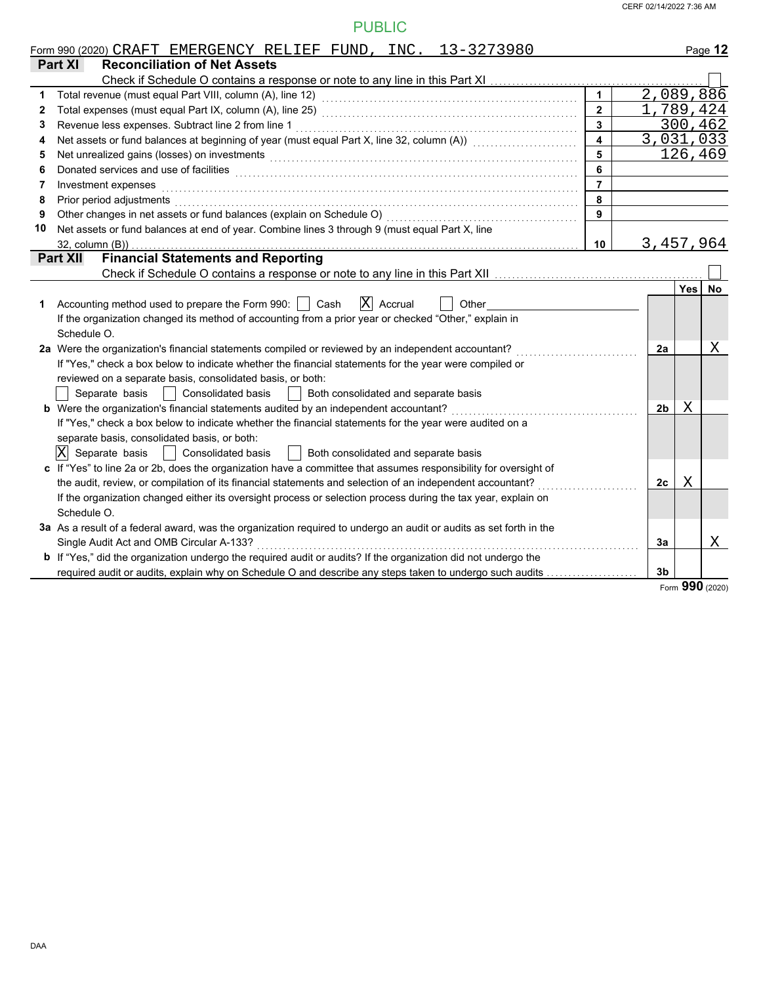|    | Form 990 (2020) CRAFT EMERGENCY RELIEF FUND, INC. 13-3273980                                                                                                                                                                         |                         |                |           | Page 12   |
|----|--------------------------------------------------------------------------------------------------------------------------------------------------------------------------------------------------------------------------------------|-------------------------|----------------|-----------|-----------|
|    | Part XI<br><b>Reconciliation of Net Assets</b>                                                                                                                                                                                       |                         |                |           |           |
|    |                                                                                                                                                                                                                                      |                         |                |           |           |
| 1  |                                                                                                                                                                                                                                      | $\mathbf{1}$            |                | 2,089,886 |           |
| 2  |                                                                                                                                                                                                                                      | $\overline{2}$          |                | 1,789,424 |           |
| 3  | Revenue less expenses. Subtract line 2 from line 1                                                                                                                                                                                   | $\overline{\mathbf{3}}$ |                | 300,462   |           |
| 4  | Net assets or fund balances at beginning of year (must equal Part X, line 32, column (A)) [[[[[[[[[[[[[[[[[[[                                                                                                                        | $\blacktriangle$        |                | 3,031,033 |           |
| 5  | Net unrealized gains (losses) on investments [11] production in the contract of the contract of the contract of the contract of the contract of the contract of the contract of the contract of the contract of the contract o       | 5                       |                | 126,469   |           |
| 6  | Donated services and use of facilities <b>constant of the constant of the constant of the constant of the constant of the constant of the constant of the constant of the constant of the constant of the constant of the consta</b> | 6                       |                |           |           |
| 7  | Investment expenses                                                                                                                                                                                                                  | $\overline{7}$          |                |           |           |
| 8  | Prior period adjustments entertainments and the contract of the contract of the contract of the contract of the contract of the contract of the contract of the contract of the contract of the contract of the contract of th       | 8                       |                |           |           |
| 9  | Other changes in net assets or fund balances (explain on Schedule O) [[[[[[[[[[[[[[[[[[[[[]]]]]]]]]                                                                                                                                  | 9                       |                |           |           |
| 10 | Net assets or fund balances at end of year. Combine lines 3 through 9 (must equal Part X, line                                                                                                                                       |                         |                |           |           |
|    |                                                                                                                                                                                                                                      | 10                      |                | 3,457,964 |           |
|    | <b>Financial Statements and Reporting</b><br><b>Part XII</b>                                                                                                                                                                         |                         |                |           |           |
|    |                                                                                                                                                                                                                                      |                         |                |           |           |
|    |                                                                                                                                                                                                                                      |                         |                | Yes       | <b>No</b> |
| 1  | $ X $ Accrual<br>Accounting method used to prepare the Form 990:     Cash<br>Other                                                                                                                                                   |                         |                |           |           |
|    | If the organization changed its method of accounting from a prior year or checked "Other," explain in                                                                                                                                |                         |                |           |           |
|    | Schedule O.                                                                                                                                                                                                                          |                         |                |           |           |
|    | 2a Were the organization's financial statements compiled or reviewed by an independent accountant?                                                                                                                                   |                         | 2a             |           | Χ         |
|    | If "Yes," check a box below to indicate whether the financial statements for the year were compiled or                                                                                                                               |                         |                |           |           |
|    | reviewed on a separate basis, consolidated basis, or both:                                                                                                                                                                           |                         |                |           |           |
|    | Separate basis   Consolidated basis<br>  Both consolidated and separate basis                                                                                                                                                        |                         |                |           |           |
|    | b Were the organization's financial statements audited by an independent accountant?                                                                                                                                                 |                         | 2 <sub>b</sub> | Χ         |           |
|    | If "Yes," check a box below to indicate whether the financial statements for the year were audited on a                                                                                                                              |                         |                |           |           |
|    | separate basis, consolidated basis, or both:                                                                                                                                                                                         |                         |                |           |           |
|    | $ X $ Separate basis<br>Consolidated basis<br>  Both consolidated and separate basis<br>$\mathbf{I}$                                                                                                                                 |                         |                |           |           |
|    | c If "Yes" to line 2a or 2b, does the organization have a committee that assumes responsibility for oversight of                                                                                                                     |                         |                |           |           |
|    | the audit, review, or compilation of its financial statements and selection of an independent accountant?                                                                                                                            |                         | 2с             | Χ         |           |
|    | If the organization changed either its oversight process or selection process during the tax year, explain on                                                                                                                        |                         |                |           |           |
|    | Schedule O.                                                                                                                                                                                                                          |                         |                |           |           |
|    | 3a As a result of a federal award, was the organization required to undergo an audit or audits as set forth in the                                                                                                                   |                         |                |           |           |
|    | Single Audit Act and OMB Circular A-133?                                                                                                                                                                                             |                         | 3a             |           | Χ         |
|    | b If "Yes," did the organization undergo the required audit or audits? If the organization did not undergo the                                                                                                                       |                         |                |           |           |
|    | required audit or audits, explain why on Schedule O and describe any steps taken to undergo such audits                                                                                                                              |                         | 3 <sub>b</sub> |           |           |

Form **990** (2020)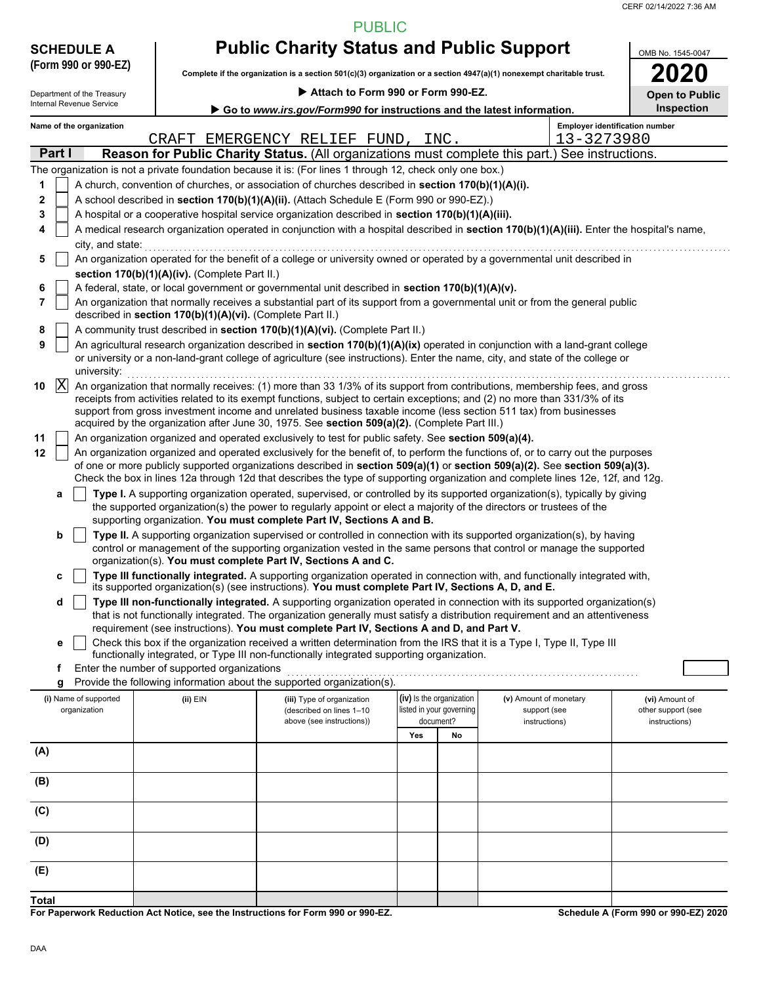CERF 02/14/2022 7:36 AM

PUBLIC

| <b>SCHEDULE A</b>          |                                                            | <b>Public Charity Status and Public Support</b>                                                                                                                                                       |                          |                                                                                                                                                                                                                                                                                                                                                                                 |                                |  |  |  |
|----------------------------|------------------------------------------------------------|-------------------------------------------------------------------------------------------------------------------------------------------------------------------------------------------------------|--------------------------|---------------------------------------------------------------------------------------------------------------------------------------------------------------------------------------------------------------------------------------------------------------------------------------------------------------------------------------------------------------------------------|--------------------------------|--|--|--|
| (Form 990 or 990-EZ)       |                                                            |                                                                                                                                                                                                       |                          | Complete if the organization is a section 501(c)(3) organization or a section 4947(a)(1) nonexempt charitable trust.                                                                                                                                                                                                                                                            |                                |  |  |  |
| Department of the Treasury |                                                            | Attach to Form 990 or Form 990-EZ.                                                                                                                                                                    |                          |                                                                                                                                                                                                                                                                                                                                                                                 | <b>Open to Public</b>          |  |  |  |
| Internal Revenue Service   |                                                            | Go to www.irs.gov/Form990 for instructions and the latest information.                                                                                                                                |                          |                                                                                                                                                                                                                                                                                                                                                                                 | Inspection                     |  |  |  |
| Name of the organization   |                                                            |                                                                                                                                                                                                       |                          |                                                                                                                                                                                                                                                                                                                                                                                 | Employer identification number |  |  |  |
| Part I                     |                                                            | CRAFT EMERGENCY RELIEF FUND,                                                                                                                                                                          | INC.                     | 13-3273980<br>Reason for Public Charity Status. (All organizations must complete this part.) See instructions.                                                                                                                                                                                                                                                                  |                                |  |  |  |
|                            |                                                            | The organization is not a private foundation because it is: (For lines 1 through 12, check only one box.)                                                                                             |                          |                                                                                                                                                                                                                                                                                                                                                                                 |                                |  |  |  |
| 1                          |                                                            | A church, convention of churches, or association of churches described in section 170(b)(1)(A)(i).                                                                                                    |                          |                                                                                                                                                                                                                                                                                                                                                                                 |                                |  |  |  |
| 2                          |                                                            | A school described in section 170(b)(1)(A)(ii). (Attach Schedule E (Form 990 or 990-EZ).)                                                                                                             |                          |                                                                                                                                                                                                                                                                                                                                                                                 |                                |  |  |  |
| 3                          |                                                            | A hospital or a cooperative hospital service organization described in section 170(b)(1)(A)(iii).                                                                                                     |                          |                                                                                                                                                                                                                                                                                                                                                                                 |                                |  |  |  |
| 4                          |                                                            |                                                                                                                                                                                                       |                          | A medical research organization operated in conjunction with a hospital described in section 170(b)(1)(A)(iii). Enter the hospital's name,                                                                                                                                                                                                                                      |                                |  |  |  |
| city, and state:<br>5      |                                                            |                                                                                                                                                                                                       |                          | An organization operated for the benefit of a college or university owned or operated by a governmental unit described in                                                                                                                                                                                                                                                       |                                |  |  |  |
|                            | section 170(b)(1)(A)(iv). (Complete Part II.)              |                                                                                                                                                                                                       |                          |                                                                                                                                                                                                                                                                                                                                                                                 |                                |  |  |  |
| 6                          |                                                            | A federal, state, or local government or governmental unit described in section 170(b)(1)(A)(v).                                                                                                      |                          |                                                                                                                                                                                                                                                                                                                                                                                 |                                |  |  |  |
| 7                          | described in section 170(b)(1)(A)(vi). (Complete Part II.) |                                                                                                                                                                                                       |                          | An organization that normally receives a substantial part of its support from a governmental unit or from the general public                                                                                                                                                                                                                                                    |                                |  |  |  |
| 8                          |                                                            | A community trust described in section 170(b)(1)(A)(vi). (Complete Part II.)                                                                                                                          |                          |                                                                                                                                                                                                                                                                                                                                                                                 |                                |  |  |  |
| 9<br>university:           |                                                            |                                                                                                                                                                                                       |                          | An agricultural research organization described in section 170(b)(1)(A)(ix) operated in conjunction with a land-grant college<br>or university or a non-land-grant college of agriculture (see instructions). Enter the name, city, and state of the college or                                                                                                                 |                                |  |  |  |
| $ {\rm X}$<br>10           |                                                            |                                                                                                                                                                                                       |                          | An organization that normally receives: (1) more than 33 1/3% of its support from contributions, membership fees, and gross<br>receipts from activities related to its exempt functions, subject to certain exceptions; and (2) no more than 331/3% of its<br>support from gross investment income and unrelated business taxable income (less section 511 tax) from businesses |                                |  |  |  |
| 11                         |                                                            | acquired by the organization after June 30, 1975. See section 509(a)(2). (Complete Part III.)<br>An organization organized and operated exclusively to test for public safety. See section 509(a)(4). |                          |                                                                                                                                                                                                                                                                                                                                                                                 |                                |  |  |  |
| 12                         |                                                            |                                                                                                                                                                                                       |                          | An organization organized and operated exclusively for the benefit of, to perform the functions of, or to carry out the purposes                                                                                                                                                                                                                                                |                                |  |  |  |
|                            |                                                            |                                                                                                                                                                                                       |                          | of one or more publicly supported organizations described in section 509(a)(1) or section 509(a)(2). See section 509(a)(3).<br>Check the box in lines 12a through 12d that describes the type of supporting organization and complete lines 12e, 12f, and 12g.                                                                                                                  |                                |  |  |  |
| а                          |                                                            | supporting organization. You must complete Part IV, Sections A and B.                                                                                                                                 |                          | Type I. A supporting organization operated, supervised, or controlled by its supported organization(s), typically by giving<br>the supported organization(s) the power to regularly appoint or elect a majority of the directors or trustees of the                                                                                                                             |                                |  |  |  |
| b                          |                                                            | organization(s). You must complete Part IV, Sections A and C.                                                                                                                                         |                          | Type II. A supporting organization supervised or controlled in connection with its supported organization(s), by having<br>control or management of the supporting organization vested in the same persons that control or manage the supported                                                                                                                                 |                                |  |  |  |
| с                          |                                                            | its supported organization(s) (see instructions). You must complete Part IV, Sections A, D, and E.                                                                                                    |                          | Type III functionally integrated. A supporting organization operated in connection with, and functionally integrated with,                                                                                                                                                                                                                                                      |                                |  |  |  |
| d                          |                                                            |                                                                                                                                                                                                       |                          | Type III non-functionally integrated. A supporting organization operated in connection with its supported organization(s)<br>that is not functionally integrated. The organization generally must satisfy a distribution requirement and an attentiveness                                                                                                                       |                                |  |  |  |
| е                          |                                                            | requirement (see instructions). You must complete Part IV, Sections A and D, and Part V.                                                                                                              |                          | Check this box if the organization received a written determination from the IRS that it is a Type I, Type II, Type III                                                                                                                                                                                                                                                         |                                |  |  |  |
|                            |                                                            | functionally integrated, or Type III non-functionally integrated supporting organization.                                                                                                             |                          |                                                                                                                                                                                                                                                                                                                                                                                 |                                |  |  |  |
| f                          | Enter the number of supported organizations                |                                                                                                                                                                                                       |                          |                                                                                                                                                                                                                                                                                                                                                                                 |                                |  |  |  |
| g<br>(i) Name of supported | (ii) EIN                                                   | Provide the following information about the supported organization(s).<br>(iii) Type of organization                                                                                                  | (iv) Is the organization | (v) Amount of monetary                                                                                                                                                                                                                                                                                                                                                          | (vi) Amount of                 |  |  |  |
| organization               |                                                            | (described on lines 1-10                                                                                                                                                                              | listed in your governing | support (see                                                                                                                                                                                                                                                                                                                                                                    | other support (see             |  |  |  |
|                            |                                                            | above (see instructions))                                                                                                                                                                             | document?<br>Yes<br>No   | instructions)                                                                                                                                                                                                                                                                                                                                                                   | instructions)                  |  |  |  |
| (A)                        |                                                            |                                                                                                                                                                                                       |                          |                                                                                                                                                                                                                                                                                                                                                                                 |                                |  |  |  |
|                            |                                                            |                                                                                                                                                                                                       |                          |                                                                                                                                                                                                                                                                                                                                                                                 |                                |  |  |  |
| (B)                        |                                                            |                                                                                                                                                                                                       |                          |                                                                                                                                                                                                                                                                                                                                                                                 |                                |  |  |  |
| (C)                        |                                                            |                                                                                                                                                                                                       |                          |                                                                                                                                                                                                                                                                                                                                                                                 |                                |  |  |  |
| (D)                        |                                                            |                                                                                                                                                                                                       |                          |                                                                                                                                                                                                                                                                                                                                                                                 |                                |  |  |  |
| (E)                        |                                                            |                                                                                                                                                                                                       |                          |                                                                                                                                                                                                                                                                                                                                                                                 |                                |  |  |  |
| Total                      |                                                            |                                                                                                                                                                                                       |                          |                                                                                                                                                                                                                                                                                                                                                                                 |                                |  |  |  |

**For Paperwork Reduction Act Notice, see the Instructions for Form 990 or 990-EZ.**

**Schedule A (Form 990 or 990-EZ) 2020**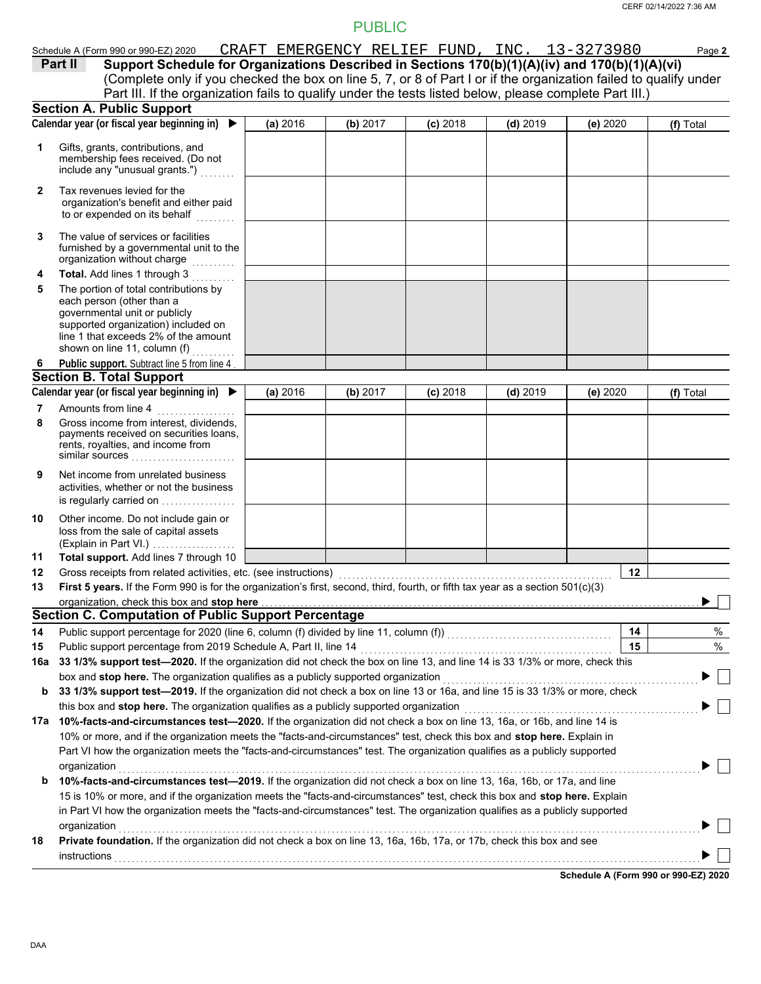|              |                                                                                                                                                                                                                             |                                              | <b>PUBLIC</b> |            |            |          |           |
|--------------|-----------------------------------------------------------------------------------------------------------------------------------------------------------------------------------------------------------------------------|----------------------------------------------|---------------|------------|------------|----------|-----------|
|              | Schedule A (Form 990 or 990-EZ) 2020                                                                                                                                                                                        | CRAFT EMERGENCY RELIEF FUND, INC. 13-3273980 |               |            |            |          | Page 2    |
|              | Support Schedule for Organizations Described in Sections 170(b)(1)(A)(iv) and 170(b)(1)(A)(vi)<br>Part II                                                                                                                   |                                              |               |            |            |          |           |
|              | (Complete only if you checked the box on line 5, 7, or 8 of Part I or if the organization failed to qualify under                                                                                                           |                                              |               |            |            |          |           |
|              | Part III. If the organization fails to qualify under the tests listed below, please complete Part III.)                                                                                                                     |                                              |               |            |            |          |           |
|              | <b>Section A. Public Support</b><br>Calendar year (or fiscal year beginning in) $\blacktriangleright$                                                                                                                       |                                              |               |            |            |          |           |
|              |                                                                                                                                                                                                                             | (a) 2016                                     | (b) 2017      | $(c)$ 2018 | $(d)$ 2019 | (e) 2020 | (f) Total |
| 1            | Gifts, grants, contributions, and<br>membership fees received. (Do not<br>include any "unusual grants.")                                                                                                                    |                                              |               |            |            |          |           |
| $\mathbf{2}$ | Tax revenues levied for the<br>organization's benefit and either paid<br>to or expended on its behalf                                                                                                                       |                                              |               |            |            |          |           |
| 3            | The value of services or facilities<br>furnished by a governmental unit to the<br>organization without charge                                                                                                               |                                              |               |            |            |          |           |
| 4            | Total. Add lines 1 through 3                                                                                                                                                                                                |                                              |               |            |            |          |           |
| 5            | The portion of total contributions by<br>each person (other than a<br>governmental unit or publicly<br>supported organization) included on<br>line 1 that exceeds 2% of the amount<br>shown on line 11, column (f) $\ldots$ |                                              |               |            |            |          |           |
| 6            | Public support. Subtract line 5 from line 4                                                                                                                                                                                 |                                              |               |            |            |          |           |
|              | <b>Section B. Total Support</b>                                                                                                                                                                                             |                                              |               |            |            |          |           |
|              | Calendar year (or fiscal year beginning in) $\blacktriangleright$                                                                                                                                                           | (a) 2016                                     | (b) 2017      | $(c)$ 2018 | $(d)$ 2019 | (e) 2020 | (f) Total |
| 7            | Amounts from line 4                                                                                                                                                                                                         |                                              |               |            |            |          |           |
| 8            | Gross income from interest, dividends,<br>payments received on securities loans,<br>rents, royalties, and income from<br>similar sources                                                                                    |                                              |               |            |            |          |           |
| 9            | Net income from unrelated business<br>activities, whether or not the business<br>is regularly carried on                                                                                                                    |                                              |               |            |            |          |           |
| 10           | Other income. Do not include gain or<br>loss from the sale of capital assets<br>(Explain in Part VI.)                                                                                                                       |                                              |               |            |            |          |           |
| 11           | Total support. Add lines 7 through 10                                                                                                                                                                                       |                                              |               |            |            |          |           |
| 12           |                                                                                                                                                                                                                             |                                              |               |            |            | 12       |           |
| 13           | First 5 years. If the Form 990 is for the organization's first, second, third, fourth, or fifth tax year as a section 501(c)(3)                                                                                             |                                              |               |            |            |          |           |
|              | organization, check this box and stop here                                                                                                                                                                                  |                                              |               |            |            |          |           |
|              | <b>Section C. Computation of Public Support Percentage</b>                                                                                                                                                                  |                                              |               |            |            |          |           |
| 14           |                                                                                                                                                                                                                             |                                              |               |            |            | 14       | $\%$      |
| 15           | Public support percentage from 2019 Schedule A, Part II, line 14                                                                                                                                                            |                                              |               |            |            | 15       | $\%$      |
| 16a          | 33 1/3% support test-2020. If the organization did not check the box on line 13, and line 14 is 33 1/3% or more, check this                                                                                                 |                                              |               |            |            |          |           |
|              | box and stop here. The organization qualifies as a publicly supported organization                                                                                                                                          |                                              |               |            |            |          |           |
| b            | 33 1/3% support test-2019. If the organization did not check a box on line 13 or 16a, and line 15 is 33 1/3% or more, check                                                                                                 |                                              |               |            |            |          |           |
|              | this box and stop here. The organization qualifies as a publicly supported organization                                                                                                                                     |                                              |               |            |            |          |           |
| 17а          | 10%-facts-and-circumstances test-2020. If the organization did not check a box on line 13, 16a, or 16b, and line 14 is                                                                                                      |                                              |               |            |            |          |           |
|              | 10% or more, and if the organization meets the "facts-and-circumstances" test, check this box and stop here. Explain in                                                                                                     |                                              |               |            |            |          |           |
|              | Part VI how the organization meets the "facts-and-circumstances" test. The organization qualifies as a publicly supported                                                                                                   |                                              |               |            |            |          |           |
|              | organization<br>10%-facts-and-circumstances test-2019. If the organization did not check a box on line 13, 16a, 16b, or 17a, and line                                                                                       |                                              |               |            |            |          |           |
| b            | 15 is 10% or more, and if the organization meets the "facts-and-circumstances" test, check this box and stop here. Explain                                                                                                  |                                              |               |            |            |          |           |
|              | in Part VI how the organization meets the "facts-and-circumstances" test. The organization qualifies as a publicly supported                                                                                                |                                              |               |            |            |          |           |
|              | organization                                                                                                                                                                                                                |                                              |               |            |            |          |           |

**18 Private foundation.** If the organization did not check a box on line 13, 16a, 16b, 17a, or 17b, check this box and see instructions . . . . . . . . . . . . . . . . . . . . . . . . . . . . . . . . . . . . . . . . . . . . . . . . . . . . . . . . . . . . . . . . . . . . . . . . . . . . . . . . . . . . . . . . . . . . . . . . . . . . . . . . . . . . . . . . . . . . . . . . . . . . . . . . . . . . . . .

**Schedule A (Form 990 or 990-EZ) 2020**

 $\Box$  $\blacktriangleright$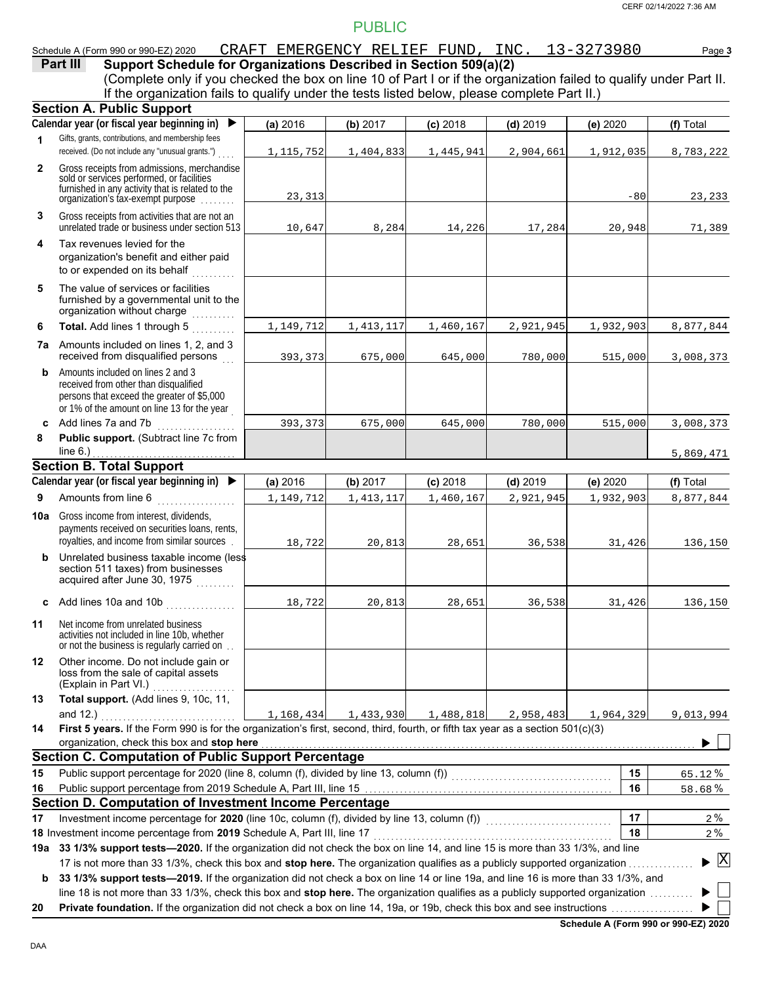|              | Schedule A (Form 990 or 990-EZ) 2020                                                                                                                                                                                                                           |             | CRAFT EMERGENCY RELIEF FUND, INC. 13-3273980 |            |            |           | Page 3                                   |
|--------------|----------------------------------------------------------------------------------------------------------------------------------------------------------------------------------------------------------------------------------------------------------------|-------------|----------------------------------------------|------------|------------|-----------|------------------------------------------|
|              | Support Schedule for Organizations Described in Section 509(a)(2)<br>Part III                                                                                                                                                                                  |             |                                              |            |            |           |                                          |
|              | (Complete only if you checked the box on line 10 of Part I or if the organization failed to qualify under Part II.                                                                                                                                             |             |                                              |            |            |           |                                          |
|              | If the organization fails to qualify under the tests listed below, please complete Part II.)                                                                                                                                                                   |             |                                              |            |            |           |                                          |
|              | <b>Section A. Public Support</b>                                                                                                                                                                                                                               |             |                                              |            |            |           |                                          |
|              | Calendar year (or fiscal year beginning in)<br>$\blacktriangleright$                                                                                                                                                                                           | (a) 2016    | (b) 2017                                     | $(c)$ 2018 | $(d)$ 2019 | (e) 2020  | (f) Total                                |
| 1            | Gifts, grants, contributions, and membership fees                                                                                                                                                                                                              |             |                                              |            |            |           |                                          |
|              | received. (Do not include any "unusual grants.")                                                                                                                                                                                                               | 1, 115, 752 | 1,404,833                                    | 1,445,941  | 2,904,661  | 1,912,035 | 8,783,222                                |
| $\mathbf{2}$ | Gross receipts from admissions, merchandise                                                                                                                                                                                                                    |             |                                              |            |            |           |                                          |
|              | sold or services performed, or facilities<br>furnished in any activity that is related to the                                                                                                                                                                  |             |                                              |            |            |           |                                          |
|              | organization's fax-exempt purpose                                                                                                                                                                                                                              | 23, 313     |                                              |            |            | $-80$     | 23,233                                   |
| 3            | Gross receipts from activities that are not an                                                                                                                                                                                                                 |             |                                              |            |            |           |                                          |
|              | unrelated trade or business under section 513                                                                                                                                                                                                                  | 10,647      | 8,284                                        | 14,226     | 17,284     | 20,948    | 71,389                                   |
| 4            | Tax revenues levied for the                                                                                                                                                                                                                                    |             |                                              |            |            |           |                                          |
|              | organization's benefit and either paid                                                                                                                                                                                                                         |             |                                              |            |            |           |                                          |
|              | to or expended on its behalf<br>a a a a a a a a a                                                                                                                                                                                                              |             |                                              |            |            |           |                                          |
| 5            | The value of services or facilities                                                                                                                                                                                                                            |             |                                              |            |            |           |                                          |
|              | furnished by a governmental unit to the                                                                                                                                                                                                                        |             |                                              |            |            |           |                                          |
|              | organization without charge                                                                                                                                                                                                                                    |             |                                              |            |            |           |                                          |
| 6            | Total. Add lines 1 through 5                                                                                                                                                                                                                                   | 1,149,712   | 1, 413, 117                                  | 1,460,167  | 2,921,945  | 1,932,903 | 8,877,844                                |
|              | 7a Amounts included on lines 1, 2, and 3                                                                                                                                                                                                                       |             |                                              |            |            |           |                                          |
|              | received from disqualified persons                                                                                                                                                                                                                             | 393,373     | 675,000                                      | 645,000    | 780,000    | 515,000   | 3,008,373                                |
| b            | Amounts included on lines 2 and 3                                                                                                                                                                                                                              |             |                                              |            |            |           |                                          |
|              | received from other than disqualified<br>persons that exceed the greater of \$5,000                                                                                                                                                                            |             |                                              |            |            |           |                                          |
|              | or 1% of the amount on line 13 for the year                                                                                                                                                                                                                    |             |                                              |            |            |           |                                          |
|              | c Add lines 7a and 7b                                                                                                                                                                                                                                          | 393,373     | 675,000                                      | 645,000    | 780,000    | 515,000   | 3,008,373                                |
| 8            | Public support. (Subtract line 7c from                                                                                                                                                                                                                         |             |                                              |            |            |           |                                          |
|              | line $6.$ )                                                                                                                                                                                                                                                    |             |                                              |            |            |           | 5,869,471                                |
|              |                                                                                                                                                                                                                                                                |             |                                              |            |            |           |                                          |
|              |                                                                                                                                                                                                                                                                |             |                                              |            |            |           |                                          |
|              | <b>Section B. Total Support</b><br>Calendar year (or fiscal year beginning in)<br>$\blacktriangleright$                                                                                                                                                        | (a) 2016    | (b) 2017                                     | $(c)$ 2018 | $(d)$ 2019 | (e) 2020  | (f) Total                                |
| 9            |                                                                                                                                                                                                                                                                |             |                                              | 1,460,167  | 2,921,945  | 1,932,903 |                                          |
|              | Amounts from line 6                                                                                                                                                                                                                                            | 1,149,712   | 1, 413, 117                                  |            |            |           | 8,877,844                                |
| 10a          | Gross income from interest, dividends,                                                                                                                                                                                                                         |             |                                              |            |            |           |                                          |
|              | payments received on securities loans, rents,<br>royalties, and income from similar sources                                                                                                                                                                    | 18,722      |                                              |            | 36,538     | 31,426    | 136,150                                  |
| b            | Unrelated business taxable income (less                                                                                                                                                                                                                        |             | 20,813                                       | 28,651     |            |           |                                          |
|              | section 511 taxes) from businesses                                                                                                                                                                                                                             |             |                                              |            |            |           |                                          |
|              | acquired after June 30, 1975                                                                                                                                                                                                                                   |             |                                              |            |            |           |                                          |
|              |                                                                                                                                                                                                                                                                | 18,722      | 20,813                                       | 28,651     | 36,538     | 31,426    | 136,150                                  |
|              | c Add lines 10a and 10b $\ldots$                                                                                                                                                                                                                               |             |                                              |            |            |           |                                          |
| 11           | Net income from unrelated business                                                                                                                                                                                                                             |             |                                              |            |            |           |                                          |
|              | activities not included in line 10b, whether<br>or not the business is regularly carried on                                                                                                                                                                    |             |                                              |            |            |           |                                          |
| 12           | Other income. Do not include gain or                                                                                                                                                                                                                           |             |                                              |            |            |           |                                          |
|              | loss from the sale of capital assets                                                                                                                                                                                                                           |             |                                              |            |            |           |                                          |
|              | (Explain in Part VI.)                                                                                                                                                                                                                                          |             |                                              |            |            |           |                                          |
| 13           | Total support. (Add lines 9, 10c, 11,                                                                                                                                                                                                                          |             |                                              |            |            |           |                                          |
|              | and 12.)                                                                                                                                                                                                                                                       | 1,168,434   | 1,433,930                                    | 1,488,818  | 2,958,483  | 1,964,329 | 9,013,994                                |
| 14           | First 5 years. If the Form 990 is for the organization's first, second, third, fourth, or fifth tax year as a section 501(c)(3)                                                                                                                                |             |                                              |            |            |           |                                          |
|              | organization, check this box and stop here <b>constant and a state of the constant of the state of the state of the state of the state of the state of the state of the state of the state of the state of the state of the stat</b>                           |             |                                              |            |            |           |                                          |
|              | <b>Section C. Computation of Public Support Percentage</b>                                                                                                                                                                                                     |             |                                              |            |            |           |                                          |
| 15           |                                                                                                                                                                                                                                                                |             |                                              |            |            | 15        | 65.12%                                   |
| 16           |                                                                                                                                                                                                                                                                |             |                                              |            |            | 16        | 58.68%                                   |
|              | Section D. Computation of Investment Income Percentage                                                                                                                                                                                                         |             |                                              |            |            |           |                                          |
| 17           | Investment income percentage for 2020 (line 10c, column (f), divided by line 13, column (f)) [[[[[[[[[[[[[[[[[                                                                                                                                                 |             |                                              |            |            | 17        | 2%                                       |
|              | 18 Investment income percentage from 2019 Schedule A, Part III, line 17                                                                                                                                                                                        |             |                                              |            |            | 18        | 2%                                       |
|              | 19a 33 1/3% support tests-2020. If the organization did not check the box on line 14, and line 15 is more than 33 1/3%, and line<br>17 is not more than 33 1/3%, check this box and stop here. The organization qualifies as a publicly supported organization |             |                                              |            |            |           | $\blacktriangleright$ $\boxed{\text{X}}$ |

**b** 33 1/3% support tests-2019. If the organization did not check a box on line 14 or line 19a, and line 16 is more than 33 1/3%, and line 18 is not more than 33 1/3%, check this box and **stop here.** The organization qualifies as a publicly supported organization . . . . . . . . . . ▶  $\blacktriangleright$   $\vert \ \vert$ 

**20 Private foundation.** If the organization did not check a box on line 14, 19a, or 19b, check this box and see instructions . . . . . . . . . . . . . . . . . . .

**Schedule A (Form 990 or 990-EZ) 2020**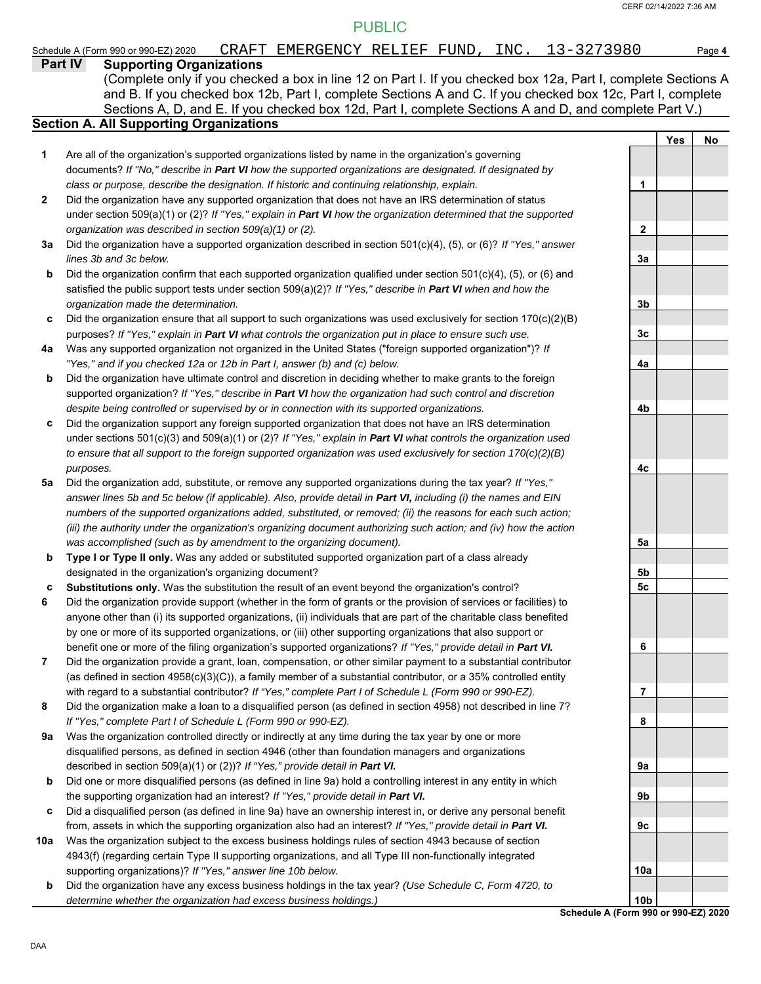#### **Part IV Supporting Organizations** Sections A, D, and E. If you checked box 12d, Part I, complete Sections A and D, and complete Part V.) Schedule A (Form 990 or 990-EZ) 2020 CRAFT EMERGENCY RELIEF FUND*,* INC. 13-3 2 7 3 9 8 0 Page 4 **Section A. All Supporting Organizations** (Complete only if you checked a box in line 12 on Part I. If you checked box 12a, Part I, complete Sections A and B. If you checked box 12b, Part I, complete Sections A and C. If you checked box 12c, Part I, complete Are all of the organization's supported organizations listed by name in the organization's governing documents? *If "No," describe in Part VI how the supported organizations are designated. If designated by class or purpose, describe the designation. If historic and continuing relationship, explain.* Did the organization have any supported organization that does not have an IRS determination of status under section 509(a)(1) or (2)? *If "Yes," explain in Part VI how the organization determined that the supported organization was described in section 509(a)(1) or (2).* **1 2 3a** Did the organization have a supported organization described in section 501(c)(4), (5), or (6)? *If "Yes," answer* **b c** Did the organization ensure that all support to such organizations was used exclusively for section 170(c)(2)(B) **4a** Was any supported organization not organized in the United States ("foreign supported organization")? *If* **b c** Did the organization support any foreign supported organization that does not have an IRS determination **5a** Did the organization add, substitute, or remove any supported organizations during the tax year? *If "Yes,"* **b c 6 7 8 9a b c 10a b** *lines 3b and 3c below.* Did the organization confirm that each supported organization qualified under section 501(c)(4), (5), or (6) and satisfied the public support tests under section 509(a)(2)? *If "Yes," describe in Part VI when and how the organization made the determination.* purposes? *If "Yes," explain in Part VI what controls the organization put in place to ensure such use. "Yes," and if you checked 12a or 12b in Part I, answer (b) and (c) below.* Did the organization have ultimate control and discretion in deciding whether to make grants to the foreign supported organization? *If "Yes," describe in Part VI how the organization had such control and discretion despite being controlled or supervised by or in connection with its supported organizations.* under sections 501(c)(3) and 509(a)(1) or (2)? *If "Yes," explain in Part VI what controls the organization used to ensure that all support to the foreign supported organization was used exclusively for section 170(c)(2)(B) purposes. answer lines 5b and 5c below (if applicable). Also, provide detail in Part VI, including (i) the names and EIN numbers of the supported organizations added, substituted, or removed; (ii) the reasons for each such action; (iii) the authority under the organization's organizing document authorizing such action; and (iv) how the action was accomplished (such as by amendment to the organizing document).* **Type I or Type II only.** Was any added or substituted supported organization part of a class already designated in the organization's organizing document? **Substitutions only.** Was the substitution the result of an event beyond the organization's control? Did the organization provide support (whether in the form of grants or the provision of services or facilities) to anyone other than (i) its supported organizations, (ii) individuals that are part of the charitable class benefited by one or more of its supported organizations, or (iii) other supporting organizations that also support or benefit one or more of the filing organization's supported organizations? *If "Yes," provide detail in Part VI.* Did the organization provide a grant, loan, compensation, or other similar payment to a substantial contributor (as defined in section 4958(c)(3)(C)), a family member of a substantial contributor, or a 35% controlled entity with regard to a substantial contributor? *If "Yes," complete Part I of Schedule L (Form 990 or 990-EZ).* Did the organization make a loan to a disqualified person (as defined in section 4958) not described in line 7? *If "Yes," complete Part I of Schedule L (Form 990 or 990-EZ).* Was the organization controlled directly or indirectly at any time during the tax year by one or more disqualified persons, as defined in section 4946 (other than foundation managers and organizations described in section 509(a)(1) or (2))? *If "Yes," provide detail in Part VI.* Did one or more disqualified persons (as defined in line 9a) hold a controlling interest in any entity in which the supporting organization had an interest? *If "Yes," provide detail in Part VI.* Did a disqualified person (as defined in line 9a) have an ownership interest in, or derive any personal benefit from, assets in which the supporting organization also had an interest? *If "Yes," provide detail in Part VI.* Was the organization subject to the excess business holdings rules of section 4943 because of section 4943(f) (regarding certain Type II supporting organizations, and all Type III non-functionally integrated supporting organizations)? *If "Yes," answer line 10b below.* Did the organization have any excess business holdings in the tax year? *(Use Schedule C, Form 4720, to determine whether the organization had excess business holdings.)* **Yes No 1 2 3a 3b 3c 4a 4b 4c 5a 5b 5c 6 7 8 9a 9b 9c 10a 10b**

**Schedule A (Form 990 or 990-EZ) 2020**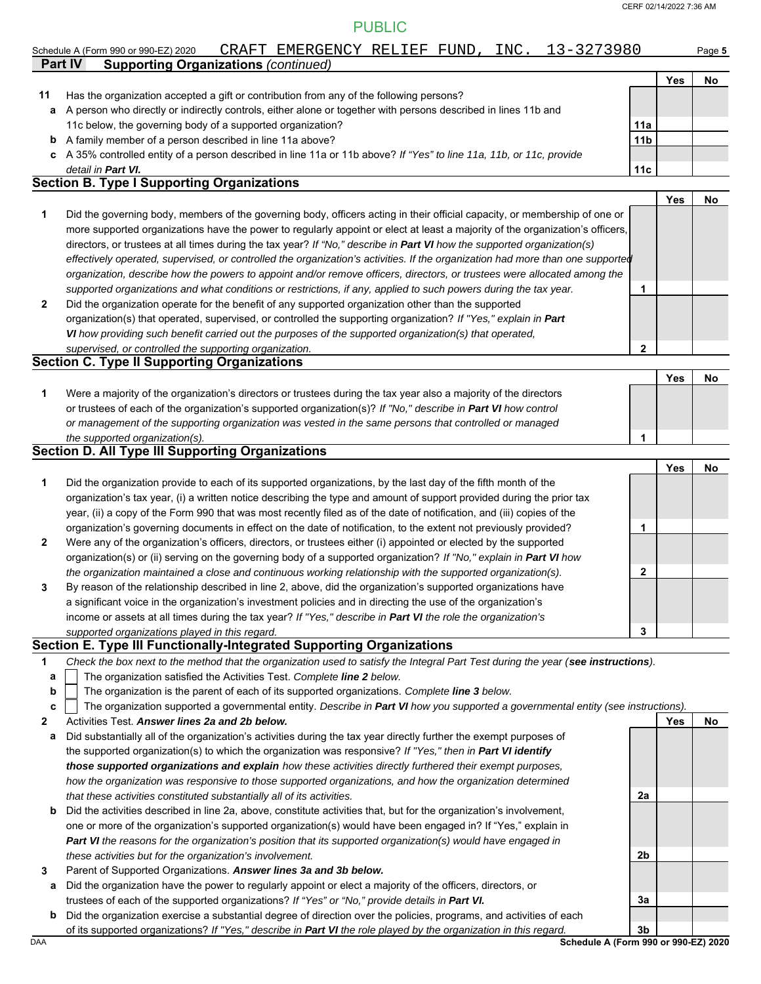$\overline{2}$ 

# PUBLIC

|    | Schedule A (Form 990 or 990-EZ) 2020                                                                               | CRAFT | EMERGENCY RELIEF FUND |  | INC. | 13-3273980      |     | Page 5 |
|----|--------------------------------------------------------------------------------------------------------------------|-------|-----------------------|--|------|-----------------|-----|--------|
|    | <b>Part IV</b><br><b>Supporting Organizations (continued)</b>                                                      |       |                       |  |      |                 |     |        |
|    |                                                                                                                    |       |                       |  |      |                 | Yes | No     |
| 11 | Has the organization accepted a gift or contribution from any of the following persons?                            |       |                       |  |      |                 |     |        |
| a  | A person who directly or indirectly controls, either alone or together with persons described in lines 11b and     |       |                       |  |      |                 |     |        |
|    | 11c below, the governing body of a supported organization?                                                         |       |                       |  |      | 11a             |     |        |
| b  | A family member of a person described in line 11a above?                                                           |       |                       |  |      | 11 <sub>b</sub> |     |        |
| c  | A 35% controlled entity of a person described in line 11a or 11b above? If "Yes" to line 11a, 11b, or 11c, provide |       |                       |  |      |                 |     |        |
|    | detail in <b>Part VI.</b>                                                                                          |       |                       |  |      | 11c             |     |        |
|    | <b>Section B. Type I Supporting Organizations</b>                                                                  |       |                       |  |      |                 |     |        |
|    |                                                                                                                    |       |                       |  |      |                 | Yes | No     |

|              |                                                                                                                                | . | . |
|--------------|--------------------------------------------------------------------------------------------------------------------------------|---|---|
|              | Did the governing body, members of the governing body, officers acting in their official capacity, or membership of one or     |   |   |
|              | more supported organizations have the power to regularly appoint or elect at least a majority of the organization's officers,  |   |   |
|              | directors, or trustees at all times during the tax year? If "No," describe in Part VI how the supported organization(s)        |   |   |
|              | effectively operated, supervised, or controlled the organization's activities. If the organization had more than one supported |   |   |
|              | organization, describe how the powers to appoint and/or remove officers, directors, or trustees were allocated among the       |   |   |
|              | supported organizations and what conditions or restrictions, if any, applied to such powers during the tax year.               |   |   |
| $\mathbf{2}$ | Did the organization operate for the benefit of any supported organization other than the supported                            |   |   |
|              | organization(s) that operated, supervised, or controlled the supporting organization? If "Yes," explain in Part                |   |   |

*VI how providing such benefit carried out the purposes of the supported organization(s) that operated, supervised, or controlled the supporting organization.*

### **Section C. Type II Supporting Organizations**

|                                                                                                                  | Yes |  |
|------------------------------------------------------------------------------------------------------------------|-----|--|
| Were a majority of the organization's directors or trustees during the tax year also a majority of the directors |     |  |
| or trustees of each of the organization's supported organization(s)? If "No," describe in Part VI how control    |     |  |
| or management of the supporting organization was vested in the same persons that controlled or managed           |     |  |
| the supported organization(s).                                                                                   |     |  |

#### **Section D. All Type III Supporting Organizations**

|                |                                                                                                                        |   | Yes | No |
|----------------|------------------------------------------------------------------------------------------------------------------------|---|-----|----|
| 1              | Did the organization provide to each of its supported organizations, by the last day of the fifth month of the         |   |     |    |
|                | organization's tax year, (i) a written notice describing the type and amount of support provided during the prior tax  |   |     |    |
|                | year, (ii) a copy of the Form 990 that was most recently filed as of the date of notification, and (iii) copies of the |   |     |    |
|                | organization's governing documents in effect on the date of notification, to the extent not previously provided?       |   |     |    |
| $\overline{2}$ | Were any of the organization's officers, directors, or trustees either (i) appointed or elected by the supported       |   |     |    |
|                | organization(s) or (ii) serving on the governing body of a supported organization? If "No," explain in Part VI how     |   |     |    |
|                | the organization maintained a close and continuous working relationship with the supported organization(s).            | 2 |     |    |
| 3              | By reason of the relationship described in line 2, above, did the organization's supported organizations have          |   |     |    |
|                | a significant voice in the organization's investment policies and in directing the use of the organization's           |   |     |    |
|                | income or assets at all times during the tax year? If "Yes," describe in Part VI the role the organization's           |   |     |    |
|                | supported organizations played in this regard.                                                                         | 3 |     |    |

#### **Section E. Type III Functionally-Integrated Supporting Organizations**

| Check the box next to the method that the organization used to satisfy the Integral Part Test during the year (see instructions). |  |
|-----------------------------------------------------------------------------------------------------------------------------------|--|
|                                                                                                                                   |  |

- The organization satisfied the Activities Test. *Complete line 2 below.* **a**
- The organization is the parent of each of its supported organizations. *Complete line 3 below.* **b**

```
The organization supported a governmental entity. Describe in Part VI how you supported a governmental entity (see instructions).
c
```

```
2
     Activities Test. Answer lines 2a and 2b below.
```
- **a** Did substantially all of the organization's activities during the tax year directly further the exempt purposes of the supported organization(s) to which the organization was responsive? *If "Yes," then in Part VI identify those supported organizations and explain how these activities directly furthered their exempt purposes, how the organization was responsive to those supported organizations, and how the organization determined that these activities constituted substantially all of its activities.*
- **b** Did the activities described in line 2a, above, constitute activities that, but for the organization's involvement, one or more of the organization's supported organization(s) would have been engaged in? If "Yes," explain in *Part VI the reasons for the organization's position that its supported organization(s) would have engaged in these activities but for the organization's involvement.*
- **3** Parent of Supported Organizations. *Answer lines 3a and 3b below.*
	- **a** Did the organization have the power to regularly appoint or elect a majority of the officers, directors, or trustees of each of the supported organizations? *If "Yes" or "No," provide details in Part VI.*
	- **b** Did the organization exercise a substantial degree of direction over the policies, programs, and activities of each of its supported organizations? *If "Yes," describe in Part VI the role played by the organization in this regard.*

**2a**

**2b**

**3a**

Yes No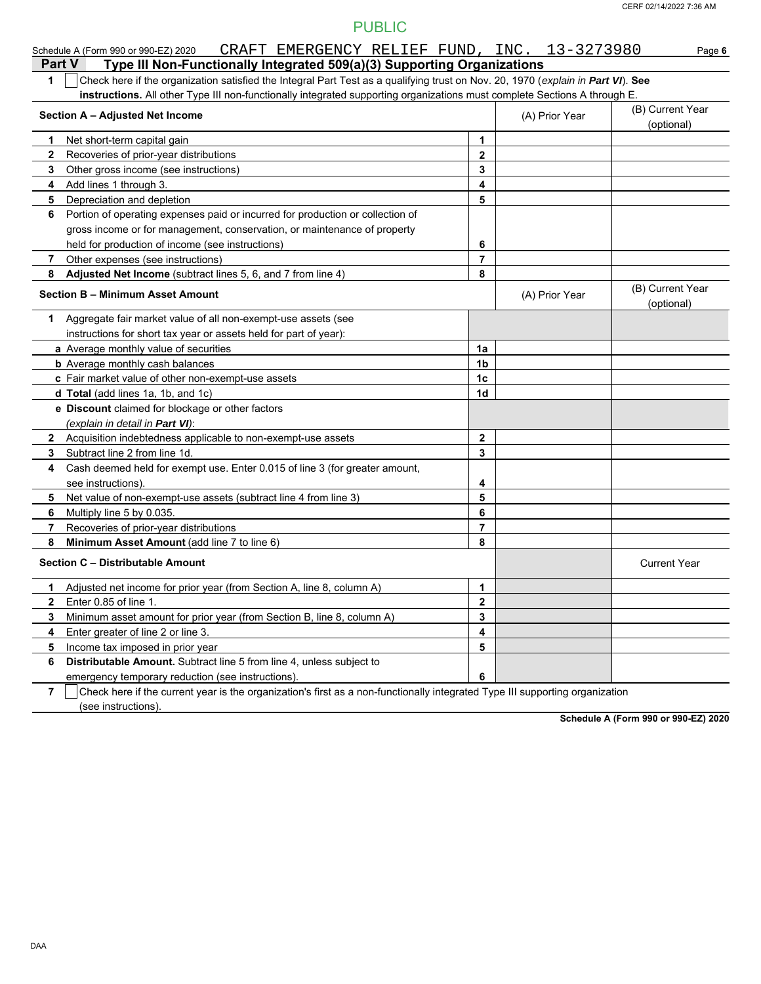|                | CRAFT EMERGENCY RELIEF FUND, INC. 13-3273980<br>Schedule A (Form 990 or 990-EZ) 2020                                             |                |                | Page 6                         |
|----------------|----------------------------------------------------------------------------------------------------------------------------------|----------------|----------------|--------------------------------|
| <b>Part V</b>  | Type III Non-Functionally Integrated 509(a)(3) Supporting Organizations                                                          |                |                |                                |
| 1              | Check here if the organization satisfied the Integral Part Test as a qualifying trust on Nov. 20, 1970 (explain in Part VI). See |                |                |                                |
|                | instructions. All other Type III non-functionally integrated supporting organizations must complete Sections A through E.        |                |                |                                |
|                | Section A - Adjusted Net Income                                                                                                  |                | (A) Prior Year | (B) Current Year<br>(optional) |
| 1.             | Net short-term capital gain                                                                                                      | 1              |                |                                |
| $\mathbf{2}$   | Recoveries of prior-year distributions                                                                                           | $\mathbf{2}$   |                |                                |
| 3              | Other gross income (see instructions)                                                                                            | 3              |                |                                |
| 4              | Add lines 1 through 3.                                                                                                           | 4              |                |                                |
| 5              | Depreciation and depletion                                                                                                       | 5              |                |                                |
| 6              | Portion of operating expenses paid or incurred for production or collection of                                                   |                |                |                                |
|                | gross income or for management, conservation, or maintenance of property                                                         |                |                |                                |
|                | held for production of income (see instructions)                                                                                 | 6              |                |                                |
| 7              | Other expenses (see instructions)                                                                                                | $\overline{7}$ |                |                                |
| 8              | Adjusted Net Income (subtract lines 5, 6, and 7 from line 4)                                                                     | 8              |                |                                |
|                | <b>Section B - Minimum Asset Amount</b>                                                                                          |                | (A) Prior Year | (B) Current Year<br>(optional) |
| 1              | Aggregate fair market value of all non-exempt-use assets (see                                                                    |                |                |                                |
|                | instructions for short tax year or assets held for part of year):                                                                |                |                |                                |
|                | a Average monthly value of securities                                                                                            | 1a             |                |                                |
|                | <b>b</b> Average monthly cash balances                                                                                           | 1 <sub>b</sub> |                |                                |
|                | c Fair market value of other non-exempt-use assets                                                                               | 1 <sub>c</sub> |                |                                |
|                | d Total (add lines 1a, 1b, and 1c)                                                                                               | 1d             |                |                                |
|                | e Discount claimed for blockage or other factors                                                                                 |                |                |                                |
|                | (explain in detail in Part VI):                                                                                                  |                |                |                                |
|                | 2 Acquisition indebtedness applicable to non-exempt-use assets                                                                   | $\mathbf{2}$   |                |                                |
| 3              | Subtract line 2 from line 1d.                                                                                                    | 3              |                |                                |
| 4              | Cash deemed held for exempt use. Enter 0.015 of line 3 (for greater amount,                                                      |                |                |                                |
|                | see instructions).                                                                                                               | 4              |                |                                |
| 5.             | Net value of non-exempt-use assets (subtract line 4 from line 3)                                                                 | 5              |                |                                |
| 6.             | Multiply line 5 by 0.035.                                                                                                        | 6              |                |                                |
| 7              | Recoveries of prior-year distributions                                                                                           | $\overline{7}$ |                |                                |
| 8              | Minimum Asset Amount (add line 7 to line 6)                                                                                      | 8              |                |                                |
|                | Section C - Distributable Amount                                                                                                 |                |                | <b>Current Year</b>            |
| 1              | Adjusted net income for prior year (from Section A, line 8, column A)                                                            | 1              |                |                                |
| 2              | Enter 0.85 of line 1.                                                                                                            | 2              |                |                                |
| 3              | Minimum asset amount for prior year (from Section B, line 8, column A)                                                           | 3              |                |                                |
| 4              | Enter greater of line 2 or line 3.                                                                                               | 4              |                |                                |
| 5              | Income tax imposed in prior year                                                                                                 | 5              |                |                                |
| 6              | Distributable Amount. Subtract line 5 from line 4, unless subject to                                                             |                |                |                                |
|                | emergency temporary reduction (see instructions).                                                                                | 6              |                |                                |
| $\overline{7}$ | Check here if the current year is the organization's first as a non-functionally integrated Type III supporting organization     |                |                |                                |

(see instructions).

**Schedule A (Form 990 or 990-EZ) 2020**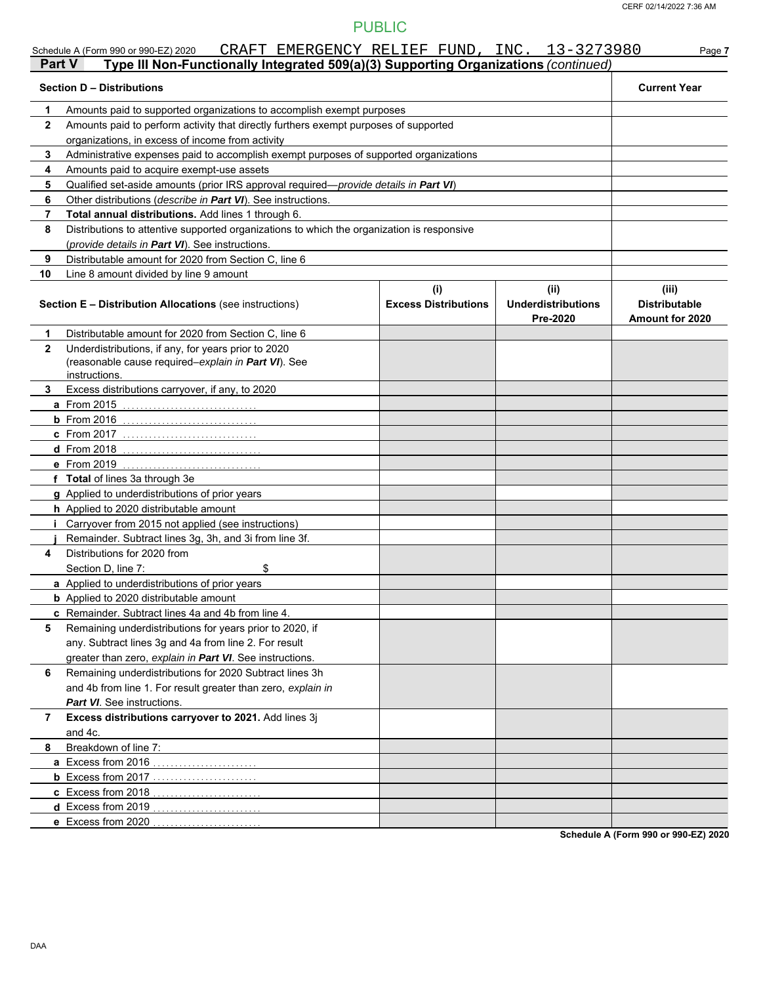|              | CRAFT EMERGENCY RELIEF FUND, INC. 13-3273980<br>Schedule A (Form 990 or 990-EZ) 2020                                                          |                             |                                       | Page 7                                  |
|--------------|-----------------------------------------------------------------------------------------------------------------------------------------------|-----------------------------|---------------------------------------|-----------------------------------------|
| Part V       | Type III Non-Functionally Integrated 509(a)(3) Supporting Organizations (continued)                                                           |                             |                                       |                                         |
|              | <b>Section D - Distributions</b>                                                                                                              |                             |                                       | <b>Current Year</b>                     |
| 1            | Amounts paid to supported organizations to accomplish exempt purposes                                                                         |                             |                                       |                                         |
| $\mathbf{2}$ | Amounts paid to perform activity that directly furthers exempt purposes of supported                                                          |                             |                                       |                                         |
|              | organizations, in excess of income from activity                                                                                              |                             |                                       |                                         |
| 3            | Administrative expenses paid to accomplish exempt purposes of supported organizations                                                         |                             |                                       |                                         |
| 4            | Amounts paid to acquire exempt-use assets                                                                                                     |                             |                                       |                                         |
| 5            | Qualified set-aside amounts (prior IRS approval required-provide details in Part VI)                                                          |                             |                                       |                                         |
| 6            | Other distributions (describe in Part VI). See instructions.                                                                                  |                             |                                       |                                         |
| 7            | Total annual distributions. Add lines 1 through 6.                                                                                            |                             |                                       |                                         |
| 8            | Distributions to attentive supported organizations to which the organization is responsive<br>(provide details in Part VI). See instructions. |                             |                                       |                                         |
| 9            | Distributable amount for 2020 from Section C, line 6                                                                                          |                             |                                       |                                         |
| 10           | Line 8 amount divided by line 9 amount                                                                                                        |                             |                                       |                                         |
|              |                                                                                                                                               | (i)                         | (ii)                                  | (iii)                                   |
|              | <b>Section E - Distribution Allocations (see instructions)</b>                                                                                | <b>Excess Distributions</b> | <b>Underdistributions</b><br>Pre-2020 | <b>Distributable</b><br>Amount for 2020 |
| 1            | Distributable amount for 2020 from Section C, line 6                                                                                          |                             |                                       |                                         |
| $\mathbf{2}$ | Underdistributions, if any, for years prior to 2020<br>(reasonable cause required-explain in Part VI). See<br>instructions.                   |                             |                                       |                                         |
| 3            | Excess distributions carryover, if any, to 2020                                                                                               |                             |                                       |                                         |
|              | <b>a</b> From 2015                                                                                                                            |                             |                                       |                                         |
|              | $b$ From 2016                                                                                                                                 |                             |                                       |                                         |
|              | <b>C</b> From 2017                                                                                                                            |                             |                                       |                                         |
|              | <b>d</b> From 2018                                                                                                                            |                             |                                       |                                         |
|              | e From 2019                                                                                                                                   |                             |                                       |                                         |
|              | f Total of lines 3a through 3e                                                                                                                |                             |                                       |                                         |
|              | g Applied to underdistributions of prior years                                                                                                |                             |                                       |                                         |
|              | h Applied to 2020 distributable amount                                                                                                        |                             |                                       |                                         |
|              | <i>i</i> Carryover from 2015 not applied (see instructions)                                                                                   |                             |                                       |                                         |
|              | Remainder. Subtract lines 3g, 3h, and 3i from line 3f.                                                                                        |                             |                                       |                                         |
| 4            | Distributions for 2020 from                                                                                                                   |                             |                                       |                                         |
|              | \$<br>Section D, line 7:                                                                                                                      |                             |                                       |                                         |
|              | a Applied to underdistributions of prior years                                                                                                |                             |                                       |                                         |
|              | <b>b</b> Applied to 2020 distributable amount                                                                                                 |                             |                                       |                                         |
|              | c Remainder. Subtract lines 4a and 4b from line 4.                                                                                            |                             |                                       |                                         |
| 5            | Remaining underdistributions for years prior to 2020, if                                                                                      |                             |                                       |                                         |
|              | any. Subtract lines 3g and 4a from line 2. For result                                                                                         |                             |                                       |                                         |
|              | greater than zero, explain in Part VI. See instructions.                                                                                      |                             |                                       |                                         |
| 6            | Remaining underdistributions for 2020 Subtract lines 3h                                                                                       |                             |                                       |                                         |
|              | and 4b from line 1. For result greater than zero, explain in                                                                                  |                             |                                       |                                         |
| 7            | <b>Part VI</b> See instructions.<br>Excess distributions carryover to 2021. Add lines 3j                                                      |                             |                                       |                                         |
|              | and 4c.                                                                                                                                       |                             |                                       |                                         |
| 8            | Breakdown of line 7:                                                                                                                          |                             |                                       |                                         |
|              | a Excess from 2016                                                                                                                            |                             |                                       |                                         |
|              |                                                                                                                                               |                             |                                       |                                         |
|              | c Excess from 2018                                                                                                                            |                             |                                       |                                         |
|              | <b>d</b> Excess from 2019                                                                                                                     |                             |                                       |                                         |
|              | e Excess from 2020                                                                                                                            |                             |                                       |                                         |
|              |                                                                                                                                               |                             |                                       |                                         |

**Schedule A (Form 990 or 990-EZ) 2020**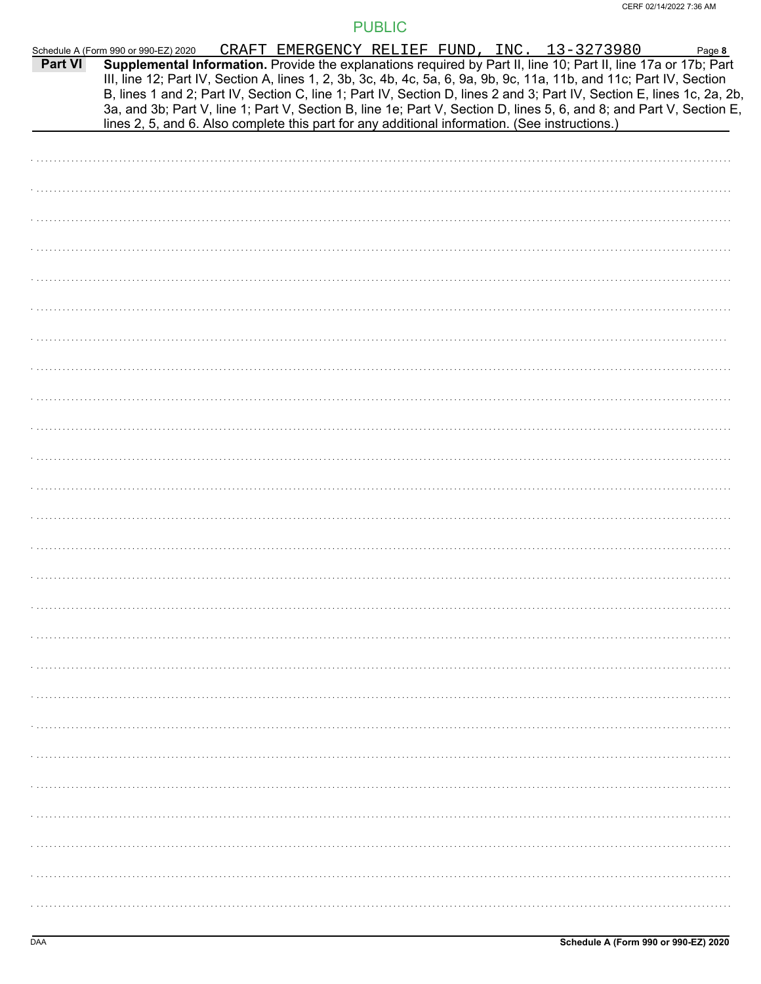|         | Schedule A (Form 990 or 990-EZ) 2020                                                                                                                                                                                                                                                                                                                              | CRAFT EMERGENCY RELIEF FUND, INC. 13-3273980 |  |  | Page 8 |
|---------|-------------------------------------------------------------------------------------------------------------------------------------------------------------------------------------------------------------------------------------------------------------------------------------------------------------------------------------------------------------------|----------------------------------------------|--|--|--------|
| Part VI | Supplemental Information. Provide the explanations required by Part II, line 10; Part II, line 17a or 17b; Part<br>III, line 12; Part IV, Section A, lines 1, 2, 3b, 3c, 4b, 4c, 5a, 6, 9a, 9b, 9c, 11a, 11b, and 11c; Part IV, Section<br>B, lines 1 and 2; Part IV, Section C, line 1; Part IV, Section D, lines 2 and 3; Part IV, Section E, lines 1c, 2a, 2b, |                                              |  |  |        |
|         | 3a, and 3b; Part V, line 1; Part V, Section B, line 1e; Part V, Section D, lines 5, 6, and 8; and Part V, Section E,                                                                                                                                                                                                                                              |                                              |  |  |        |
|         | lines 2, 5, and 6. Also complete this part for any additional information. (See instructions.)                                                                                                                                                                                                                                                                    |                                              |  |  |        |
|         |                                                                                                                                                                                                                                                                                                                                                                   |                                              |  |  |        |
|         |                                                                                                                                                                                                                                                                                                                                                                   |                                              |  |  |        |
|         |                                                                                                                                                                                                                                                                                                                                                                   |                                              |  |  |        |
|         |                                                                                                                                                                                                                                                                                                                                                                   |                                              |  |  |        |
|         |                                                                                                                                                                                                                                                                                                                                                                   |                                              |  |  |        |
|         |                                                                                                                                                                                                                                                                                                                                                                   |                                              |  |  |        |
|         |                                                                                                                                                                                                                                                                                                                                                                   |                                              |  |  |        |
|         |                                                                                                                                                                                                                                                                                                                                                                   |                                              |  |  |        |
|         |                                                                                                                                                                                                                                                                                                                                                                   |                                              |  |  |        |
|         |                                                                                                                                                                                                                                                                                                                                                                   |                                              |  |  |        |
|         |                                                                                                                                                                                                                                                                                                                                                                   |                                              |  |  |        |
|         |                                                                                                                                                                                                                                                                                                                                                                   |                                              |  |  |        |
|         |                                                                                                                                                                                                                                                                                                                                                                   |                                              |  |  |        |
|         |                                                                                                                                                                                                                                                                                                                                                                   |                                              |  |  |        |
|         |                                                                                                                                                                                                                                                                                                                                                                   |                                              |  |  |        |
|         |                                                                                                                                                                                                                                                                                                                                                                   |                                              |  |  |        |
|         |                                                                                                                                                                                                                                                                                                                                                                   |                                              |  |  |        |
|         |                                                                                                                                                                                                                                                                                                                                                                   |                                              |  |  |        |
|         |                                                                                                                                                                                                                                                                                                                                                                   |                                              |  |  |        |
|         |                                                                                                                                                                                                                                                                                                                                                                   |                                              |  |  |        |
|         |                                                                                                                                                                                                                                                                                                                                                                   |                                              |  |  |        |
|         |                                                                                                                                                                                                                                                                                                                                                                   |                                              |  |  |        |
|         |                                                                                                                                                                                                                                                                                                                                                                   |                                              |  |  |        |
|         |                                                                                                                                                                                                                                                                                                                                                                   |                                              |  |  |        |
|         |                                                                                                                                                                                                                                                                                                                                                                   |                                              |  |  |        |
|         |                                                                                                                                                                                                                                                                                                                                                                   |                                              |  |  |        |
|         |                                                                                                                                                                                                                                                                                                                                                                   |                                              |  |  |        |
|         |                                                                                                                                                                                                                                                                                                                                                                   |                                              |  |  |        |
|         |                                                                                                                                                                                                                                                                                                                                                                   |                                              |  |  |        |
|         |                                                                                                                                                                                                                                                                                                                                                                   |                                              |  |  |        |
|         |                                                                                                                                                                                                                                                                                                                                                                   |                                              |  |  |        |
|         |                                                                                                                                                                                                                                                                                                                                                                   |                                              |  |  |        |
|         |                                                                                                                                                                                                                                                                                                                                                                   |                                              |  |  |        |
|         |                                                                                                                                                                                                                                                                                                                                                                   |                                              |  |  |        |
|         |                                                                                                                                                                                                                                                                                                                                                                   |                                              |  |  |        |
|         |                                                                                                                                                                                                                                                                                                                                                                   |                                              |  |  |        |
|         |                                                                                                                                                                                                                                                                                                                                                                   |                                              |  |  |        |
|         |                                                                                                                                                                                                                                                                                                                                                                   |                                              |  |  |        |
|         |                                                                                                                                                                                                                                                                                                                                                                   |                                              |  |  |        |
|         |                                                                                                                                                                                                                                                                                                                                                                   |                                              |  |  |        |
|         |                                                                                                                                                                                                                                                                                                                                                                   |                                              |  |  |        |
|         |                                                                                                                                                                                                                                                                                                                                                                   |                                              |  |  |        |
|         |                                                                                                                                                                                                                                                                                                                                                                   |                                              |  |  |        |
|         |                                                                                                                                                                                                                                                                                                                                                                   |                                              |  |  |        |
|         |                                                                                                                                                                                                                                                                                                                                                                   |                                              |  |  |        |
|         |                                                                                                                                                                                                                                                                                                                                                                   |                                              |  |  |        |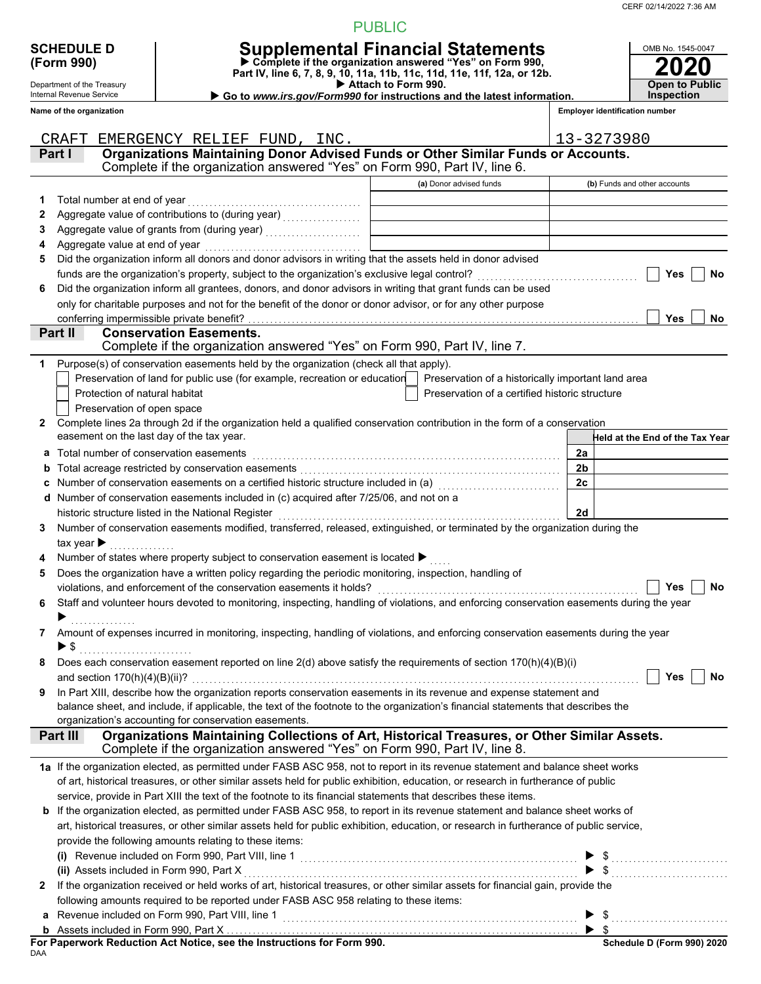CERF 02/14/2022 7:36 AM

OMB No. 1545-0047

#### PUBLIC

| <b>SCHEDULE D</b>          | <b>Supplemental Financial Statements</b>                               |
|----------------------------|------------------------------------------------------------------------|
| (Form 990)                 | ▶ Complete if the organization answered "Yes" on Form 990,             |
|                            | Part IV, line 6, 7, 8, 9, 10, 11a, 11b, 11c, 11d, 11e, 11f, 12a, or 12 |
| Department of the Treasury | Attach to Form 990.                                                    |

Internal Revenue Service **Name of the organization**

# **(Form 990) Part IV, line 6, 7, 8, 9, 10, 11a, 11b, 11c, 11d, 11e, 11f, 12a, or 12b. Complete if the organization answered "Yes" on Form 990,**

 **Attach to Form 990.** 

▶ Go to *www.irs.gov/Form990* for instructions and the latest information.

| <b>2020</b>                        |
|------------------------------------|
| <b>Open to Public</b><br>nspection |

**Employer identification number**

|              | EMERGENCY RELIEF FUND, INC.<br>CRAFT                                                                                                                                                       |                                                    | 13-3273980                      |
|--------------|--------------------------------------------------------------------------------------------------------------------------------------------------------------------------------------------|----------------------------------------------------|---------------------------------|
|              | Organizations Maintaining Donor Advised Funds or Other Similar Funds or Accounts.<br>Part I                                                                                                |                                                    |                                 |
|              | Complete if the organization answered "Yes" on Form 990, Part IV, line 6.                                                                                                                  |                                                    |                                 |
|              |                                                                                                                                                                                            | (a) Donor advised funds                            | (b) Funds and other accounts    |
|              |                                                                                                                                                                                            |                                                    |                                 |
| 1            | Total number at end of year                                                                                                                                                                |                                                    |                                 |
| 2            |                                                                                                                                                                                            |                                                    |                                 |
| 3            |                                                                                                                                                                                            |                                                    |                                 |
| 4            | Aggregate value at end of year                                                                                                                                                             |                                                    |                                 |
| 5            | Did the organization inform all donors and donor advisors in writing that the assets held in donor advised                                                                                 |                                                    |                                 |
|              |                                                                                                                                                                                            |                                                    | Yes<br>No                       |
| 6            | Did the organization inform all grantees, donors, and donor advisors in writing that grant funds can be used                                                                               |                                                    |                                 |
|              | only for charitable purposes and not for the benefit of the donor or donor advisor, or for any other purpose                                                                               |                                                    |                                 |
|              | conferring impermissible private benefit?<br>Part II<br><b>Conservation Easements.</b>                                                                                                     |                                                    | Yes<br>No                       |
|              | Complete if the organization answered "Yes" on Form 990, Part IV, line 7.                                                                                                                  |                                                    |                                 |
|              |                                                                                                                                                                                            |                                                    |                                 |
| 1            | Purpose(s) of conservation easements held by the organization (check all that apply).                                                                                                      |                                                    |                                 |
|              | Preservation of land for public use (for example, recreation or education                                                                                                                  | Preservation of a historically important land area |                                 |
|              | Protection of natural habitat                                                                                                                                                              | Preservation of a certified historic structure     |                                 |
|              | Preservation of open space                                                                                                                                                                 |                                                    |                                 |
| $\mathbf{2}$ | Complete lines 2a through 2d if the organization held a qualified conservation contribution in the form of a conservation                                                                  |                                                    |                                 |
|              | easement on the last day of the tax year.                                                                                                                                                  |                                                    | Held at the End of the Tax Year |
| a            | Total number of conservation easements                                                                                                                                                     |                                                    | 2a                              |
| b            |                                                                                                                                                                                            |                                                    | 2 <sub>b</sub>                  |
| c            | Number of conservation easements on a certified historic structure included in (a) [11] Number of conservation                                                                             |                                                    | 2c                              |
| d            | Number of conservation easements included in (c) acquired after 7/25/06, and not on a                                                                                                      |                                                    |                                 |
|              | historic structure listed in the National Register                                                                                                                                         |                                                    | 2d                              |
| 3            | Number of conservation easements modified, transferred, released, extinguished, or terminated by the organization during the                                                               |                                                    |                                 |
|              | tax year $\blacktriangleright$                                                                                                                                                             |                                                    |                                 |
| 4            | Number of states where property subject to conservation easement is located ▶                                                                                                              |                                                    |                                 |
| 5            | Does the organization have a written policy regarding the periodic monitoring, inspection, handling of                                                                                     |                                                    |                                 |
|              | violations, and enforcement of the conservation easements it holds?                                                                                                                        |                                                    | <b>No</b><br>Yes                |
| 6            | Staff and volunteer hours devoted to monitoring, inspecting, handling of violations, and enforcing conservation easements during the year                                                  |                                                    |                                 |
|              |                                                                                                                                                                                            |                                                    |                                 |
| 7            | Amount of expenses incurred in monitoring, inspecting, handling of violations, and enforcing conservation easements during the year                                                        |                                                    |                                 |
|              | ▶ \$                                                                                                                                                                                       |                                                    |                                 |
|              | Does each conservation easement reported on line 2(d) above satisfy the requirements of section 170(h)(4)(B)(i)                                                                            |                                                    |                                 |
|              |                                                                                                                                                                                            |                                                    |                                 |
| 9            | In Part XIII, describe how the organization reports conservation easements in its revenue and expense statement and                                                                        |                                                    |                                 |
|              | balance sheet, and include, if applicable, the text of the footnote to the organization's financial statements that describes the<br>organization's accounting for conservation easements. |                                                    |                                 |
|              | Organizations Maintaining Collections of Art, Historical Treasures, or Other Similar Assets.<br>Part III                                                                                   |                                                    |                                 |
|              | Complete if the organization answered "Yes" on Form 990, Part IV, line 8.                                                                                                                  |                                                    |                                 |
|              | 1a If the organization elected, as permitted under FASB ASC 958, not to report in its revenue statement and balance sheet works                                                            |                                                    |                                 |
|              | of art, historical treasures, or other similar assets held for public exhibition, education, or research in furtherance of public                                                          |                                                    |                                 |
|              | service, provide in Part XIII the text of the footnote to its financial statements that describes these items.                                                                             |                                                    |                                 |
|              | b If the organization elected, as permitted under FASB ASC 958, to report in its revenue statement and balance sheet works of                                                              |                                                    |                                 |
|              | art, historical treasures, or other similar assets held for public exhibition, education, or research in furtherance of public service,                                                    |                                                    |                                 |
|              | provide the following amounts relating to these items:                                                                                                                                     |                                                    |                                 |
|              |                                                                                                                                                                                            |                                                    |                                 |
|              |                                                                                                                                                                                            |                                                    |                                 |
| $\mathbf{2}$ | If the organization received or held works of art, historical treasures, or other similar assets for financial gain, provide the                                                           |                                                    |                                 |
|              | following amounts required to be reported under FASB ASC 958 relating to these items:                                                                                                      |                                                    |                                 |
| a            | Revenue included on Form 990, Part VIII, line 1                                                                                                                                            |                                                    |                                 |
|              |                                                                                                                                                                                            |                                                    | $\blacktriangleright$ \$        |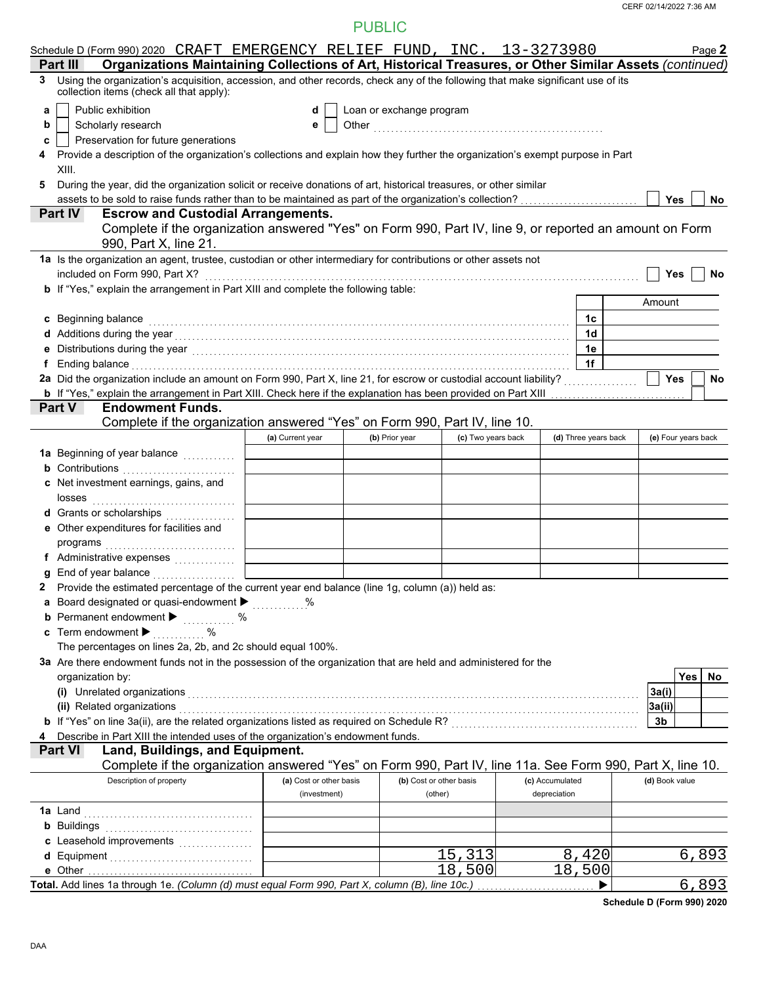| Schedule D (Form 990) 2020 CRAFT EMERGENCY RELIEF FUND, INC. 13-3273980                                                                                                                                                             |                         |                          |                    |                      |                     | Page 2 |
|-------------------------------------------------------------------------------------------------------------------------------------------------------------------------------------------------------------------------------------|-------------------------|--------------------------|--------------------|----------------------|---------------------|--------|
| Organizations Maintaining Collections of Art, Historical Treasures, or Other Similar Assets (continued)<br>Part II                                                                                                                  |                         |                          |                    |                      |                     |        |
| Using the organization's acquisition, accession, and other records, check any of the following that make significant use of its<br>3<br>collection items (check all that apply):                                                    |                         |                          |                    |                      |                     |        |
| Public exhibition<br>a                                                                                                                                                                                                              | d                       | Loan or exchange program |                    |                      |                     |        |
| Scholarly research<br>b                                                                                                                                                                                                             | е                       |                          |                    |                      |                     |        |
| Preservation for future generations<br>c                                                                                                                                                                                            |                         |                          |                    |                      |                     |        |
| Provide a description of the organization's collections and explain how they further the organization's exempt purpose in Part<br>XIII.                                                                                             |                         |                          |                    |                      |                     |        |
| 5<br>During the year, did the organization solicit or receive donations of art, historical treasures, or other similar                                                                                                              |                         |                          |                    |                      |                     |        |
|                                                                                                                                                                                                                                     |                         |                          |                    |                      | <b>Yes</b>          | No     |
| <b>Escrow and Custodial Arrangements.</b><br><b>Part IV</b>                                                                                                                                                                         |                         |                          |                    |                      |                     |        |
| Complete if the organization answered "Yes" on Form 990, Part IV, line 9, or reported an amount on Form                                                                                                                             |                         |                          |                    |                      |                     |        |
| 990, Part X, line 21.                                                                                                                                                                                                               |                         |                          |                    |                      |                     |        |
| 1a Is the organization an agent, trustee, custodian or other intermediary for contributions or other assets not                                                                                                                     |                         |                          |                    |                      |                     |        |
| included on Form 990, Part X?                                                                                                                                                                                                       |                         |                          |                    |                      | Yes                 | No     |
| b If "Yes," explain the arrangement in Part XIII and complete the following table:                                                                                                                                                  |                         |                          |                    |                      |                     |        |
|                                                                                                                                                                                                                                     |                         |                          |                    |                      | Amount              |        |
| c Beginning balance                                                                                                                                                                                                                 |                         |                          |                    | 1c                   |                     |        |
| d Additions during the year<br>$\ldots$ $\ldots$ $\ldots$ $\ldots$ $\ldots$ $\ldots$ $\ldots$ $\ldots$ $\ldots$ $\ldots$ $\ldots$ $\ldots$                                                                                          |                         |                          |                    | 1d                   |                     |        |
|                                                                                                                                                                                                                                     |                         |                          |                    | 1e                   |                     |        |
| Ending balance continuous continuous continuous continuous continuous continuous continuous continuous continuo                                                                                                                     |                         |                          |                    | 1f                   |                     |        |
|                                                                                                                                                                                                                                     |                         |                          |                    |                      | <b>Yes</b>          | No     |
| <b>b</b> If "Yes," explain the arrangement in Part XIII. Check here if the explanation has been provided on Part XIII                                                                                                               |                         |                          |                    |                      |                     |        |
| <b>Endowment Funds.</b><br>Part V                                                                                                                                                                                                   |                         |                          |                    |                      |                     |        |
| Complete if the organization answered "Yes" on Form 990, Part IV, line 10.                                                                                                                                                          |                         |                          |                    |                      |                     |        |
|                                                                                                                                                                                                                                     | (a) Current year        | (b) Prior year           | (c) Two years back | (d) Three years back | (e) Four years back |        |
| 1a Beginning of year balance                                                                                                                                                                                                        |                         |                          |                    |                      |                     |        |
| <b>b</b> Contributions                                                                                                                                                                                                              |                         |                          |                    |                      |                     |        |
| c Net investment earnings, gains, and                                                                                                                                                                                               |                         |                          |                    |                      |                     |        |
|                                                                                                                                                                                                                                     |                         |                          |                    |                      |                     |        |
| d Grants or scholarships                                                                                                                                                                                                            |                         |                          |                    |                      |                     |        |
| e Other expenditures for facilities and                                                                                                                                                                                             |                         |                          |                    |                      |                     |        |
|                                                                                                                                                                                                                                     |                         |                          |                    |                      |                     |        |
| g End of year balance <i></i>                                                                                                                                                                                                       |                         |                          |                    |                      |                     |        |
| 2 Provide the estimated percentage of the current year end balance (line 1g, column (a)) held as:                                                                                                                                   |                         |                          |                    |                      |                     |        |
| a Board designated or quasi-endowment $\blacktriangleright$                                                                                                                                                                         |                         |                          |                    |                      |                     |        |
| <b>b</b> Permanent endowment $\blacktriangleright$ %                                                                                                                                                                                |                         |                          |                    |                      |                     |        |
| <b>c</b> Term endowment $\blacktriangleright$<br>. %                                                                                                                                                                                |                         |                          |                    |                      |                     |        |
| The percentages on lines 2a, 2b, and 2c should equal 100%.                                                                                                                                                                          |                         |                          |                    |                      |                     |        |
| 3a Are there endowment funds not in the possession of the organization that are held and administered for the                                                                                                                       |                         |                          |                    |                      |                     |        |
| organization by:                                                                                                                                                                                                                    |                         |                          |                    |                      | <b>Yes</b>          | No     |
| (i) Unrelated organizations <b>constructs</b> and a series of the construction of the construction of the construction of the construction of the construction of the construction of the construction of the construction of the c |                         |                          |                    |                      | 3a(i)               |        |
|                                                                                                                                                                                                                                     |                         |                          |                    |                      | 3a(ii)              |        |
| b If "Yes" on line 3a(ii), are the related organizations listed as required on Schedule R? [[[[[[[[[[[[[[[[[[[                                                                                                                      |                         |                          |                    |                      | 3b                  |        |
| Describe in Part XIII the intended uses of the organization's endowment funds.                                                                                                                                                      |                         |                          |                    |                      |                     |        |
| Land, Buildings, and Equipment.<br><b>Part VI</b>                                                                                                                                                                                   |                         |                          |                    |                      |                     |        |
| Complete if the organization answered "Yes" on Form 990, Part IV, line 11a. See Form 990, Part X, line 10.                                                                                                                          |                         |                          |                    |                      |                     |        |
| Description of property                                                                                                                                                                                                             | (a) Cost or other basis | (b) Cost or other basis  |                    | (c) Accumulated      | (d) Book value      |        |
|                                                                                                                                                                                                                                     | (investment)            | (other)                  |                    | depreciation         |                     |        |
|                                                                                                                                                                                                                                     |                         |                          |                    |                      |                     |        |
|                                                                                                                                                                                                                                     |                         |                          |                    |                      |                     |        |
| c Leasehold improvements                                                                                                                                                                                                            |                         |                          |                    |                      |                     |        |
|                                                                                                                                                                                                                                     |                         |                          | 15,313             | ,420<br>8.           |                     | 6,893  |
|                                                                                                                                                                                                                                     |                         |                          | 18,500             | 18,500               |                     |        |
| Total. Add lines 1a through 1e. (Column (d) must equal Form 990, Part X, column (B), line 10c.)                                                                                                                                     |                         |                          |                    |                      |                     | 6,893  |

**Schedule D (Form 990) 2020**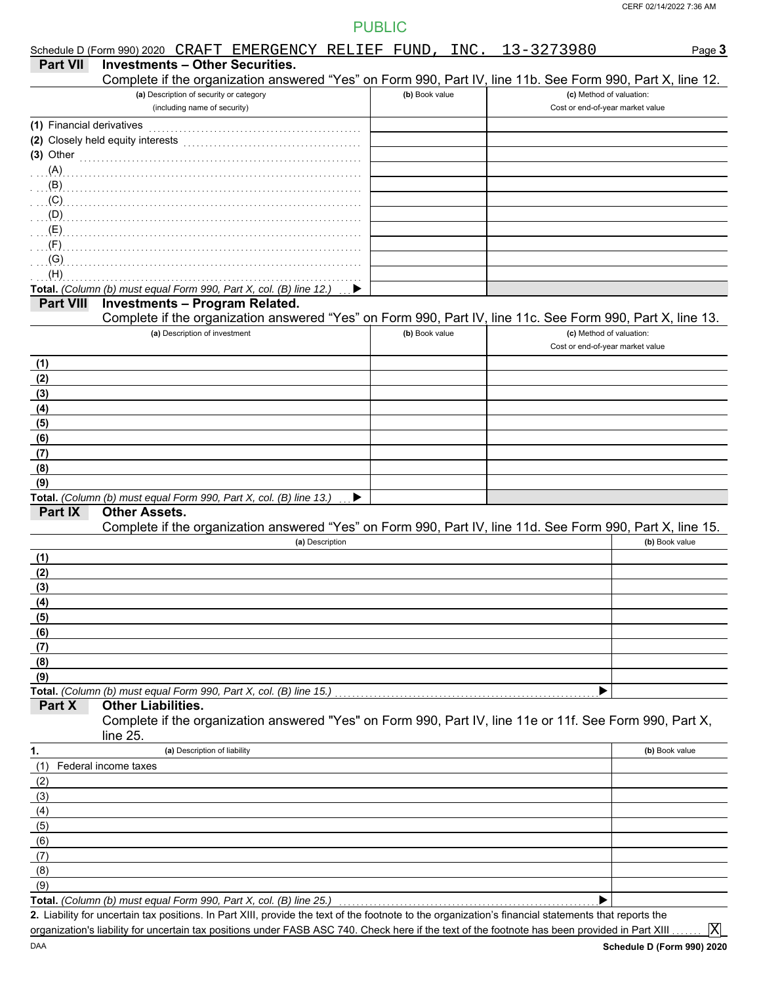|                           |                           |                                                                         | Schedule D (Form 990) 2020 CRAFT EMERGENCY RELIEF FUND, INC. 13-3273980                                                                                                                                                          |                |  |                                                              | Page 3                                                                                                     |
|---------------------------|---------------------------|-------------------------------------------------------------------------|----------------------------------------------------------------------------------------------------------------------------------------------------------------------------------------------------------------------------------|----------------|--|--------------------------------------------------------------|------------------------------------------------------------------------------------------------------------|
| <b>Part VII</b>           |                           |                                                                         | <b>Investments - Other Securities.</b>                                                                                                                                                                                           |                |  |                                                              |                                                                                                            |
|                           |                           |                                                                         |                                                                                                                                                                                                                                  |                |  |                                                              | Complete if the organization answered "Yes" on Form 990, Part IV, line 11b. See Form 990, Part X, line 12. |
|                           |                           | (a) Description of security or category<br>(including name of security) |                                                                                                                                                                                                                                  | (b) Book value |  | (c) Method of valuation:<br>Cost or end-of-year market value |                                                                                                            |
|                           |                           |                                                                         |                                                                                                                                                                                                                                  |                |  |                                                              |                                                                                                            |
| (1) Financial derivatives |                           |                                                                         |                                                                                                                                                                                                                                  |                |  |                                                              |                                                                                                            |
| $(3)$ Other               |                           |                                                                         |                                                                                                                                                                                                                                  |                |  |                                                              |                                                                                                            |
| $\ldots$ (A)              |                           |                                                                         |                                                                                                                                                                                                                                  |                |  |                                                              |                                                                                                            |
|                           |                           |                                                                         | $\mathbf{B}$ (B) and the continuum continuum continuum continuum continuum continuum continuum continuum continuum continuum continuum continuum continuum continuum continuum continuum continuum continuum continuum continuum |                |  |                                                              |                                                                                                            |
|                           |                           |                                                                         |                                                                                                                                                                                                                                  |                |  |                                                              |                                                                                                            |
|                           |                           |                                                                         |                                                                                                                                                                                                                                  |                |  |                                                              |                                                                                                            |
|                           |                           |                                                                         |                                                                                                                                                                                                                                  |                |  |                                                              |                                                                                                            |
|                           |                           |                                                                         |                                                                                                                                                                                                                                  |                |  |                                                              |                                                                                                            |
| $\Gamma$ (G)              |                           |                                                                         |                                                                                                                                                                                                                                  |                |  |                                                              |                                                                                                            |
| (H)                       |                           |                                                                         |                                                                                                                                                                                                                                  |                |  |                                                              |                                                                                                            |
|                           |                           |                                                                         | Total. (Column (b) must equal Form 990, Part X, col. (B) line 12.)                                                                                                                                                               |                |  |                                                              |                                                                                                            |
| <b>Part VIII</b>          |                           |                                                                         | <b>Investments - Program Related.</b>                                                                                                                                                                                            |                |  |                                                              | Complete if the organization answered "Yes" on Form 990, Part IV, line 11c. See Form 990, Part X, line 13. |
|                           |                           | (a) Description of investment                                           |                                                                                                                                                                                                                                  | (b) Book value |  | (c) Method of valuation:                                     |                                                                                                            |
|                           |                           |                                                                         |                                                                                                                                                                                                                                  |                |  | Cost or end-of-year market value                             |                                                                                                            |
| (1)                       |                           |                                                                         |                                                                                                                                                                                                                                  |                |  |                                                              |                                                                                                            |
| (2)                       |                           |                                                                         |                                                                                                                                                                                                                                  |                |  |                                                              |                                                                                                            |
| (3)                       |                           |                                                                         |                                                                                                                                                                                                                                  |                |  |                                                              |                                                                                                            |
| (4)                       |                           |                                                                         |                                                                                                                                                                                                                                  |                |  |                                                              |                                                                                                            |
| (5)                       |                           |                                                                         |                                                                                                                                                                                                                                  |                |  |                                                              |                                                                                                            |
| (6)                       |                           |                                                                         |                                                                                                                                                                                                                                  |                |  |                                                              |                                                                                                            |
| (7)                       |                           |                                                                         |                                                                                                                                                                                                                                  |                |  |                                                              |                                                                                                            |
| (8)                       |                           |                                                                         |                                                                                                                                                                                                                                  |                |  |                                                              |                                                                                                            |
| (9)                       |                           |                                                                         | Total. (Column (b) must equal Form 990, Part X, col. (B) line 13.)                                                                                                                                                               |                |  |                                                              |                                                                                                            |
| Part IX                   | <b>Other Assets.</b>      |                                                                         |                                                                                                                                                                                                                                  |                |  |                                                              |                                                                                                            |
|                           |                           |                                                                         |                                                                                                                                                                                                                                  |                |  |                                                              | Complete if the organization answered "Yes" on Form 990, Part IV, line 11d. See Form 990, Part X, line 15. |
|                           |                           |                                                                         | (a) Description                                                                                                                                                                                                                  |                |  |                                                              | (b) Book value                                                                                             |
| (1)                       |                           |                                                                         |                                                                                                                                                                                                                                  |                |  |                                                              |                                                                                                            |
| (2)                       |                           |                                                                         |                                                                                                                                                                                                                                  |                |  |                                                              |                                                                                                            |
| (3)                       |                           |                                                                         |                                                                                                                                                                                                                                  |                |  |                                                              |                                                                                                            |
| (4)                       |                           |                                                                         |                                                                                                                                                                                                                                  |                |  |                                                              |                                                                                                            |
| (5)                       |                           |                                                                         |                                                                                                                                                                                                                                  |                |  |                                                              |                                                                                                            |
| (6)                       |                           |                                                                         |                                                                                                                                                                                                                                  |                |  |                                                              |                                                                                                            |
| (7)<br>(8)                |                           |                                                                         |                                                                                                                                                                                                                                  |                |  |                                                              |                                                                                                            |
| (9)                       |                           |                                                                         |                                                                                                                                                                                                                                  |                |  |                                                              |                                                                                                            |
|                           |                           |                                                                         | Total. (Column (b) must equal Form 990, Part X, col. (B) line 15.)                                                                                                                                                               |                |  |                                                              |                                                                                                            |
| Part X                    | <b>Other Liabilities.</b> |                                                                         |                                                                                                                                                                                                                                  |                |  |                                                              |                                                                                                            |
|                           |                           |                                                                         |                                                                                                                                                                                                                                  |                |  |                                                              | Complete if the organization answered "Yes" on Form 990, Part IV, line 11e or 11f. See Form 990, Part X,   |
|                           | line 25.                  |                                                                         |                                                                                                                                                                                                                                  |                |  |                                                              |                                                                                                            |
| 1.                        |                           | (a) Description of liability                                            |                                                                                                                                                                                                                                  |                |  |                                                              | (b) Book value                                                                                             |
| (1)                       | Federal income taxes      |                                                                         |                                                                                                                                                                                                                                  |                |  |                                                              |                                                                                                            |
| (2)<br>(3)                |                           |                                                                         |                                                                                                                                                                                                                                  |                |  |                                                              |                                                                                                            |
| (4)                       |                           |                                                                         |                                                                                                                                                                                                                                  |                |  |                                                              |                                                                                                            |
| (5)                       |                           |                                                                         |                                                                                                                                                                                                                                  |                |  |                                                              |                                                                                                            |
| (6)                       |                           |                                                                         |                                                                                                                                                                                                                                  |                |  |                                                              |                                                                                                            |
| (7)                       |                           |                                                                         |                                                                                                                                                                                                                                  |                |  |                                                              |                                                                                                            |
| (8)                       |                           |                                                                         |                                                                                                                                                                                                                                  |                |  |                                                              |                                                                                                            |
| (9)                       |                           |                                                                         |                                                                                                                                                                                                                                  |                |  |                                                              |                                                                                                            |
|                           |                           |                                                                         | Total. (Column (b) must equal Form 990, Part X, col. (B) line 25.)                                                                                                                                                               |                |  |                                                              |                                                                                                            |
|                           |                           |                                                                         | 2. Liability for uncertain tax positions. In Part XIII, provide the text of the footnote to the organization's financial statements that reports the                                                                             |                |  |                                                              |                                                                                                            |
|                           |                           |                                                                         | organization's liability for uncertain tax positions under FASB ASC 740. Check here if the text of the footnote has been provided in Part XIII                                                                                   |                |  |                                                              | $ {\rm X} $                                                                                                |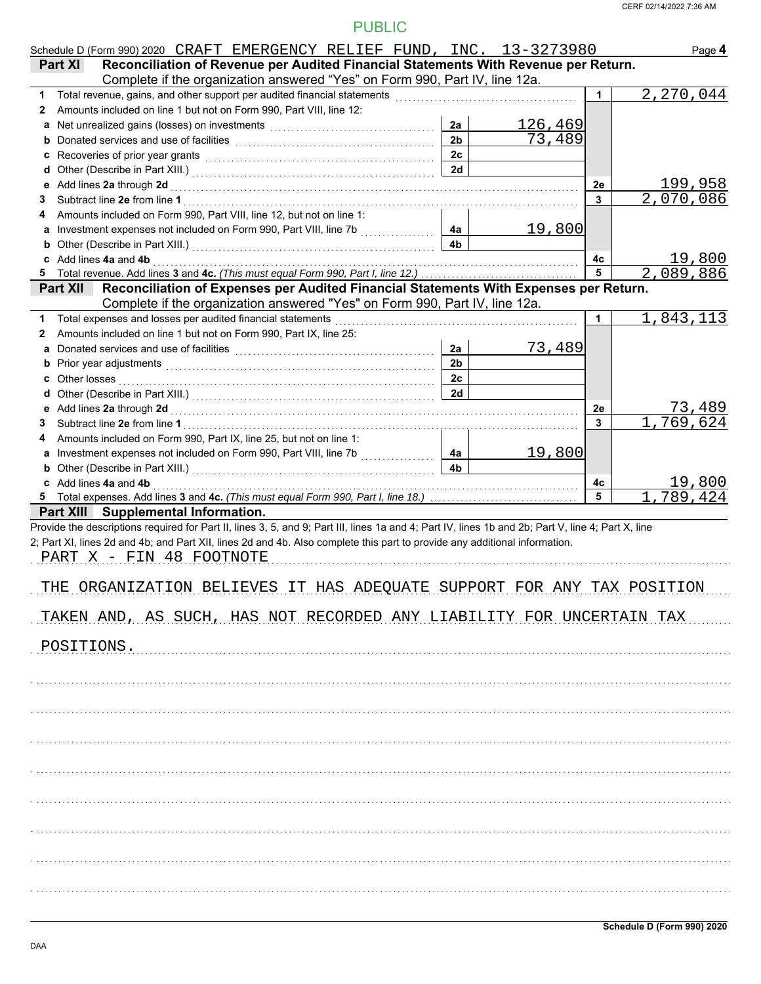|    | Schedule D (Form 990) 2020 CRAFT EMERGENCY RELIEF FUND, INC. 13-3273980                                                                                                                                                                                                                                      |                      |                   |    | Page 4    |
|----|--------------------------------------------------------------------------------------------------------------------------------------------------------------------------------------------------------------------------------------------------------------------------------------------------------------|----------------------|-------------------|----|-----------|
|    | Reconciliation of Revenue per Audited Financial Statements With Revenue per Return.<br><b>Part XI</b>                                                                                                                                                                                                        |                      |                   |    |           |
|    | Complete if the organization answered "Yes" on Form 990, Part IV, line 12a.                                                                                                                                                                                                                                  |                      |                   |    |           |
| 1  | Total revenue, gains, and other support per audited financial statements [111] [11] Total revenue, gains, and other support per audited financial statements                                                                                                                                                 |                      |                   | 1. | 2,270,044 |
| 2  | Amounts included on line 1 but not on Form 990, Part VIII, line 12:                                                                                                                                                                                                                                          |                      |                   |    |           |
|    | a Net unrealized gains (losses) on investments [11] [11] Net uncontained a Net unrealized gains (losses) on investments                                                                                                                                                                                      | 2a<br>2 <sub>b</sub> | 126,469<br>73,489 |    |           |
|    |                                                                                                                                                                                                                                                                                                              | 2c                   |                   |    |           |
|    | c Recoveries of prior year grants [11] Recovering the Recoveries of prior year grants [11] Recoveries of prior                                                                                                                                                                                               | 2d                   |                   |    |           |
|    |                                                                                                                                                                                                                                                                                                              |                      |                   | 2e | 199,958   |
| 3  |                                                                                                                                                                                                                                                                                                              |                      |                   | 3  | 2,070,086 |
| 4  | Amounts included on Form 990, Part VIII, line 12, but not on line 1:                                                                                                                                                                                                                                         |                      |                   |    |           |
|    |                                                                                                                                                                                                                                                                                                              | 4a                   | <u>19,800</u>     |    |           |
|    |                                                                                                                                                                                                                                                                                                              | 4 <sub>b</sub>       |                   |    |           |
|    | c Add lines 4a and 4b                                                                                                                                                                                                                                                                                        |                      |                   | 4c | 19,800    |
|    |                                                                                                                                                                                                                                                                                                              |                      |                   | 5  | 2,089,886 |
|    | Reconciliation of Expenses per Audited Financial Statements With Expenses per Return.<br><b>Part XII</b>                                                                                                                                                                                                     |                      |                   |    |           |
|    | Complete if the organization answered "Yes" on Form 990, Part IV, line 12a.                                                                                                                                                                                                                                  |                      |                   |    |           |
|    | 1 Total expenses and losses per audited financial statements [11] [11] Total expenses and losses and losses per audited financial statements [11] Total expenses and losses                                                                                                                                  |                      |                   | 1  | 1,843,113 |
| 2  | Amounts included on line 1 but not on Form 990, Part IX, line 25:                                                                                                                                                                                                                                            |                      |                   |    |           |
|    |                                                                                                                                                                                                                                                                                                              | 2a                   | 73,489            |    |           |
|    | b Prior year adjustments <b>contained</b> and the contained and the contained and contained and contained and contained and contained and contained and contained and contained and contained and contained and contained and conta                                                                          | 2 <sub>b</sub>       |                   |    |           |
|    |                                                                                                                                                                                                                                                                                                              | 2c                   |                   |    |           |
|    |                                                                                                                                                                                                                                                                                                              | 2d                   |                   |    |           |
|    |                                                                                                                                                                                                                                                                                                              |                      |                   | 2e | 73,489    |
| 3. |                                                                                                                                                                                                                                                                                                              |                      |                   | 3  | 1,769,624 |
| 4  | Amounts included on Form 990, Part IX, line 25, but not on line 1:                                                                                                                                                                                                                                           |                      |                   |    |           |
|    | a Investment expenses not included on Form 990, Part VIII, line 7b                                                                                                                                                                                                                                           | 4a                   | 19,800            |    |           |
|    |                                                                                                                                                                                                                                                                                                              | 4 <sub>b</sub>       |                   |    |           |
|    |                                                                                                                                                                                                                                                                                                              |                      |                   | 4c | 19,800    |
|    |                                                                                                                                                                                                                                                                                                              |                      |                   | 5  | 1,789,424 |
|    | Part XIII Supplemental Information.                                                                                                                                                                                                                                                                          |                      |                   |    |           |
|    | Provide the descriptions required for Part II, lines 3, 5, and 9; Part III, lines 1a and 4; Part IV, lines 1b and 2b; Part V, line 4; Part X, line<br>2; Part XI, lines 2d and 4b; and Part XII, lines 2d and 4b. Also complete this part to provide any additional information.<br>PART X - FIN 48 FOOTNOTE |                      |                   |    |           |
|    | THE ORGANIZATION BELIEVES IT HAS ADEQUATE SUPPORT FOR ANY TAX POSITION                                                                                                                                                                                                                                       |                      |                   |    |           |
|    | TAKEN AND, AS SUCH, HAS NOT RECORDED ANY LIABILITY FOR UNCERTAIN TAX                                                                                                                                                                                                                                         |                      |                   |    |           |
|    | POSITIONS.                                                                                                                                                                                                                                                                                                   |                      |                   |    |           |
|    |                                                                                                                                                                                                                                                                                                              |                      |                   |    |           |
|    |                                                                                                                                                                                                                                                                                                              |                      |                   |    |           |
|    |                                                                                                                                                                                                                                                                                                              |                      |                   |    |           |
|    |                                                                                                                                                                                                                                                                                                              |                      |                   |    |           |
|    |                                                                                                                                                                                                                                                                                                              |                      |                   |    |           |
|    |                                                                                                                                                                                                                                                                                                              |                      |                   |    |           |
|    |                                                                                                                                                                                                                                                                                                              |                      |                   |    |           |
|    |                                                                                                                                                                                                                                                                                                              |                      |                   |    |           |
|    |                                                                                                                                                                                                                                                                                                              |                      |                   |    |           |
|    |                                                                                                                                                                                                                                                                                                              |                      |                   |    |           |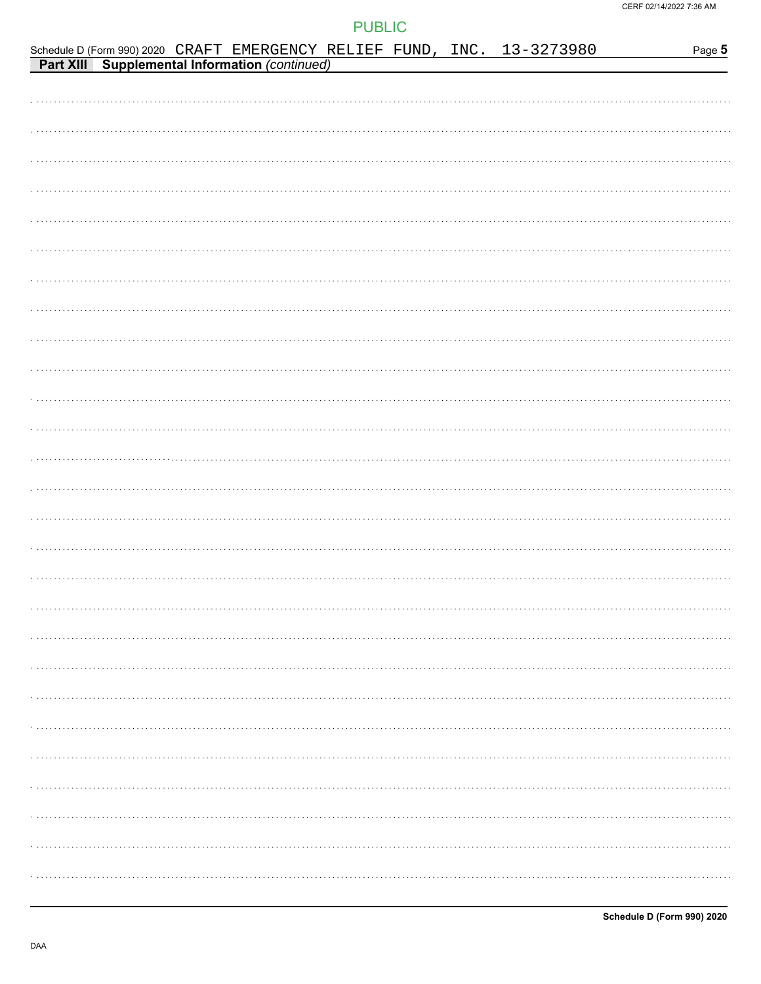|  |  |  |  | Schedule D (Form 990) 2020 CRAFT EMERGENCY RELIEF FUND, INC. 13-3273980<br>Part XIII Supplemental Information (continued) | Page 5 |
|--|--|--|--|---------------------------------------------------------------------------------------------------------------------------|--------|
|  |  |  |  |                                                                                                                           |        |
|  |  |  |  |                                                                                                                           |        |
|  |  |  |  |                                                                                                                           |        |
|  |  |  |  |                                                                                                                           |        |
|  |  |  |  |                                                                                                                           |        |
|  |  |  |  |                                                                                                                           |        |
|  |  |  |  |                                                                                                                           |        |
|  |  |  |  |                                                                                                                           |        |
|  |  |  |  |                                                                                                                           |        |
|  |  |  |  |                                                                                                                           |        |
|  |  |  |  |                                                                                                                           |        |
|  |  |  |  |                                                                                                                           |        |
|  |  |  |  |                                                                                                                           |        |
|  |  |  |  |                                                                                                                           |        |
|  |  |  |  |                                                                                                                           |        |
|  |  |  |  |                                                                                                                           |        |
|  |  |  |  |                                                                                                                           |        |
|  |  |  |  |                                                                                                                           |        |
|  |  |  |  |                                                                                                                           |        |
|  |  |  |  |                                                                                                                           |        |
|  |  |  |  |                                                                                                                           |        |
|  |  |  |  |                                                                                                                           |        |
|  |  |  |  |                                                                                                                           |        |
|  |  |  |  |                                                                                                                           |        |
|  |  |  |  |                                                                                                                           |        |
|  |  |  |  |                                                                                                                           |        |
|  |  |  |  |                                                                                                                           |        |
|  |  |  |  |                                                                                                                           |        |
|  |  |  |  |                                                                                                                           |        |
|  |  |  |  |                                                                                                                           |        |
|  |  |  |  |                                                                                                                           |        |
|  |  |  |  |                                                                                                                           |        |
|  |  |  |  |                                                                                                                           |        |
|  |  |  |  |                                                                                                                           |        |
|  |  |  |  |                                                                                                                           |        |
|  |  |  |  |                                                                                                                           |        |
|  |  |  |  |                                                                                                                           |        |
|  |  |  |  |                                                                                                                           |        |
|  |  |  |  |                                                                                                                           |        |
|  |  |  |  |                                                                                                                           |        |
|  |  |  |  |                                                                                                                           |        |
|  |  |  |  |                                                                                                                           |        |
|  |  |  |  |                                                                                                                           |        |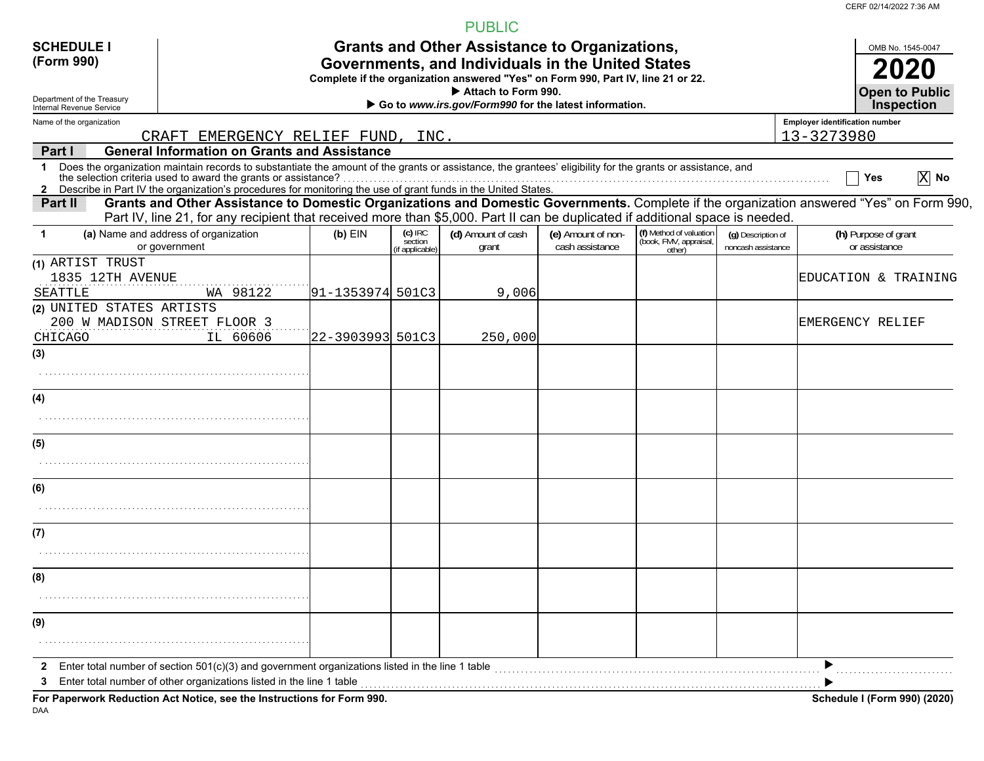CERF 02/14/2022 7:36 AM

|                                                        |                                                                                                                                                                                                                                                                                                                                                 |                        |                                        | <b>PUBLIC</b>                                                                                                                                                                                 |                                       |                                                             |                                          |                                                     |                                       |                                            |
|--------------------------------------------------------|-------------------------------------------------------------------------------------------------------------------------------------------------------------------------------------------------------------------------------------------------------------------------------------------------------------------------------------------------|------------------------|----------------------------------------|-----------------------------------------------------------------------------------------------------------------------------------------------------------------------------------------------|---------------------------------------|-------------------------------------------------------------|------------------------------------------|-----------------------------------------------------|---------------------------------------|--------------------------------------------|
| <b>SCHEDULE I</b><br>(Form 990)                        |                                                                                                                                                                                                                                                                                                                                                 |                        |                                        | <b>Grants and Other Assistance to Organizations,</b><br>Governments, and Individuals in the United States<br>Complete if the organization answered "Yes" on Form 990, Part IV, line 21 or 22. |                                       |                                                             |                                          |                                                     |                                       | OMB No. 1545-0047                          |
| Department of the Treasury<br>Internal Revenue Service |                                                                                                                                                                                                                                                                                                                                                 |                        |                                        | Attach to Form 990.<br>Go to www.irs.gov/Form990 for the latest information.                                                                                                                  |                                       |                                                             |                                          |                                                     |                                       | <b>Open to Public</b><br><b>Inspection</b> |
| Name of the organization                               | CRAFT EMERGENCY RELIEF FUND,                                                                                                                                                                                                                                                                                                                    |                        | INC.                                   |                                                                                                                                                                                               |                                       |                                                             |                                          | <b>Employer identification number</b><br>13-3273980 |                                       |                                            |
| Part I                                                 | <b>General Information on Grants and Assistance</b>                                                                                                                                                                                                                                                                                             |                        |                                        |                                                                                                                                                                                               |                                       |                                                             |                                          |                                                     |                                       |                                            |
| $\mathbf 1$                                            | Does the organization maintain records to substantiate the amount of the grants or assistance, the grantees' eligibility for the grants or assistance, and<br>the selection criteria used to award the grants or assistance?<br>2 Describe in Part IV the organization's procedures for monitoring the use of grant funds in the United States. |                        |                                        |                                                                                                                                                                                               |                                       |                                                             |                                          |                                                     | Yes                                   | $\overline{X}$ No                          |
| Part II                                                | Grants and Other Assistance to Domestic Organizations and Domestic Governments. Complete if the organization answered "Yes" on Form 990,<br>Part IV, line 21, for any recipient that received more than \$5,000. Part II can be duplicated if additional space is needed.                                                                       |                        |                                        |                                                                                                                                                                                               |                                       |                                                             |                                          |                                                     |                                       |                                            |
| $\mathbf{1}$                                           | (a) Name and address of organization<br>or government                                                                                                                                                                                                                                                                                           | $(b)$ EIN              | $(c)$ IRC<br>section<br>if applicable) | (d) Amount of cash<br>grant                                                                                                                                                                   | (e) Amount of non-<br>cash assistance | (f) Method of valuation<br>(book, FMV, appraisal,<br>other) | (g) Description of<br>noncash assistance |                                                     | (h) Purpose of grant<br>or assistance |                                            |
| (1) ARTIST TRUST<br>1835 12TH AVENUE<br>SEATTLE        | WA 98122                                                                                                                                                                                                                                                                                                                                        | $ 91 - 1353974  501C3$ |                                        | 9,006                                                                                                                                                                                         |                                       |                                                             |                                          | EDUCATION & TRAINING                                |                                       |                                            |
| (2) UNITED STATES ARTISTS<br>CHICAGO                   | 200 W MADISON STREET FLOOR 3<br>IL 60606                                                                                                                                                                                                                                                                                                        | 22-3903993 501C3       |                                        | 250,000                                                                                                                                                                                       |                                       |                                                             |                                          | EMERGENCY RELIEF                                    |                                       |                                            |
| (3)                                                    |                                                                                                                                                                                                                                                                                                                                                 |                        |                                        |                                                                                                                                                                                               |                                       |                                                             |                                          |                                                     |                                       |                                            |
| (4)                                                    |                                                                                                                                                                                                                                                                                                                                                 |                        |                                        |                                                                                                                                                                                               |                                       |                                                             |                                          |                                                     |                                       |                                            |
| (5)                                                    |                                                                                                                                                                                                                                                                                                                                                 |                        |                                        |                                                                                                                                                                                               |                                       |                                                             |                                          |                                                     |                                       |                                            |
|                                                        |                                                                                                                                                                                                                                                                                                                                                 |                        |                                        |                                                                                                                                                                                               |                                       |                                                             |                                          |                                                     |                                       |                                            |
| (6)                                                    |                                                                                                                                                                                                                                                                                                                                                 |                        |                                        |                                                                                                                                                                                               |                                       |                                                             |                                          |                                                     |                                       |                                            |
| (7)                                                    |                                                                                                                                                                                                                                                                                                                                                 |                        |                                        |                                                                                                                                                                                               |                                       |                                                             |                                          |                                                     |                                       |                                            |
|                                                        |                                                                                                                                                                                                                                                                                                                                                 |                        |                                        |                                                                                                                                                                                               |                                       |                                                             |                                          |                                                     |                                       |                                            |
| (8)                                                    |                                                                                                                                                                                                                                                                                                                                                 |                        |                                        |                                                                                                                                                                                               |                                       |                                                             |                                          |                                                     |                                       |                                            |
|                                                        |                                                                                                                                                                                                                                                                                                                                                 |                        |                                        |                                                                                                                                                                                               |                                       |                                                             |                                          |                                                     |                                       |                                            |
| (9)                                                    |                                                                                                                                                                                                                                                                                                                                                 |                        |                                        |                                                                                                                                                                                               |                                       |                                                             |                                          |                                                     |                                       |                                            |
| $\mathbf{2}$                                           | Enter total number of section $501(c)(3)$ and government organizations listed in the line 1 table<br>Enter total number of other organizations listed in the line 1 table                                                                                                                                                                       |                        |                                        |                                                                                                                                                                                               |                                       |                                                             |                                          |                                                     |                                       |                                            |
| DAA                                                    | For Paperwork Reduction Act Notice, see the Instructions for Form 990.                                                                                                                                                                                                                                                                          |                        |                                        |                                                                                                                                                                                               |                                       |                                                             |                                          |                                                     |                                       | Schedule I (Form 990) (2020)               |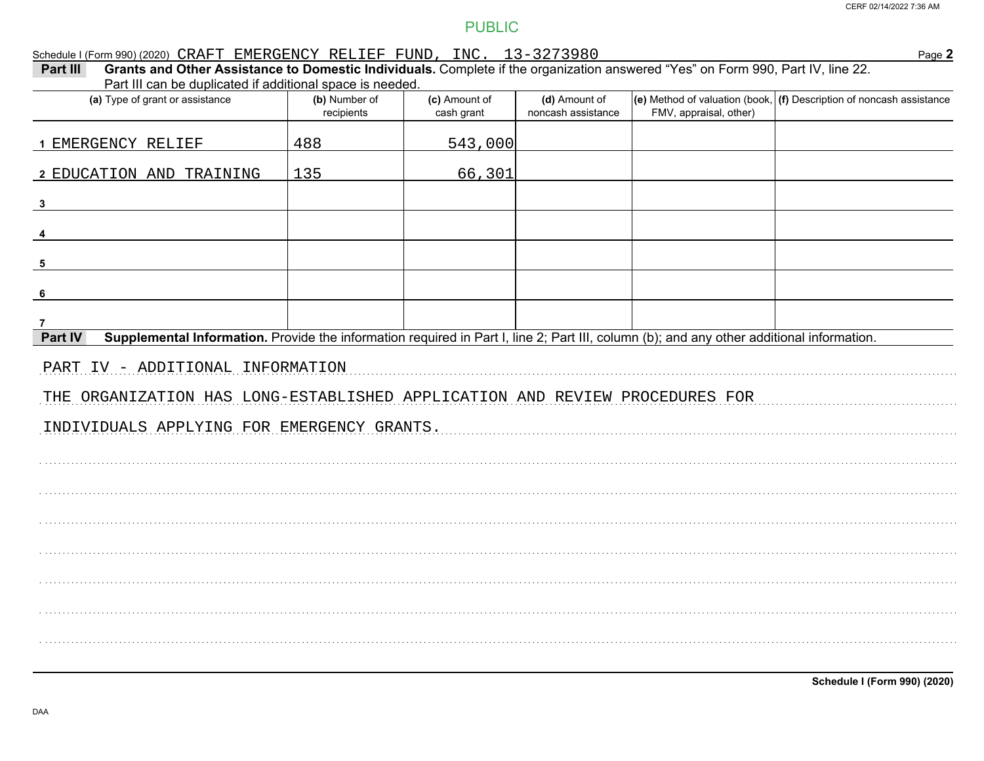# Schedule I (Form 990) (2020) CRAFT EMERGENCY RELIEF FUND, INC.  $13-3273980$ <br>Part III Grants and Other Assistance to Domestic Individuals Complete if the organization answered "Yes" on Form 990 Part IV line 22

Page 2

| Part III<br>Grants and Other Assistance to Domestic Individuals. Complete if the organization answered Tres for Form 990, Part IV, line ZZ.<br>Part III can be duplicated if additional space is needed. |                             |                             |                                     |                        |                                                                          |
|----------------------------------------------------------------------------------------------------------------------------------------------------------------------------------------------------------|-----------------------------|-----------------------------|-------------------------------------|------------------------|--------------------------------------------------------------------------|
| (a) Type of grant or assistance                                                                                                                                                                          | (b) Number of<br>recipients | (c) Amount of<br>cash grant | (d) Amount of<br>noncash assistance | FMV, appraisal, other) | (e) Method of valuation (book, $ $ (f) Description of noncash assistance |
| 1 EMERGENCY RELIEF                                                                                                                                                                                       | 488                         | 543,000                     |                                     |                        |                                                                          |
| 2 EDUCATION AND TRAINING                                                                                                                                                                                 | 135                         | 66,301                      |                                     |                        |                                                                          |
| $\mathbf{3}$                                                                                                                                                                                             |                             |                             |                                     |                        |                                                                          |
|                                                                                                                                                                                                          |                             |                             |                                     |                        |                                                                          |
| 5                                                                                                                                                                                                        |                             |                             |                                     |                        |                                                                          |
| -6                                                                                                                                                                                                       |                             |                             |                                     |                        |                                                                          |
| Supplemental Information. Provide the information required in Part I, line 2; Part III, column (b); and any other additional information.<br>Part IV                                                     |                             |                             |                                     |                        |                                                                          |
| PART IV - ADDITIONAL INFORMATION<br>THE ORGANIZATION HAS LONG-ESTABLISHED APPLICATION AND REVIEW PROCEDURES FOR<br>INDIVIDUALS APPLYING FOR EMERGENCY GRANTS.                                            |                             |                             |                                     |                        |                                                                          |
|                                                                                                                                                                                                          |                             |                             |                                     |                        |                                                                          |
|                                                                                                                                                                                                          |                             |                             |                                     |                        |                                                                          |
|                                                                                                                                                                                                          |                             |                             |                                     |                        |                                                                          |
|                                                                                                                                                                                                          |                             |                             |                                     |                        |                                                                          |
|                                                                                                                                                                                                          |                             |                             |                                     |                        |                                                                          |
|                                                                                                                                                                                                          |                             |                             |                                     |                        |                                                                          |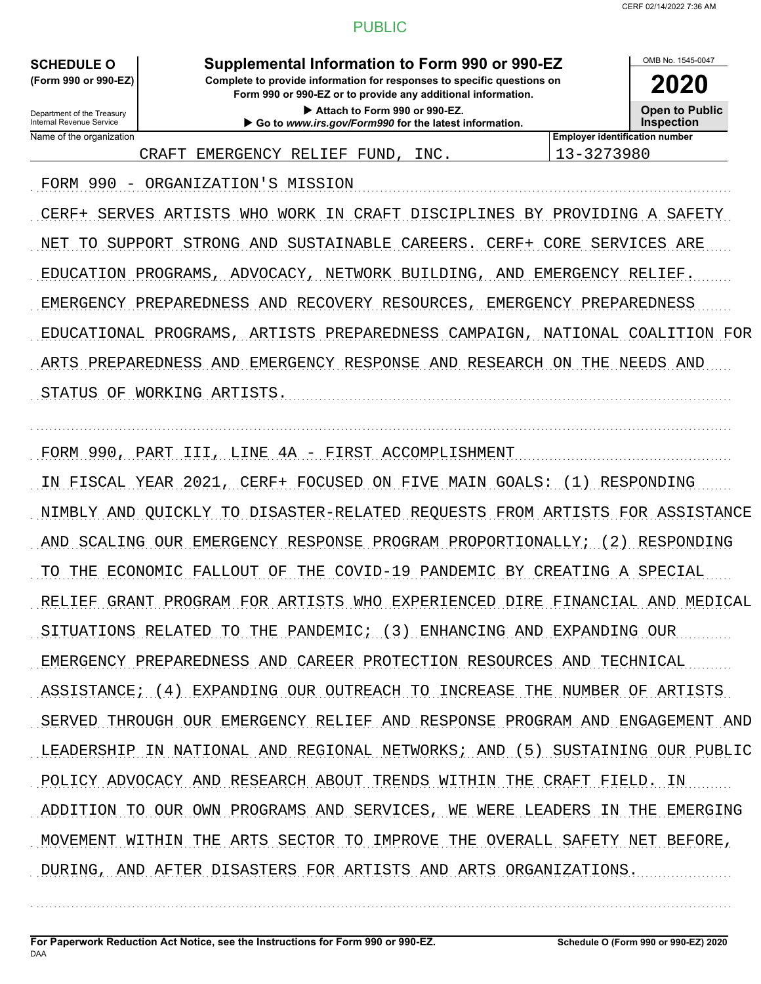OMB No. 1545-0047

**2020**

#### PUBLIC

**SCHEDULE O Supplemental Information to Form 990 or 990-EZ**

Internal Revenue Service

Department of the Treasury

**(Form 990 or 990-EZ) Complete to provide information for responses to specific questions on**

**Form 990 or 990-EZ or to provide any additional information. Attach to Form 990 or 990-EZ.**

Name of the organization **Employer identification number Employer identification number Go to** *www.irs.gov/Form990* **for the latest information.**

**Open to Public Inspection**

CRAFT EMERGENCY RELIEF FUND, INC. 13-3273980

FORM 990 - ORGANIZATION'S MISSION

CERF+ SERVES ARTISTS WHO WORK IN CRAFT DISCIPLINES BY PROVIDING A SAFETY NET TO SUPPORT STRONG AND SUSTAINABLE CAREERS. CERF+ CORE SERVICES ARE EDUCATION PROGRAMS, ADVOCACY, NETWORK BUILDING, AND EMERGENCY RELIEF. EMERGENCY PREPAREDNESS AND RECOVERY RESOURCES, EMERGENCY PREPAREDNESS EDUCATIONAL PROGRAMS, ARTISTS PREPAREDNESS CAMPAIGN, NATIONAL COALITION FOR ARTS PREPAREDNESS AND EMERGENCY RESPONSE AND RESEARCH ON THE NEEDS AND STATUS OF WORKING ARTISTS.

. . . . . . . . . . . . . . . . . . . . . . . . . . . . . . . . . . . . . . . . . . . . . . . . . . . . . . . . . . . . . . . . . . . . . . . . . . . . . . . . . . . . . . . . . . . . . . . . . . . . . . . . . . . . . . . . . . . . . . . . . . . . . . . . . . . . . . . . . . . . . . . . . . . . . . . . . . . . . . . . .

FORM 990, PART III, LINE 4A - FIRST ACCOMPLISHMENT

IN FISCAL YEAR 2021, CERF+ FOCUSED ON FIVE MAIN GOALS: (1) RESPONDING NIMBLY AND QUICKLY TO DISASTER-RELATED REQUESTS FROM ARTISTS FOR ASSISTANCE AND SCALING OUR EMERGENCY RESPONSE PROGRAM PROPORTIONALLY; (2) RESPONDING TO THE ECONOMIC FALLOUT OF THE COVID-19 PANDEMIC BY CREATING A SPECIAL RELIEF GRANT PROGRAM FOR ARTISTS WHO EXPERIENCED DIRE FINANCIAL AND MEDICAL SITUATIONS RELATED TO THE PANDEMIC; (3) ENHANCING AND EXPANDING OUR EMERGENCY PREPAREDNESS AND CAREER PROTECTION RESOURCES AND TECHNICAL ASSISTANCE; (4) EXPANDING OUR OUTREACH TO INCREASE THE NUMBER OF ARTISTS SERVED THROUGH OUR EMERGENCY RELIEF AND RESPONSE PROGRAM AND ENGAGEMENT AND LEADERSHIP IN NATIONAL AND REGIONAL NETWORKS; AND (5) SUSTAINING OUR PUBLIC POLICY ADVOCACY AND RESEARCH ABOUT TRENDS WITHIN THE CRAFT FIELD. IN ADDITION TO OUR OWN PROGRAMS AND SERVICES, WE WERE LEADERS IN THE EMERGING MOVEMENT WITHIN THE ARTS SECTOR TO IMPROVE THE OVERALL SAFETY NET BEFORE, DURING, AND AFTER DISASTERS FOR ARTISTS AND ARTS ORGANIZATIONS.

. . . . . . . . . . . . . . . . . . . . . . . . . . . . . . . . . . . . . . . . . . . . . . . . . . . . . . . . . . . . . . . . . . . . . . . . . . . . . . . . . . . . . . . . . . . . . . . . . . . . . . . . . . . . . . . . . . . . . . . . . . . . . . . . . . . . . . . . . . . . . . . . . . . . . . . . . . . . . . . . .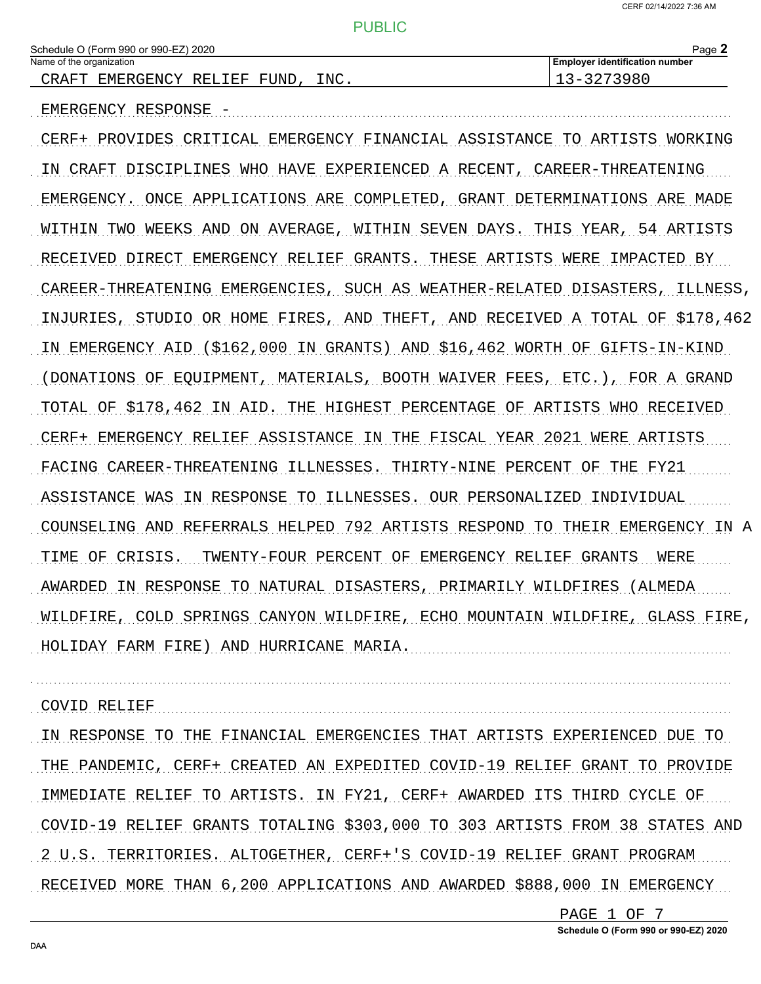| Schedule O (Fo           | (Form 990 or 990-EZ) 2020 |            |                          |      | Page _                         |
|--------------------------|---------------------------|------------|--------------------------|------|--------------------------------|
| Name of the organization |                           |            |                          |      | Employer identification number |
| A R<br>고                 | <b>EMERGENCY</b>          | IEF<br>דסם | <b>JNF</b><br>ਸ਼ਾ<br>ر__ | INC. | $\overline{\phantom{0}}$       |
|                          |                           |            |                          |      |                                |

EMERGENCY RESPONSE -

CERF+ PROVIDES CRITICAL EMERGENCY FINANCIAL ASSISTANCE TO ARTISTS WORKING IN CRAFT DISCIPLINES WHO HAVE EXPERIENCED A RECENT, CAREER-THREATENING EMERGENCY. ONCE APPLICATIONS ARE COMPLETED, GRANT DETERMINATIONS ARE MADE WITHIN TWO WEEKS AND ON AVERAGE, WITHIN SEVEN DAYS. THIS YEAR, 54 ARTISTS RECEIVED DIRECT EMERGENCY RELIEF GRANTS. THESE ARTISTS WERE IMPACTED BY CAREER-THREATENING EMERGENCIES, SUCH AS WEATHER-RELATED DISASTERS, ILLINESS, INJURIES, STUDIO OR HOME FIRES, AND THEFT, AND RECEIVED A TOTAL OF \$178,462 IN EMERGENCY AID (\$162,000 IN GRANTS) AND \$16,462 WORTH OF GIFTS-IN-KIND (DONATIONS OF EQUIPMENT, MATERIALS, BOOTH WAIVER FEES, ETC.), FOR A GRAND TOTAL OF \$178,462 IN AID. THE HIGHEST PERCENTAGE OF ARTISTS WHO RECEIVED CERF+ EMERGENCY RELIEF ASSISTANCE IN THE FISCAL YEAR 2021 WERE ARTISTS FACING CAREER-THREATENING ILLNESSES. THIRTY-NINE PERCENT OF THE FY21 ASSISTANCE WAS IN RESPONSE TO ILLNESSES. OUR PERSONALIZED INDIVIDUAL COUNSELING AND REFERRALS HELPED 792 ARTISTS RESPOND TO THEIR EMERGENCY IN A TIME OF CRISIS. TWENTY-FOUR PERCENT OF EMERGENCY RELIEF GRANTS WERE AWARDED IN RESPONSE TO NATURAL DISASTERS, PRIMARILY WILDFIRES (ALMEDA WILDFIRE, COLD SPRINGS CANYON WILDFIRE, ECHO MOUNTAIN WILDFIRE, GLASS FIRE, HOLIDAY FARM FIRE) AND HURRICANE MARIA.

COVID RELIEF

IN RESPONSE TO THE FINANCIAL EMERGENCIES THAT ARTISTS EXPERIENCED DUE TO THE PANDEMIC, CERF+ CREATED AN EXPEDITED COVID-19 RELIEF GRANT TO PROVIDE IMMEDIATE RELIEF TO ARTISTS. IN FY21, CERF+ AWARDED ITS THIRD CYCLE OF COVID-19 RELIEF GRANTS TOTALING \$303,000 TO 303 ARTISTS FROM 38 STATES AND 2 U.S. TERRITORIES. ALTOGETHER, CERF+'S COVID-19 RELIEF GRANT PROGRAM RECEIVED MORE THAN 6,200 APPLICATIONS AND AWARDED \$888,000 IN EMERGENCY

PAGE 1 OF 7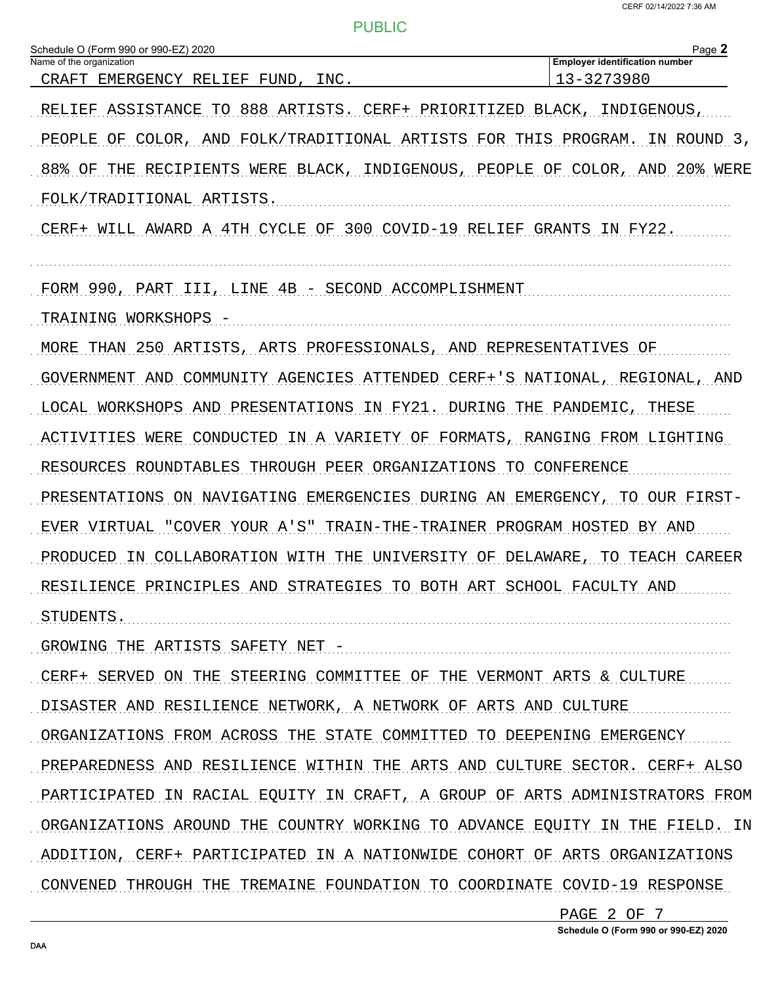| Schedule O (Form 990 or 990-EZ) 2020<br>Name of the organization            | Page 2<br><b>Employer identification number</b> |
|-----------------------------------------------------------------------------|-------------------------------------------------|
| CRAFT EMERGENCY RELIEF<br>INC.<br>FUND.                                     | 13-3273980                                      |
| TO 888 ARTISTS.<br>RELIEF ASSISTANCE<br>CERF+ PRIORITIZED BLACK,            | INDIGENOUS,                                     |
| AND FOLK/TRADITIONAL ARTISTS FOR THIS PROGRAM.<br>PEOPLE<br>OF COLOR,       | IN ROUND 3,                                     |
| RECIPIENTS WERE BLACK, INDIGENOUS, PEOPLE OF COLOR,<br>88% OF<br>THE        | 20% WERE<br>AND                                 |
| FOLK/TRADITIONAL ARTISTS.                                                   |                                                 |
| CERF+ WILL AWARD A 4TH CYCLE OF 300 COVID-19 RELIEF                         | GRANTS IN FY22.                                 |
| FORM 990, PART III, LINE 4B - SECOND ACCOMPLISHMENT                         |                                                 |
| TRAINING WORKSHOPS                                                          |                                                 |
| MORE THAN 250 ARTISTS, ARTS PROFESSIONALS, AND REPRESENTATIVES OF           |                                                 |
| GOVERNMENT AND COMMUNITY AGENCIES ATTENDED CERF+'S NATIONAL, REGIONAL, AND  |                                                 |
| LOCAL WORKSHOPS AND PRESENTATIONS IN FY21.                                  | DURING THE PANDEMIC,<br>THESE                   |
| ACTIVITIES WERE CONDUCTED IN A VARIETY OF FORMATS, RANGING FROM LIGHTING    |                                                 |
| RESOURCES ROUNDTABLES THROUGH PEER ORGANIZATIONS TO CONFERENCE              |                                                 |
| PRESENTATIONS ON NAVIGATING EMERGENCIES DURING AN EMERGENCY, TO OUR FIRST-  |                                                 |
| EVER VIRTUAL "COVER YOUR A'S" TRAIN-THE-TRAINER PROGRAM HOSTED BY AND       |                                                 |
| PRODUCED<br>IN COLLABORATION WITH THE<br>UNIVERSITY OF DELAWARE,            | TO TEACH CAREER                                 |
| RESILIENCE PRINCIPLES AND STRATEGIES TO BOTH ART SCHOOL FACULTY AND         |                                                 |
| STUDENTS                                                                    |                                                 |
| GROWING THE ARTISTS SAFETY NET -                                            |                                                 |
| CERF+ SERVED ON THE STEERING COMMITTEE OF THE VERMONT ARTS & CULTURE        |                                                 |
| DISASTER AND RESILIENCE NETWORK, A NETWORK OF ARTS AND CULTURE              |                                                 |
| ORGANIZATIONS FROM ACROSS THE STATE COMMITTED TO DEEPENING EMERGENCY        |                                                 |
| PREPAREDNESS AND RESILIENCE WITHIN THE ARTS AND CULTURE SECTOR. CERF+ ALSO  |                                                 |
| PARTICIPATED IN RACIAL EQUITY IN CRAFT, A GROUP OF ARTS ADMINISTRATORS FROM |                                                 |
| ORGANIZATIONS AROUND THE COUNTRY WORKING TO ADVANCE EQUITY IN THE FIELD. IN |                                                 |
| ADDITION, CERF+ PARTICIPATED IN A NATIONWIDE COHORT OF ARTS ORGANIZATIONS   |                                                 |
| CONVENED THROUGH THE TREMAINE FOUNDATION TO COORDINATE COVID-19 RESPONSE    |                                                 |
|                                                                             | PAGE 2 OF 7                                     |

Schedule O (Form 990 or 990-EZ) 2020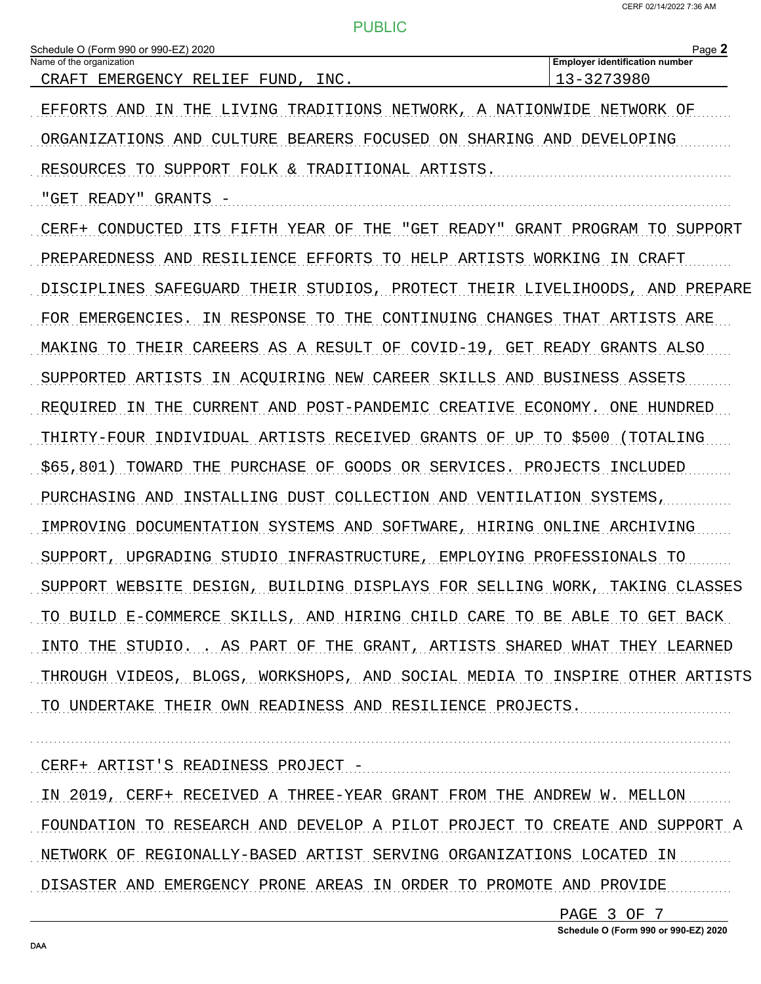| Schedule O (Form 990 or 990-EZ) 2020<br>Name of the organization               | Page 2<br><b>Employer identification number</b> |
|--------------------------------------------------------------------------------|-------------------------------------------------|
| INC.<br>CRAFT EMERGENCY RELIEF FUND,                                           | 13-3273980                                      |
| LIVING TRADITIONS NETWORK,<br>EFFORTS AND<br>IN THE                            | A NATIONWIDE NETWORK OF                         |
| BEARERS FOCUSED ON SHARING AND DEVELOPING<br>ORGANIZATIONS AND<br>CULTURE      |                                                 |
| RESOURCES TO SUPPORT FOLK & TRADITIONAL ARTISTS.                               |                                                 |
| "GET READY" GRANTS                                                             |                                                 |
| FIFTH YEAR OF THE<br>CERF+ CONDUCTED<br>ITS                                    | "GET READY" GRANT PROGRAM TO SUPPORT            |
| PREPAREDNESS AND RESILIENCE<br>EFFORTS TO HELP ARTISTS WORKING                 | IN CRAFT                                        |
| THEIR STUDIOS, PROTECT THEIR LIVELIHOODS, AND<br>DISCIPLINES SAFEGUARD         | PREPARE                                         |
| IN RESPONSE<br>TO THE CONTINUING CHANGES THAT ARTISTS ARE<br>FOR EMERGENCIES.  |                                                 |
| MAKING TO THEIR CAREERS AS A RESULT OF COVID-19, GET READY GRANTS ALSO         |                                                 |
| SUPPORTED ARTISTS IN ACOUIRING NEW CAREER SKILLS AND BUSINESS ASSETS           |                                                 |
| THE CURRENT AND POST-PANDEMIC CREATIVE ECONOMY. ONE HUNDRED<br>REOUIRED<br>TN. |                                                 |
| THIRTY-FOUR INDIVIDUAL ARTISTS RECEIVED GRANTS OF UP TO \$500                  | (TOTALING                                       |
| \$65,801)<br>TOWARD<br>PURCHASE OF GOODS OR SERVICES. PROJECTS INCLUDED<br>THE |                                                 |
| INSTALLING DUST COLLECTION AND VENTILATION SYSTEMS,<br>PURCHASING AND          |                                                 |
| IMPROVING DOCUMENTATION SYSTEMS AND SOFTWARE, HIRING ONLINE                    | ARCHIVING                                       |
| STUDIO<br>INFRASTRUCTURE, EMPLOYING PROFESSIONALS TO<br>SUPPORT,<br>UPGRADING  |                                                 |
| SUPPORT WEBSITE DESIGN, BUILDING DISPLAYS FOR SELLING WORK, TAKING CLASSES     |                                                 |
| TO BUILD E-COMMERCE SKILLS, AND HIRING CHILD CARE TO BE ABLE TO GET BACK       |                                                 |
| INTO THE STUDIO. . AS PART OF THE GRANT, ARTISTS SHARED WHAT THEY LEARNED      |                                                 |
| THROUGH VIDEOS, BLOGS, WORKSHOPS, AND SOCIAL MEDIA TO INSPIRE OTHER ARTISTS    |                                                 |
| TO UNDERTAKE THEIR OWN READINESS AND RESILIENCE PROJECTS.                      |                                                 |
|                                                                                |                                                 |
| CERF+ ARTIST'S READINESS PROJECT -                                             |                                                 |
| IN 2019, CERF+ RECEIVED A THREE-YEAR GRANT FROM THE ANDREW W. MELLON           |                                                 |
| FOUNDATION TO RESEARCH AND DEVELOP A PILOT PROJECT TO CREATE AND SUPPORT A     |                                                 |
| NETWORK OF REGIONALLY-BASED ARTIST SERVING ORGANIZATIONS LOCATED IN            |                                                 |
| DISASTER AND EMERGENCY PRONE AREAS IN ORDER TO PROMOTE AND PROVIDE             |                                                 |

PAGE 3 OF 7

Schedule O (Form 990 or 990-EZ) 2020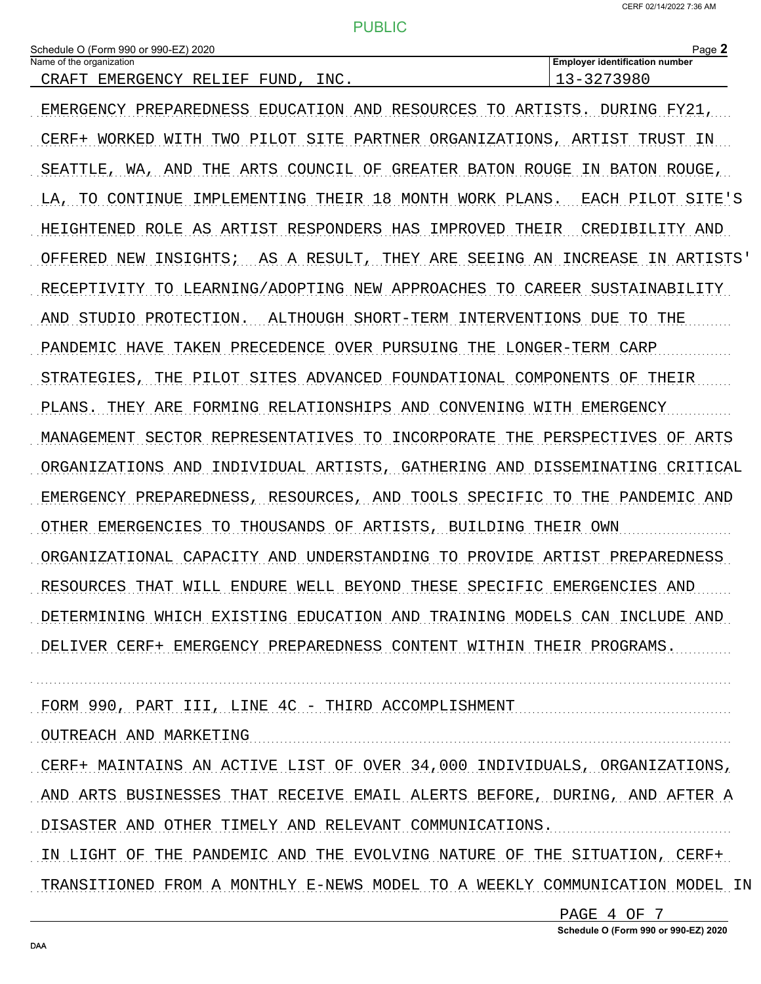| Schedule O (Form 990 or 990-EZ) 2020 |          |  |  |      |  |  |
|--------------------------------------|----------|--|--|------|--|--|
| Name of the organization             |          |  |  |      |  |  |
|                                      | $\alpha$ |  |  | $-1$ |  |  |

Page 2 **Employer identification number** 

| CRAFT EMERGENCY RELIEF FUND, INC.                                          | 13-3273980 |
|----------------------------------------------------------------------------|------------|
| EMERGENCY PREPAREDNESS EDUCATION AND RESOURCES TO ARTISTS. DURING FY21,    |            |
| CERF+ WORKED WITH TWO PILOT SITE PARTNER ORGANIZATIONS, ARTIST TRUST IN    |            |
| SEATTLE, WA, AND THE ARTS COUNCIL OF GREATER BATON ROUGE IN BATON ROUGE,   |            |
| LA, TO CONTINUE IMPLEMENTING THEIR 18 MONTH WORK PLANS. EACH PILOT SITE'S  |            |
| HEIGHTENED ROLE AS ARTIST RESPONDERS HAS IMPROVED THEIR CREDIBILITY AND    |            |
| OFFERED NEW INSIGHTS; AS A RESULT, THEY ARE SEEING AN INCREASE IN ARTISTS' |            |
| RECEPTIVITY TO LEARNING/ADOPTING NEW APPROACHES TO CAREER SUSTAINABILITY   |            |
| AND STUDIO PROTECTION. ALTHOUGH SHORT-TERM INTERVENTIONS DUE TO THE        |            |
| PANDEMIC HAVE TAKEN PRECEDENCE OVER PURSUING THE LONGER-TERM CARP          |            |
| STRATEGIES, THE PILOT SITES ADVANCED FOUNDATIONAL COMPONENTS OF THEIR      |            |
| PLANS. THEY ARE FORMING RELATIONSHIPS AND CONVENING WITH EMERGENCY         |            |
| MANAGEMENT SECTOR REPRESENTATIVES TO INCORPORATE THE PERSPECTIVES OF ARTS  |            |
| ORGANIZATIONS AND INDIVIDUAL ARTISTS, GATHERING AND DISSEMINATING CRITICAL |            |
| EMERGENCY PREPAREDNESS, RESOURCES, AND TOOLS SPECIFIC TO THE PANDEMIC AND  |            |
| OTHER EMERGENCIES TO THOUSANDS OF ARTISTS, BUILDING THEIR OWN              |            |
| ORGANIZATIONAL CAPACITY AND UNDERSTANDING TO PROVIDE ARTIST PREPAREDNESS   |            |
| RESOURCES THAT WILL ENDURE WELL BEYOND THESE SPECIFIC EMERGENCIES AND      |            |
| DETERMINING WHICH EXISTING EDUCATION AND TRAINING MODELS CAN INCLUDE AND   |            |
| DELIVER CERF+ EMERGENCY PREPAREDNESS CONTENT WITHIN THEIR PROGRAMS.        |            |
|                                                                            |            |
| FORM 990, PART III, LINE 4C - THIRD ACCOMPLISHMENT                         |            |
| OUTREACH AND MARKETING                                                     |            |
| CERF+ MAINTAINS AN ACTIVE LIST OF OVER 34,000 INDIVIDUALS, ORGANIZATIONS,  |            |
| AND ARTS BUSINESSES THAT RECEIVE EMAIL ALERTS BEFORE, DURING, AND AFTER A  |            |
| DISASTER AND OTHER TIMELY AND RELEVANT COMMUNICATIONS.                     |            |

IN LIGHT OF THE PANDEMIC AND THE EVOLVING NATURE OF THE SITUATION, CERF+ TRANSITIONED FROM A MONTHLY E-NEWS MODEL TO A WEEKLY COMMUNICATION MODEL IN

> PAGE 4 OF 7 Schedule O (Form 990 or 990-EZ) 2020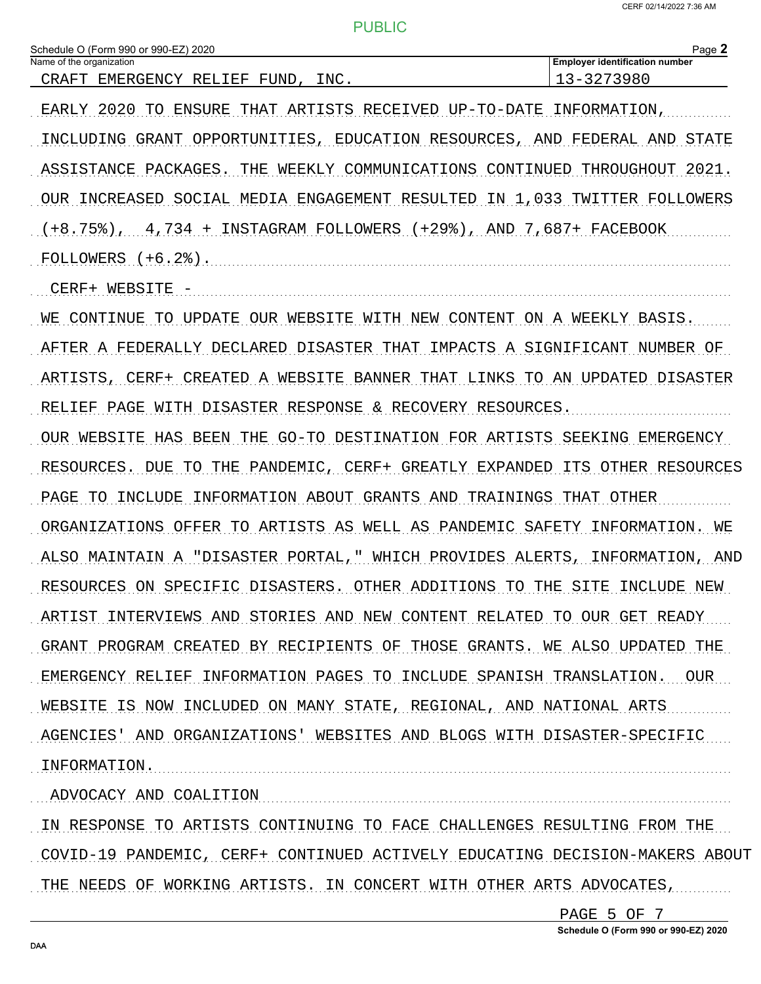| Schedule O (Form 990 or 990-EZ) 2020<br>Name of the organization              | Page 2<br><b>Employer identification number</b> |
|-------------------------------------------------------------------------------|-------------------------------------------------|
| CRAFT EMERGENCY RELIEF<br>FUND,<br>INC.                                       | 13-3273980                                      |
| EARLY 2020<br>THAT ARTISTS RECEIVED UP-TO-DATE<br>TO ENSURE                   | INFORMATION,                                    |
| INCLUDING GRANT OPPORTUNITIES, EDUCATION RESOURCES, AND FEDERAL AND           | STATE                                           |
| WEEKLY COMMUNICATIONS CONTINUED THROUGHOUT<br>ASSISTANCE PACKAGES.<br>THE     | 2021.                                           |
| OUR INCREASED SOCIAL MEDIA ENGAGEMENT RESULTED IN 1,033 TWITTER FOLLOWERS     |                                                 |
| $(+8.75$ , $4.734 +$ INSTAGRAM FOLLOWERS $(+29)$ , AND 7,687+ FACEBOOK        |                                                 |
| FOLLOWERS $(+6.2)$ .                                                          |                                                 |
| CERF+ WEBSITE                                                                 |                                                 |
| TO UPDATE OUR WEBSITE<br>CONTINUE<br>WЕ                                       | WITH NEW CONTENT ON A WEEKLY BASIS.             |
| AFTER A FEDERALLY DECLARED DISASTER THAT IMPACTS A SIGNIFICANT NUMBER OF      |                                                 |
| ARTISTS, CERF+ CREATED A WEBSITE BANNER THAT LINKS TO AN UPDATED DISASTER     |                                                 |
| WITH DISASTER RESPONSE & RECOVERY RESOURCES.<br>RELIEF PAGE                   |                                                 |
| HAS BEEN THE GO-TO DESTINATION FOR ARTISTS SEEKING EMERGENCY<br>OUR WEBSITE   |                                                 |
| TO THE PANDEMIC, CERF+ GREATLY EXPANDED ITS OTHER RESOURCES<br>RESOURCES. DUE |                                                 |
| INFORMATION ABOUT GRANTS AND TRAININGS THAT OTHER<br>PAGE TO INCLUDE          |                                                 |
| ORGANIZATIONS OFFER TO ARTISTS AS WELL AS PANDEMIC SAFETY INFORMATION. WE     |                                                 |
| ALSO MAINTAIN A "DISASTER PORTAL," WHICH PROVIDES ALERTS, INFORMATION, AND    |                                                 |
| RESOURCES ON SPECIFIC DISASTERS. OTHER ADDITIONS TO THE SITE                  | INCLUDE NEW                                     |
| ARTIST INTERVIEWS AND STORIES AND NEW CONTENT RELATED TO OUR GET READY        |                                                 |
| GRANT PROGRAM CREATED BY RECIPIENTS OF THOSE GRANTS. WE ALSO UPDATED THE      |                                                 |
| EMERGENCY RELIEF INFORMATION PAGES TO INCLUDE SPANISH TRANSLATION.            | OUR                                             |
| WEBSITE IS NOW INCLUDED ON MANY STATE, REGIONAL, AND NATIONAL ARTS            |                                                 |
| AGENCIES' AND ORGANIZATIONS' WEBSITES AND BLOGS WITH DISASTER-SPECIFIC        |                                                 |
| INFORMATION.                                                                  |                                                 |
| ADVOCACY AND COALITION                                                        |                                                 |
| IN RESPONSE TO ARTISTS CONTINUING TO FACE CHALLENGES RESULTING FROM THE       |                                                 |
| COVID-19 PANDEMIC, CERF+ CONTINUED ACTIVELY EDUCATING DECISION-MAKERS ABOUT   |                                                 |

THE NEEDS OF WORKING ARTISTS. IN CONCERT WITH OTHER ARTS ADVOCATES,

PAGE 5 OF 7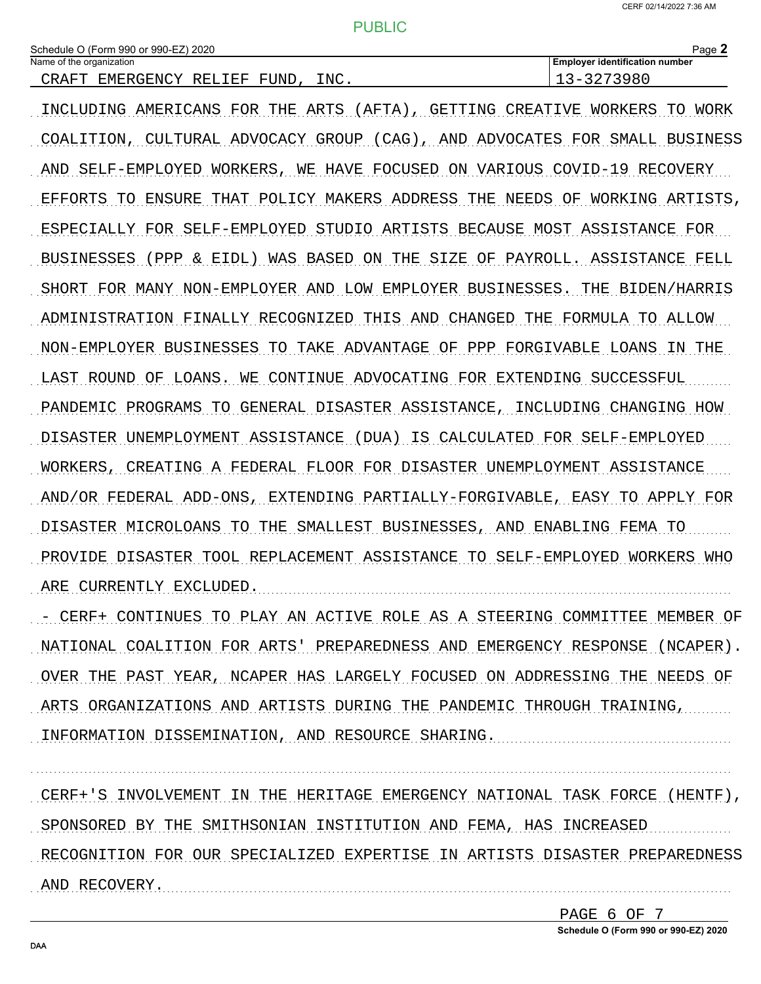**Employer identification number** 

#### **PUBLIC**

| Schedule O (Form 990 or 990-EZ) 2020 |  |  |  |  |  |  |  |
|--------------------------------------|--|--|--|--|--|--|--|
| Name of the organization             |  |  |  |  |  |  |  |

| CRAFT EMERGENCY RELIEF FUND, INC.                                          | 13-3273980 |
|----------------------------------------------------------------------------|------------|
| INCLUDING AMERICANS FOR THE ARTS (AFTA), GETTING CREATIVE WORKERS TO WORK  |            |
| COALITION, CULTURAL ADVOCACY GROUP (CAG), AND ADVOCATES FOR SMALL BUSINESS |            |
| AND SELF-EMPLOYED WORKERS, WE HAVE FOCUSED ON VARIOUS COVID-19 RECOVERY    |            |
| EFFORTS TO ENSURE THAT POLICY MAKERS ADDRESS THE NEEDS OF WORKING ARTISTS. |            |
| ESPECIALLY FOR SELF-EMPLOYED STUDIO ARTISTS BECAUSE MOST ASSISTANCE FOR    |            |
| BUSINESSES (PPP & EIDL) WAS BASED ON THE SIZE OF PAYROLL. ASSISTANCE FELL  |            |
| SHORT FOR MANY NON-EMPLOYER AND LOW EMPLOYER BUSINESSES. THE BIDEN/HARRIS  |            |
| ADMINISTRATION FINALLY RECOGNIZED THIS AND CHANGED THE FORMULA TO ALLOW    |            |
| NON-EMPLOYER BUSINESSES TO TAKE ADVANTAGE OF PPP FORGIVABLE LOANS IN THE   |            |
| LAST ROUND OF LOANS. WE CONTINUE ADVOCATING FOR EXTENDING SUCCESSFUL       |            |
| PANDEMIC PROGRAMS TO GENERAL DISASTER ASSISTANCE, INCLUDING CHANGING HOW   |            |
| DISASTER UNEMPLOYMENT ASSISTANCE (DUA) IS CALCULATED FOR SELF-EMPLOYED     |            |
| WORKERS, CREATING A FEDERAL FLOOR FOR DISASTER UNEMPLOYMENT ASSISTANCE     |            |
| AND/OR FEDERAL ADD-ONS, EXTENDING PARTIALLY-FORGIVABLE, EASY TO APPLY FOR  |            |
| DISASTER MICROLOANS TO THE SMALLEST BUSINESSES, AND ENABLING FEMA TO       |            |
| PROVIDE DISASTER TOOL REPLACEMENT ASSISTANCE TO SELF-EMPLOYED WORKERS WHO  |            |
| ARE CURRENTLY EXCLUDED.                                                    |            |
|                                                                            |            |

... CERF+ CONTINUES TO PLAY AN ACTIVE ROLE AS A STEERING COMMITTEE MEMBER OF NATIONAL COALITION FOR ARTS' PREPAREDNESS AND EMERGENCY RESPONSE (NCAPER). OVER THE PAST YEAR, NCAPER HAS LARGELY FOCUSED ON ADDRESSING THE NEEDS OF ARTS ORGANIZATIONS AND ARTISTS DURING THE PANDEMIC THROUGH TRAINING, INFORMATION DISSEMINATION, AND RESOURCE SHARING.

CERF+'S INVOLVEMENT IN THE HERITAGE EMERGENCY NATIONAL TASK FORCE (HENTF), SPONSORED BY THE SMITHSONIAN INSTITUTION AND FEMA, HAS INCREASED RECOGNITION FOR OUR SPECIALIZED EXPERTISE IN ARTISTS DISASTER PREPAREDNESS AND RECOVERY.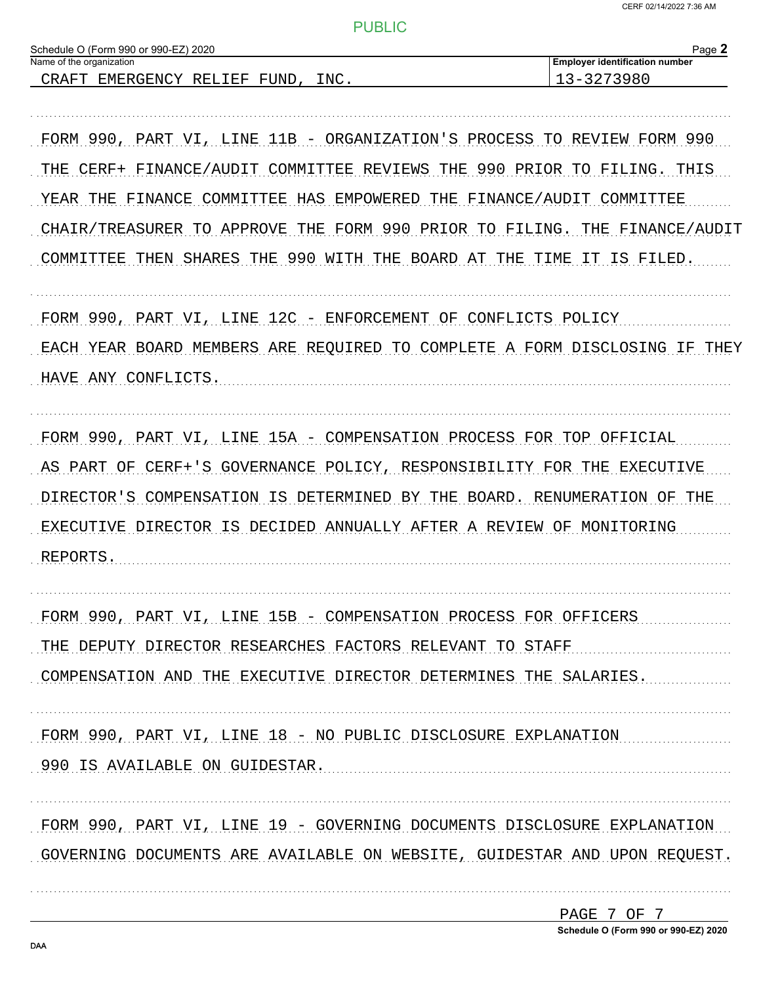| Schedule O (Form 990 or 990-EZ) 2020<br>Name of the organization           | Page 2<br><b>Employer identification number</b> |
|----------------------------------------------------------------------------|-------------------------------------------------|
| INC.<br>CRAFT EMERGENCY RELIEF FUND,                                       | 13-3273980                                      |
|                                                                            |                                                 |
| FORM 990, PART VI, LINE 11B - ORGANIZATION'S PROCESS TO REVIEW FORM 990    |                                                 |
| FINANCE/AUDIT COMMITTEE REVIEWS THE 990 PRIOR TO FILING. THIS<br>THE CERF+ |                                                 |
| FINANCE<br>COMMITTEE HAS EMPOWERED THE FINANCE/AUDIT COMMITTEE<br>YEAR THE |                                                 |
| CHAIR/TREASURER TO APPROVE                                                 | THE FORM 990 PRIOR TO FILING. THE FINANCE/AUDIT |
| COMMITTEE THEN SHARES THE 990 WITH THE BOARD AT THE TIME IT IS FILED.      |                                                 |
| FORM 990, PART VI, LINE 12C - ENFORCEMENT OF CONFLICTS POLICY              |                                                 |
| EACH YEAR BOARD MEMBERS ARE REQUIRED TO COMPLETE A FORM DISCLOSING IF THEY |                                                 |
| HAVE ANY CONFLICTS.                                                        |                                                 |
| FORM 990, PART VI, LINE 15A - COMPENSATION PROCESS FOR TOP OFFICIAL        |                                                 |
|                                                                            |                                                 |
| AS PART OF<br>CERF+'S<br>GOVERNANCE POLICY, RESPONSIBILITY FOR             | THE EXECUTIVE                                   |
| DIRECTOR'S<br>COMPENSATION IS DETERMINED BY THE BOARD. RENUMERATION OF THE |                                                 |
| DIRECTOR IS DECIDED ANNUALLY AFTER A REVIEW OF MONITORING<br>EXECUTIVE     |                                                 |
| <b>REPORTS</b>                                                             |                                                 |
| FORM 990, PART VI, LINE 15B - COMPENSATION PROCESS FOR OFFICERS            |                                                 |
| THE DEPUTY DIRECTOR RESEARCHES FACTORS RELEVANT TO STAFF                   |                                                 |
| COMPENSATION AND THE EXECUTIVE DIRECTOR DETERMINES THE SALARIES.           |                                                 |
| FORM 990, PART VI, LINE 18 - NO PUBLIC DISCLOSURE EXPLANATION              |                                                 |
| 990 IS AVAILABLE ON GUIDESTAR.                                             |                                                 |
| FORM 990, PART VI, LINE 19 - GOVERNING DOCUMENTS DISCLOSURE EXPLANATION    |                                                 |
| GOVERNING DOCUMENTS ARE AVAILABLE ON WEBSITE, GUIDESTAR AND UPON REQUEST.  |                                                 |
|                                                                            | PAGE 7 OF 7                                     |

Schedule O (Form 990 or 990-EZ) 2020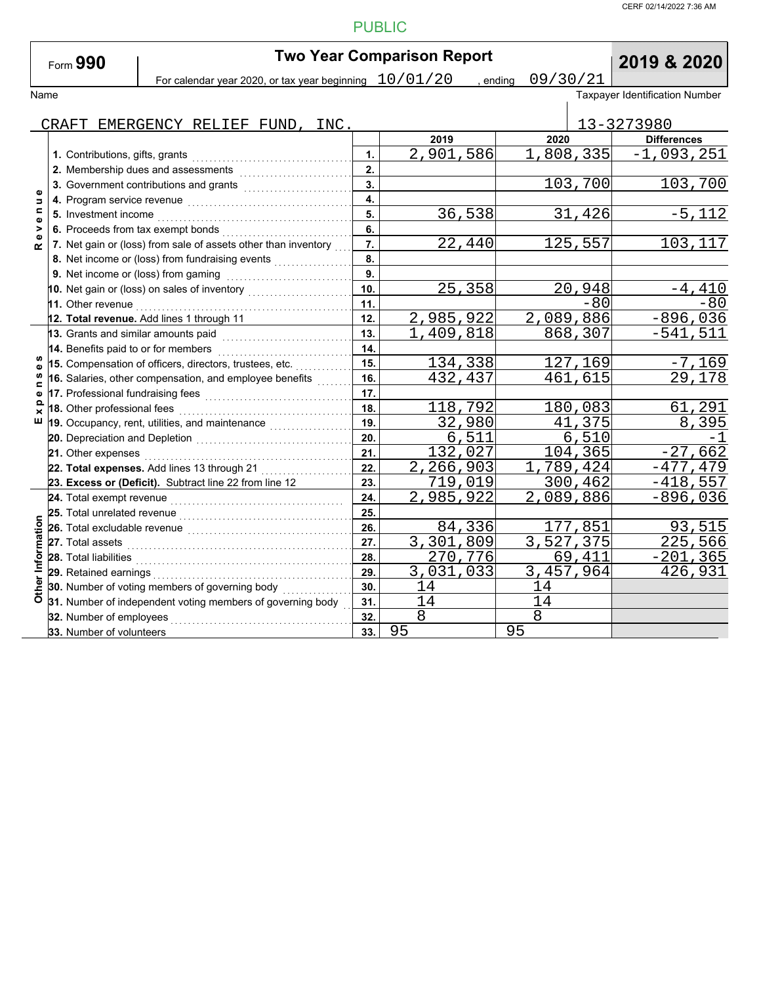CERF 02/14/2022 7:36 AM

# PUBLIC

| Form $990$ |  |
|------------|--|
|------------|--|

Name Taxpayer Identification Number **Two Year Comparison Report**<br> **Drips are and 10/01/20** , ending 09/30/21 2019 & 2020 For calendar year 2020, or tax year beginning  $\left| \frac{10/01/20}{\pi} \right|$  ending  $\left| \frac{09/30/21}{\pi} \right|$ 

|                         | CRAFT EMERGENCY RELIEF FUND, INC.                              |     |           |      |                | 13-3273980         |
|-------------------------|----------------------------------------------------------------|-----|-----------|------|----------------|--------------------|
|                         |                                                                |     | 2019      | 2020 |                | <b>Differences</b> |
|                         | 1. Contributions, gifts, grants                                | 1.  | 2,901,586 |      | 1,808,335      | $-1,093,251$       |
|                         | 2. Membership dues and assessments                             | 2.  |           |      |                |                    |
| $\bullet$               | 3. Government contributions and grants                         | 3.  |           |      | 103,700        | 103,700            |
| Б                       | 4. Program service revenue                                     | 4.  |           |      |                |                    |
| c<br>$\bullet$          |                                                                | 5.  | 36,538    |      | 31,426         | $-5,112$           |
| >                       | 6. Proceeds from tax exempt bonds                              | 6.  |           |      |                |                    |
| œ                       | 7. Net gain or (loss) from sale of assets other than inventory | 7.  | 22,440    |      | 125,557        | 103,117            |
|                         | 8. Net income or (loss) from fundraising events                | 8.  |           |      |                |                    |
|                         | 9. Net income or (loss) from gaming                            | 9.  |           |      |                |                    |
|                         | 10. Net gain or (loss) on sales of inventory                   | 10. | 25,358    |      | 20,948         | $-4,410$           |
|                         | 11. Other revenue                                              | 11. |           |      | $-80$          | $-80$              |
|                         | 12. Total revenue. Add lines 1 through 11                      | 12. | 2,985,922 |      | 2,089,886      | $-896,036$         |
|                         | 13. Grants and similar amounts paid                            | 13. | 1,409,818 |      | 868,307        | $-541,511$         |
|                         | 14. Benefits paid to or for members                            | 14. |           |      |                |                    |
|                         | 15. Compensation of officers, directors, trustees, etc.        | 15. | 134,338   |      | 127,169        | $-7,169$           |
| <b>S</b><br>$\mathbf o$ | 16. Salaries, other compensation, and employee benefits        | 16. | 432,437   |      | 461,615        | 29,178             |
|                         |                                                                | 17. |           |      |                |                    |
|                         | 18. Other professional fees                                    | 18. | 118,792   |      | 180,083        | 61,291             |
| ш                       | 19. Occupancy, rent, utilities, and maintenance                | 19. | 32,980    |      | 41,375         | 8,395              |
|                         |                                                                | 20. | 6,511     |      | 6,510          |                    |
|                         | 21. Other expenses                                             | 21. | 132,027   |      | 104,365        | $-27,662$          |
|                         | 22. Total expenses. Add lines 13 through 21                    | 22. | 2,266,903 |      | 1,789,424      | $-477, 479$        |
|                         | 23. Excess or (Deficit). Subtract line 22 from line 12         | 23. | 719,019   |      | 300,462        | $-418,557$         |
|                         | 24. Total exempt revenue                                       | 24. | 2,985,922 |      | 2,089,886      | $-896,036$         |
|                         | 25. Total unrelated revenue                                    | 25. |           |      |                |                    |
|                         | 26. Total excludable revenue                                   | 26. | 84,336    |      | <u>177,851</u> | 93,515             |
|                         | 27. Total assets                                               | 27. | 3,301,809 |      | 3,527,375      | 225,566            |
|                         | 28. Total liabilities                                          | 28. | 270,776   |      | 69,411         | $-201, 365$        |
|                         | 29. Retained earnings                                          | 29. | 3,031,033 |      | 3,457,964      | 426,931            |
| Other Informatio        | 30. Number of voting members of governing body                 | 30. | 14        | 14   |                |                    |
|                         | 31. Number of independent voting members of governing body     | 31. | 14        | 14   |                |                    |
|                         | 32. Number of employees                                        | 32. | 8         | 8    |                |                    |
|                         | 33. Number of volunteers                                       | 33. | 95        | 95   |                |                    |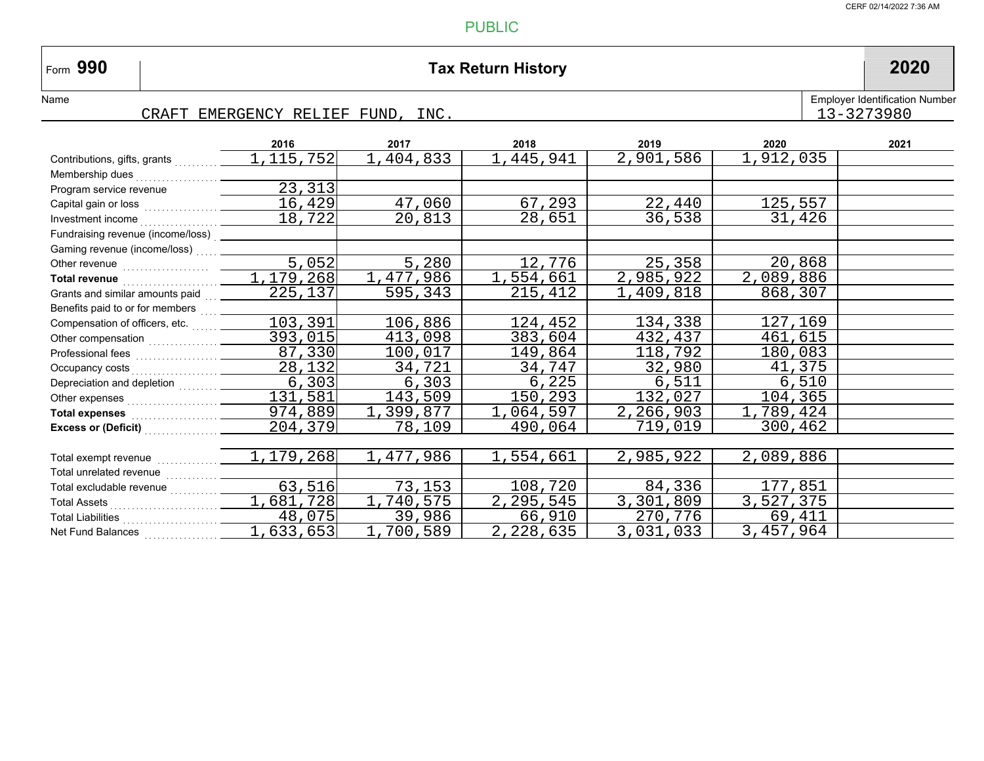# **990 Tax Return History 2020**

# Name

 $\vert$ Form 990

CRAFT EMERGENCY RELIEF FUND, INC.

|                                                                                                                                                                                                                                      | 2016        | 2017      | 2018            | 2019      | 2020      | 2021 |
|--------------------------------------------------------------------------------------------------------------------------------------------------------------------------------------------------------------------------------------|-------------|-----------|-----------------|-----------|-----------|------|
| Contributions, gifts, grants                                                                                                                                                                                                         | 1, 115, 752 | 1,404,833 | 1,445,941       | 2,901,586 | 1,912,035 |      |
| Membership dues                                                                                                                                                                                                                      |             |           |                 |           |           |      |
| Program service revenue                                                                                                                                                                                                              | 23, 313     |           |                 |           |           |      |
|                                                                                                                                                                                                                                      | 16,429      | 47,060    | 67,293          | 22,440    | 125,557   |      |
| Investment income                                                                                                                                                                                                                    | 18,722      | 20,813    | 28,651          | 36,538    | 31,426    |      |
| Fundraising revenue (income/loss)                                                                                                                                                                                                    |             |           |                 |           |           |      |
| Gaming revenue (income/loss)                                                                                                                                                                                                         |             |           |                 |           |           |      |
|                                                                                                                                                                                                                                      | 5,052       | 5,280     | 12,776          | 25,358    | 20,868    |      |
| Total revenue <b>contract and the manufalse of the manufalse</b>                                                                                                                                                                     | 1,179,268   | 1,477,986 | 1,554,661       | 2,985,922 | 2,089,886 |      |
| Grants and similar amounts paid                                                                                                                                                                                                      | 225,137     | 595,343   | 215,412         | 1,409,818 | 868,307   |      |
| Benefits paid to or for members                                                                                                                                                                                                      |             |           |                 |           |           |      |
| Compensation of officers, etc.                                                                                                                                                                                                       | 103,391     | 106,886   | <u>124,</u> 452 | 134,338   | 127,169   |      |
|                                                                                                                                                                                                                                      | 393,015     | 413,098   | 383,604         | 432,437   | 461,615   |      |
|                                                                                                                                                                                                                                      | 87,330      | 100,017   | 149,864         | 118,792   | 180,083   |      |
|                                                                                                                                                                                                                                      | 28,132      | 34,721    | 34,747          | 32,980    | 41,375    |      |
| Depreciation and depletion                                                                                                                                                                                                           | 6, 303      | 6,303     | 6,225           | 6,511     | 6,510     |      |
|                                                                                                                                                                                                                                      | 131,581     | 143,509   | 150,293         | 132,027   | 104,365   |      |
| Total expenses <b>container the set of the set of the set of the set of the set of the set of the set of the set of the set of the set of the set of the set of the set of the set of the set of the set of the set of the set o</b> | 974,889     | 1,399,877 | 1,064,597       | 2,266,903 | 1,789,424 |      |
| Excess or (Deficit) Material Access or (Deficit)                                                                                                                                                                                     | 204,379     | 78,109    | 490,064         | 719,019   | 300,462   |      |
|                                                                                                                                                                                                                                      |             |           |                 |           |           |      |
| Total exempt revenue                                                                                                                                                                                                                 | 1,179,268   | 1,477,986 | 1,554,661       | 2,985,922 | 2,089,886 |      |
| Total unrelated revenue                                                                                                                                                                                                              |             |           |                 |           |           |      |
| Total excludable revenue                                                                                                                                                                                                             | 63,516      | 73,153    | 108,720         | 84,336    | 177,851   |      |
|                                                                                                                                                                                                                                      | 1,681,728   | ,740,575  | 2, 295, 545     | 3,301,809 | 3,527,375 |      |
| Total Liabilities                                                                                                                                                                                                                    | 48,075      | 39,986    | 66,910          | 270,776   | 69,411    |      |
| Net Fund Balances                                                                                                                                                                                                                    | 1,633,653   | 1,700,589 | 2,228,635       | 3,031,033 | 3,457,964 |      |

Employer Identification Number<br> $13 - 3273980$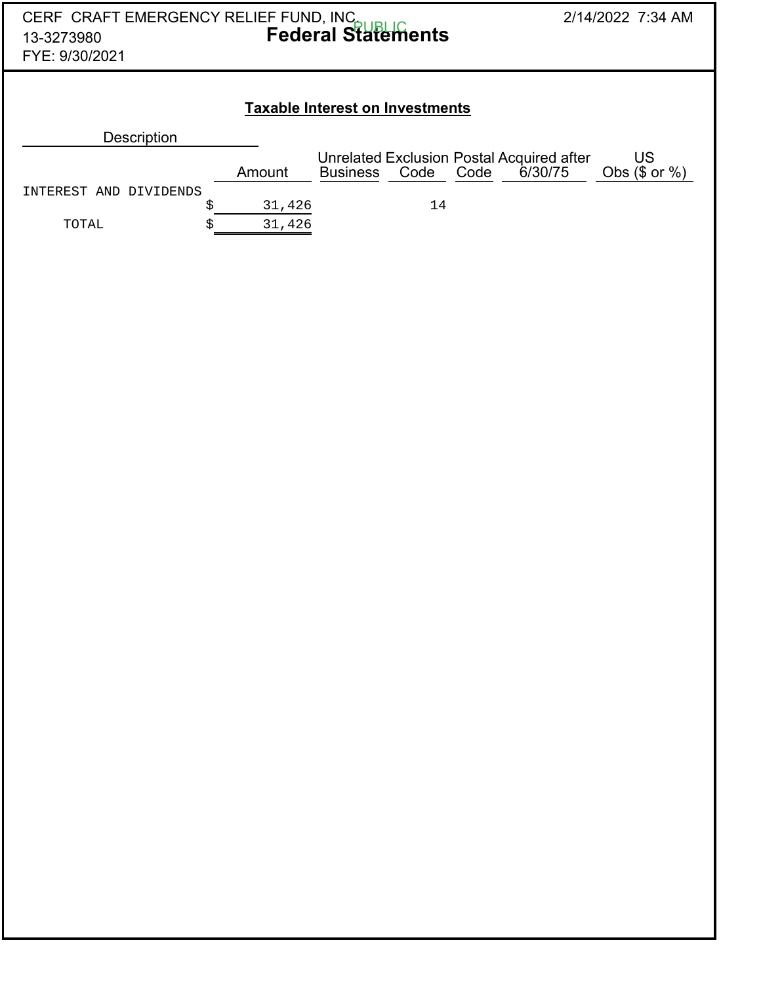| CERF CRAFT EMERGENCY RELIEF FUND, INC.<br>13-3273980<br>FYE: 9/30/2021 | 2/14/2022 7:34 AM |        |                 |      |      |                                                      |                                 |  |  |  |  |  |
|------------------------------------------------------------------------|-------------------|--------|-----------------|------|------|------------------------------------------------------|---------------------------------|--|--|--|--|--|
| <b>Taxable Interest on Investments</b>                                 |                   |        |                 |      |      |                                                      |                                 |  |  |  |  |  |
| Description                                                            |                   |        |                 |      |      |                                                      |                                 |  |  |  |  |  |
|                                                                        |                   | Amount | <b>Business</b> | Code | Code | Unrelated Exclusion Postal Acquired after<br>6/30/75 | <b>US</b><br>Obs $(\$$ or $%$ ) |  |  |  |  |  |
| INTEREST AND DIVIDENDS                                                 |                   |        |                 |      |      |                                                      |                                 |  |  |  |  |  |
|                                                                        | \$                | 31,426 |                 | 14   |      |                                                      |                                 |  |  |  |  |  |
| TOTAL                                                                  | Ś                 | 31,426 |                 |      |      |                                                      |                                 |  |  |  |  |  |
|                                                                        |                   |        |                 |      |      |                                                      |                                 |  |  |  |  |  |
|                                                                        |                   |        |                 |      |      |                                                      |                                 |  |  |  |  |  |
|                                                                        |                   |        |                 |      |      |                                                      |                                 |  |  |  |  |  |
|                                                                        |                   |        |                 |      |      |                                                      |                                 |  |  |  |  |  |
|                                                                        |                   |        |                 |      |      |                                                      |                                 |  |  |  |  |  |
|                                                                        |                   |        |                 |      |      |                                                      |                                 |  |  |  |  |  |
|                                                                        |                   |        |                 |      |      |                                                      |                                 |  |  |  |  |  |
|                                                                        |                   |        |                 |      |      |                                                      |                                 |  |  |  |  |  |